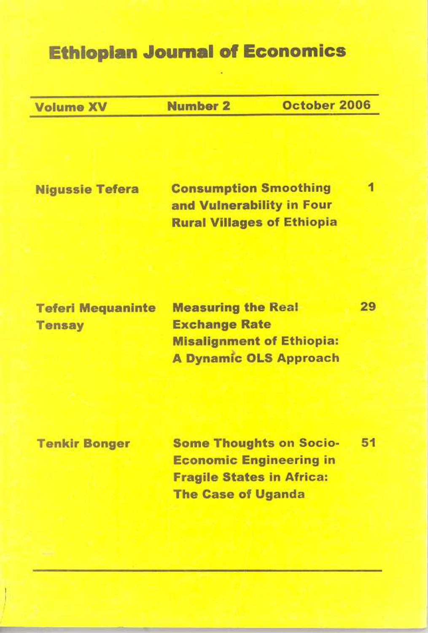# **Ethiopian Journal of Economics**

**Volume XV** 

**Number 2** 

October 2006

29

**Niqussie Tefera** 

**Consumption Smoothing** 1 and Vulnerability in Four **Rural Villages of Ethiopia** 

**Teferi Mequaninte Tensay** 

**Measuring the Real Exchange Rate Misalignment of Ethiopia: A Dynamic OLS Approach** 

**Tenkir Bonger** 

**Some Thoughts on Socio-**51 **Economic Engineering in Fragile States in Africa: The Case of Uganda**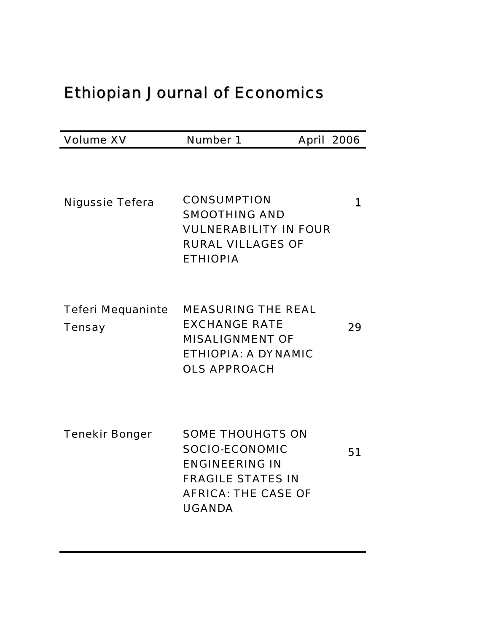# Ethiopian Journal of Economics

| <b>Volume XV</b>                          | <b>Number 1</b>                                                                                                                                      | <b>April 2006</b> |
|-------------------------------------------|------------------------------------------------------------------------------------------------------------------------------------------------------|-------------------|
| <b>Nigussie Tefera</b>                    | <b>CONSUMPTION</b><br><b>SMOOTHING AND</b><br><b>VULNERABILITY IN FOUR</b><br><b>RURAL VILLAGES OF</b><br><b>ETHIOPIA</b>                            | 1                 |
| <b>Teferi Mequaninte</b><br><b>Tensay</b> | <b>MEASURING THE REAL</b><br><b>EXCHANGE RATE</b><br><b>MISALIGNMENT OF</b><br><b>ETHIOPIA: A DYNAMIC</b><br><b>OLS APPROACH</b>                     | 29                |
| <b>Tenekir Bonger</b>                     | <b>SOME THOUHGTS ON</b><br><b>SOCIO-ECONOMIC</b><br><b>ENGINEERING IN</b><br><b>FRAGILE STATES IN</b><br><b>AFRICA: THE CASE OF</b><br><b>UGANDA</b> | 51                |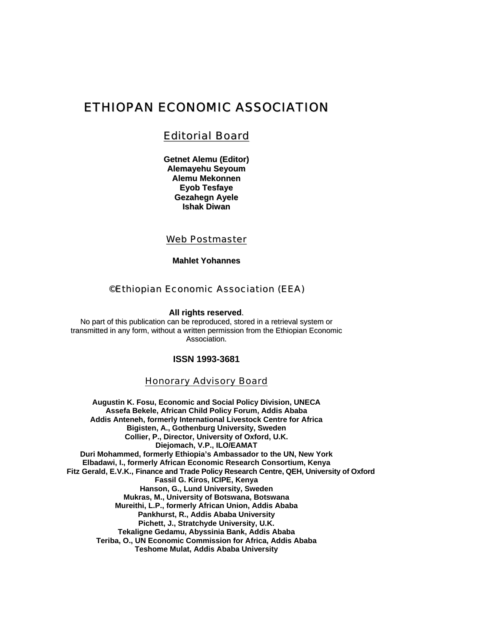# ETHIOPAN ECONOMIC ASSOCIATION

## Editorial Board

**Getnet Alemu (Editor) Alemayehu Seyoum Alemu Mekonnen Eyob Tesfaye Gezahegn Ayele Ishak Diwan**

## Web Postmaster

**Mahlet Yohannes**

### ©Ethiopian Economic Association (EEA)

**All rights reserved**.

No part of this publication can be reproduced, stored in a retrieval system or transmitted in any form, without a written permission from the Ethiopian Economic Association.

#### **ISSN 1993-3681**

#### Honorary Advisory Board

**Augustin K. Fosu, Economic and Social Policy Division, UNECA Assefa Bekele, African Child Policy Forum, Addis Ababa Addis Anteneh, formerly International Livestock Centre for Africa Bigisten, A., Gothenburg University, Sweden Collier, P., Director, University of Oxford, U.K. Diejomach, V.P., ILO/EAMAT Duri Mohammed, formerly Ethiopia's Ambassador to the UN, New York Elbadawi, I., formerly African Economic Research Consortium, Kenya Fitz Gerald, E.V.K., Finance and Trade Policy Research Centre, QEH, University of Oxford Fassil G. Kiros, ICIPE, Kenya Hanson, G., Lund University, Sweden Mukras, M., University of Botswana, Botswana Mureithi, L.P., formerly African Union, Addis Ababa Pankhurst, R., Addis Ababa University Pichett, J., Stratchyde University, U.K. Tekaligne Gedamu, Abyssinia Bank, Addis Ababa Teriba, O., UN Economic Commission for Africa, Addis Ababa Teshome Mulat, Addis Ababa University**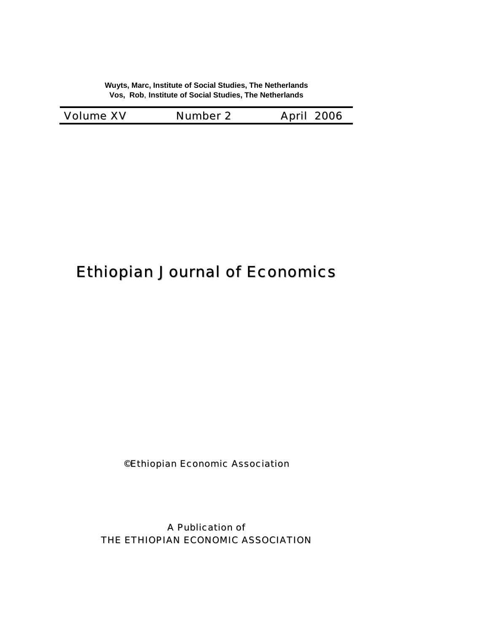**Wuyts, Marc, Institute of Social Studies, The Netherlands Vos, Rob**, **Institute of Social Studies, The Netherlands** 

| <b>Volume XV</b> | <b>Number 2</b> | <b>April 2006</b> |
|------------------|-----------------|-------------------|
|------------------|-----------------|-------------------|

# Ethiopian Journal of Economics

©Ethiopian Economic Association

A Publication of THE ETHIOPIAN ECONOMIC ASSOCIATION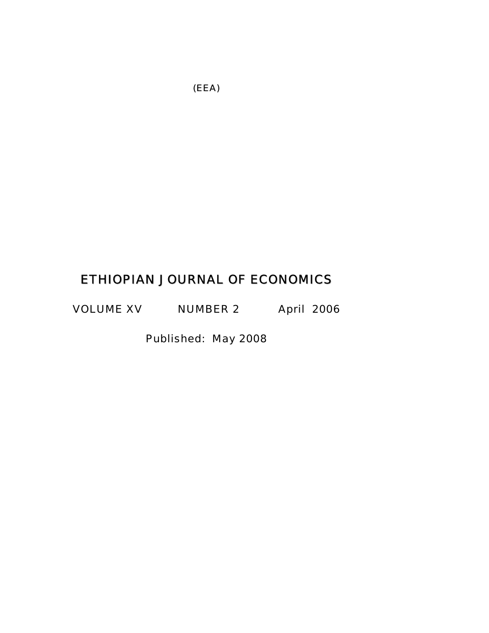# ETHIOPIAN JOURNAL OF ECONOMICS

VOLUME XV NUMBER 2 April 2006

Published: May 2008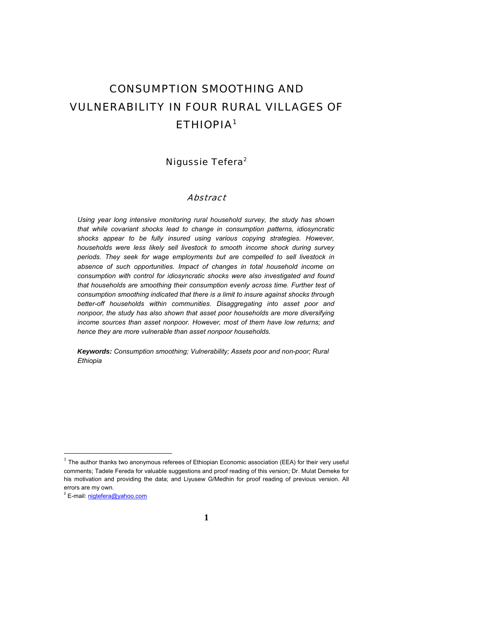# CONSUMPTION SMOOTHING AND VULNERABILITY IN FOUR RURAL VILLAGES OF ETHIOPIA1

## Nigussie Tefera<sup>2</sup>

#### Abstract

*Using year long intensive monitoring rural household survey, the study has shown that while covariant shocks lead to change in consumption patterns, idiosyncratic shocks appear to be fully insured using various copying strategies. However, households were less likely sell livestock to smooth income shock during survey periods. They seek for wage employments but are compelled to sell livestock in absence of such opportunities. Impact of changes in total household income on consumption with control for idiosyncratic shocks were also investigated and found that households are smoothing their consumption evenly across time. Further test of consumption smoothing indicated that there is a limit to insure against shocks through better-off households within communities. Disaggregating into asset poor and nonpoor, the study has also shown that asset poor households are more diversifying income sources than asset nonpoor. However, most of them have low returns; and hence they are more vulnerable than asset nonpoor households.* 

*Keywords: Consumption smoothing; Vulnerability; Assets poor and non-poor; Rural Ethiopia* 

l

 $1$  The author thanks two anonymous referees of Ethiopian Economic association (EEA) for their very useful comments; Tadele Fereda for valuable suggestions and proof reading of this version; Dr. Mulat Demeke for his motivation and providing the data; and Liyusew G/Medhin for proof reading of previous version. All errors are my own.

<sup>&</sup>lt;sup>2</sup> E-mail: *nigtefera@yahoo.com*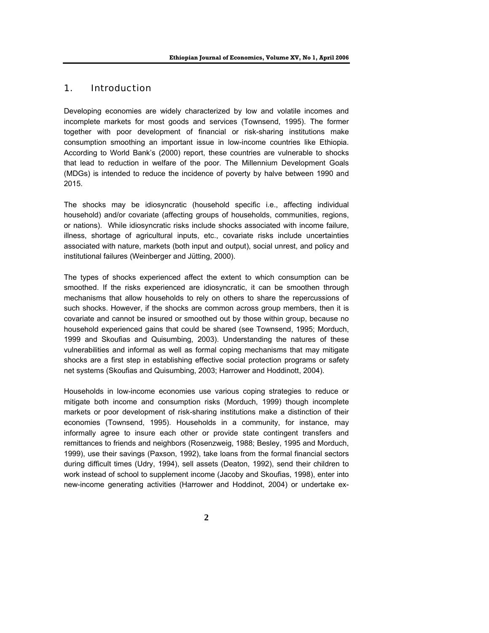### 1. Introduction

Developing economies are widely characterized by low and volatile incomes and incomplete markets for most goods and services (Townsend, 1995). The former together with poor development of financial or risk-sharing institutions make consumption smoothing an important issue in low-income countries like Ethiopia. According to World Bank's (2000) report, these countries are vulnerable to shocks that lead to reduction in welfare of the poor. The Millennium Development Goals (MDGs) is intended to reduce the incidence of poverty by halve between 1990 and 2015.

The shocks may be idiosyncratic (household specific i.e., affecting individual household) and/or covariate (affecting groups of households, communities, regions, or nations). While idiosyncratic risks include shocks associated with income failure, illness, shortage of agricultural inputs, etc., covariate risks include uncertainties associated with nature, markets (both input and output), social unrest, and policy and institutional failures (Weinberger and Jütting, 2000).

The types of shocks experienced affect the extent to which consumption can be smoothed. If the risks experienced are idiosyncratic, it can be smoothen through mechanisms that allow households to rely on others to share the repercussions of such shocks. However, if the shocks are common across group members, then it is covariate and cannot be insured or smoothed out by those within group, because no household experienced gains that could be shared (see Townsend, 1995; Morduch, 1999 and Skoufias and Quisumbing, 2003). Understanding the natures of these vulnerabilities and informal as well as formal coping mechanisms that may mitigate shocks are a first step in establishing effective social protection programs or safety net systems (Skoufias and Quisumbing, 2003; Harrower and Hoddinott, 2004).

Households in low-income economies use various coping strategies to reduce or mitigate both income and consumption risks (Morduch, 1999) though incomplete markets or poor development of risk-sharing institutions make a distinction of their economies (Townsend, 1995). Households in a community, for instance, may informally agree to insure each other or provide state contingent transfers and remittances to friends and neighbors (Rosenzweig, 1988; Besley, 1995 and Morduch, 1999), use their savings (Paxson, 1992), take loans from the formal financial sectors during difficult times (Udry, 1994), sell assets (Deaton, 1992), send their children to work instead of school to supplement income (Jacoby and Skoufias, 1998), enter into new-income generating activities (Harrower and Hoddinot, 2004) or undertake ex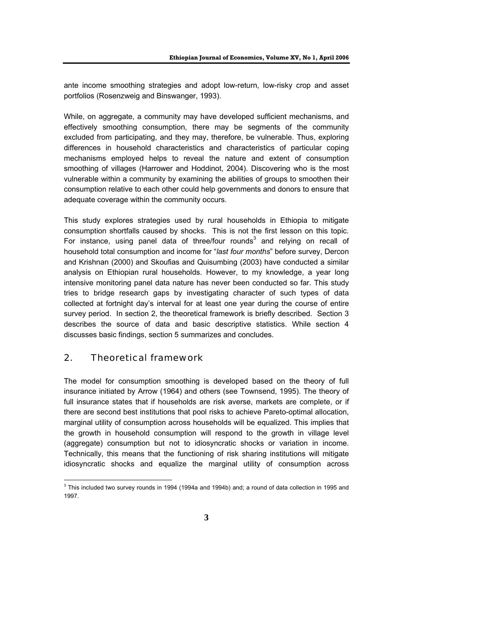ante income smoothing strategies and adopt low-return, low-risky crop and asset portfolios (Rosenzweig and Binswanger, 1993).

While, on aggregate, a community may have developed sufficient mechanisms, and effectively smoothing consumption, there may be segments of the community excluded from participating, and they may, therefore, be vulnerable. Thus, exploring differences in household characteristics and characteristics of particular coping mechanisms employed helps to reveal the nature and extent of consumption smoothing of villages (Harrower and Hoddinot, 2004). Discovering who is the most vulnerable within a community by examining the abilities of groups to smoothen their consumption relative to each other could help governments and donors to ensure that adequate coverage within the community occurs.

This study explores strategies used by rural households in Ethiopia to mitigate consumption shortfalls caused by shocks. This is not the first lesson on this topic. For instance, using panel data of three/four rounds<sup>3</sup> and relying on recall of household total consumption and income for "*last four months*" before survey, Dercon and Krishnan (2000) and Skoufias and Quisumbing (2003) have conducted a similar analysis on Ethiopian rural households. However, to my knowledge, a year long intensive monitoring panel data nature has never been conducted so far. This study tries to bridge research gaps by investigating character of such types of data collected at fortnight day's interval for at least one year during the course of entire survey period. In section 2, the theoretical framework is briefly described. Section 3 describes the source of data and basic descriptive statistics. While section 4 discusses basic findings, section 5 summarizes and concludes.

## 2. Theoretical framework

The model for consumption smoothing is developed based on the theory of full insurance initiated by Arrow (1964) and others (see Townsend, 1995). The theory of full insurance states that if households are risk averse, markets are complete, or if there are second best institutions that pool risks to achieve Pareto-optimal allocation, marginal utility of consumption across households will be equalized. This implies that the growth in household consumption will respond to the growth in village level (aggregate) consumption but not to idiosyncratic shocks or variation in income. Technically, this means that the functioning of risk sharing institutions will mitigate idiosyncratic shocks and equalize the marginal utility of consumption across

 3 This included two survey rounds in 1994 (1994a and 1994b) and; a round of data collection in 1995 and 1997.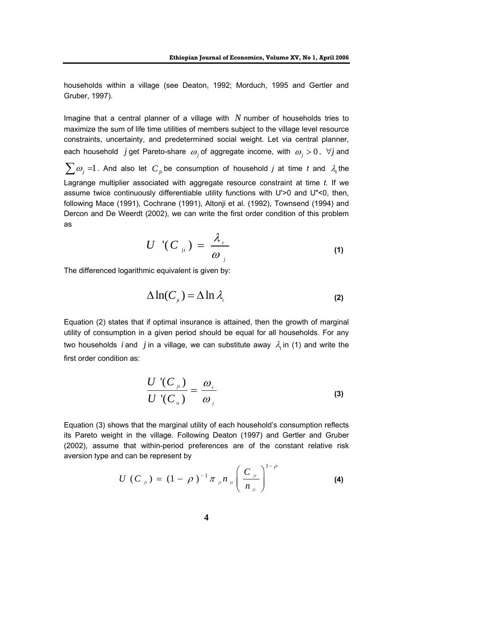households within a village (see Deaton, 1992; Morduch, 1995 and Gertler and Gruber, 1997).

Imagine that a central planner of a village with *N* number of households tries to maximize the sum of life time utilities of members subject to the village level resource constraints, uncertainty, and predetermined social weight. Let via central planner, each household *j* get Pareto-share  $\omega_j$  of aggregate income, with  $\omega_j > 0$ ,  $\forall j$  and  $\sum \omega_j = 1$ . And also let  $C_j$  be consumption of household *j* at time *t* and  $\lambda_t$  the Lagrange multiplier associated with aggregate resource constraint at time *t*. If we assume twice continuously differentiable utility functions with U'>0 and U"<0, then, following Mace (1991), Cochrane (1991), Altonji et al. (1992), Townsend (1994) and Dercon and De Weerdt (2002), we can write the first order condition of this problem as

$$
U^{-1}(C_{\mathfrak{z}_1}) = \frac{\lambda_{\mathfrak{z}_1}}{\omega_{\mathfrak{z}_1}}
$$
 (1)

The differenced logarithmic equivalent is given by:

$$
\Delta \ln(C_{i}) = \Delta \ln \lambda_{i}
$$
 (2)

Equation (2) states that if optimal insurance is attained, then the growth of marginal utility of consumption in a given period should be equal for all households. For any two households *i* and *j* in a village, we can substitute away  $\lambda_i$  in (1) and write the first order condition as:

$$
\frac{U'(C_{\mu})}{U'(C_{\mu})} = \frac{\omega_{\mu}}{\omega_{\mu}}
$$
\n(3)

Equation (3) shows that the marginal utility of each household's consumption reflects its Pareto weight in the village. Following Deaton (1997) and Gertler and Gruber (2002), assume that within-period preferences are of the constant relative risk aversion type and can be represent by

$$
U(C_{ji}) = (1 - \rho)^{-1} \pi_{ji} n_{ji} \left( \frac{C_{ji}}{n_{ji}} \right)^{1 - \rho}
$$
 (4)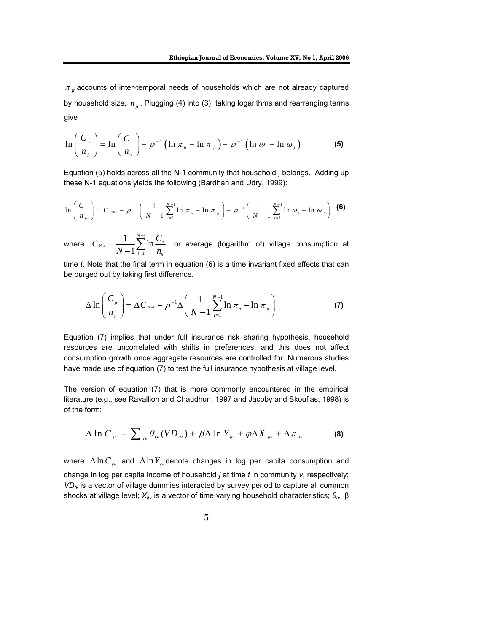$\pi$ <sub>*it*</sub> accounts of inter-temporal needs of households which are not already captured by household size,  $n_{it}$ . Plugging (4) into (3), taking logarithms and rearranging terms give

$$
\ln\left(\frac{C_{\mu}}{n_{\mu}}\right) = \ln\left(\frac{C_{\mu}}{n_{\mu}}\right) - \rho^{-1}\left(\ln \pi_{\mu} - \ln \pi_{\mu}\right) - \rho^{-1}\left(\ln \omega_{\mu} - \ln \omega_{\mu}\right) \tag{5}
$$

Equation (5) holds across all the N-1 community that household j belongs. Adding up these N-1 equations yields the following (Bardhan and Udry, 1999):

$$
\ln\left(\frac{C_{\mu}}{n_{\mu}}\right) = \overline{C}_{\text{Nwt}} - \rho^{-1}\left(\frac{1}{N-1}\sum_{i=1}^{N-1} \ln \pi_{\mu} - \ln \pi_{\mu}\right) - \rho^{-1}\left(\frac{1}{N-1}\sum_{i=1}^{N-1} \ln \omega_{i} - \ln \omega_{\mu}\right)
$$
 (6)

where 1 1  $\frac{1}{\sqrt{2}}\sum_{n=1}^{N-1}$  $\lambda_{i_{Nt}} = \frac{1}{N-1} \sum_{i=1}^{N} \ln \frac{S_{ii}}{n_{i_{i}}}$ *it N i*  $\overline{C}_{\tiny{Nwt}} = \frac{1}{\overline{C}_{\tiny{E}}}\sum_{n=1}^{N-1} \ln \frac{C_n}{C_n}$  $N-1$   $\sum_{i=1}^{n} n$ −  $=\frac{1}{N-1}\sum_{i=1}\ln\frac{\mathbf{C}_u}{n_u}$  or average (logarithm of) village consumption at

time *t*. Note that the final term in equation (6) is a time invariant fixed effects that can be purged out by taking first difference.

$$
\Delta \ln \left( \frac{C_{\mu}}{n_{\mu}} \right) = \Delta \overline{C}_{Nwt} - \rho^{-1} \Delta \left( \frac{1}{N-1} \sum_{i=1}^{N-1} \ln \pi_{\mu} - \ln \pi_{\mu} \right)
$$
(7)

Equation (7) implies that under full insurance risk sharing hypothesis, household resources are uncorrelated with shifts in preferences, and this does not affect consumption growth once aggregate resources are controlled for. Numerous studies have made use of equation (7) to test the full insurance hypothesis at village level.

The version of equation (7) that is more commonly encountered in the empirical literature (e.g., see Ravallion and Chaudhuri, 1997 and Jacoby and Skoufias, 1998) is of the form:

$$
\Delta \ln C_{_{j\nu}} = \sum\nolimits_{_{l\nu}} \theta_{_{l\nu}} (V D_{_{l\nu}}) + \beta \Delta \ln Y_{_{j\nu}} + \varphi \Delta X_{_{j\nu}} + \Delta \varepsilon_{_{j\nu}} \tag{8}
$$

where ∆ln C<sub>iv</sub> and ∆ln Y<sub>iv</sub> denote changes in log per capita consumption and change in log per capita income of household *j* at time *t* in community *v,* respectively;  $VD_{tv}$  is a vector of village dummies interacted by survey period to capture all common shocks at village level; *Xjtv* is a vector of time varying household characteristics; *θtv*, β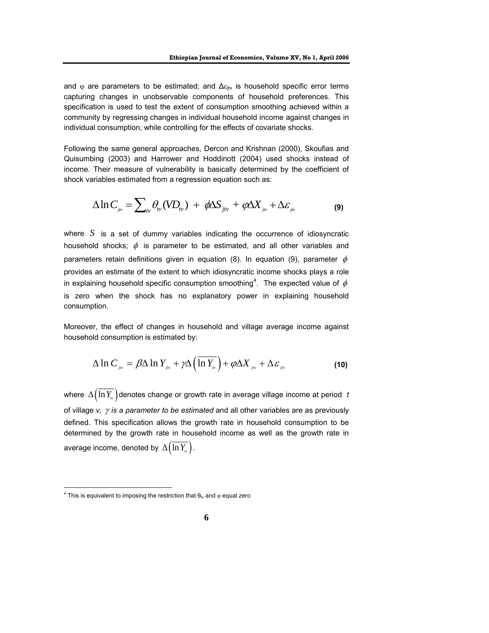and  $\varphi$  are parameters to be estimated; and  $\Delta \varepsilon_{\text{itv}}$  is household specific error terms capturing changes in unobservable components of household preferences. This specification is used to test the extent of consumption smoothing achieved within a community by regressing changes in individual household income against changes in individual consumption, while controlling for the effects of covariate shocks.

Following the same general approaches, Dercon and Krishnan (2000), Skoufias and Quisumbing (2003) and Harrower and Hoddinott (2004) used shocks instead of income. Their measure of vulnerability is basically determined by the coefficient of shock variables estimated from a regression equation such as:

$$
\Delta \ln C_{_{j\nu}} = \sum\nolimits_{\nu} \theta_{\nu} (V D_{\nu}) + \phi \Delta S_{_{j\nu}} + \phi \Delta X_{_{j\nu}} + \Delta \varepsilon_{_{j\nu}}
$$
 (9)

where *S* is a set of dummy variables indicating the occurrence of idiosyncratic household shocks;  $\phi$  is parameter to be estimated, and all other variables and parameters retain definitions given in equation (8). In equation (9), parameter  $\phi$ provides an estimate of the extent to which idiosyncratic income shocks plays a role in explaining household specific consumption smoothing<sup>4</sup>. The expected value of  $\phi$ is zero when the shock has no explanatory power in explaining household consumption.

Moreover, the effect of changes in household and village average income against household consumption is estimated by:

$$
\Delta \ln C_{_{jiv}} = \beta \Delta \ln Y_{_{jiv}} + \gamma \Delta \left( \overline{\ln Y_{_{iv}}} \right) + \varphi \Delta X_{_{jiv}} + \Delta \varepsilon_{_{jiv}} \tag{10}
$$

where  $\Delta(\overline{\ln Y_{\nu}})$  denotes change or growth rate in average village income at period *t* of village *v,* γ *is a parameter to be estimated* and all other variables are as previously defined. This specification allows the growth rate in household consumption to be determined by the growth rate in household income as well as the growth rate in average income, denoted by  $\Delta(\ln Y_{\nu})$ .

 $\overline{a}$ 

<sup>&</sup>lt;sup>4</sup> This is equivalent to imposing the restriction that  $\theta_{tv}$  and  $\varphi$  equal zero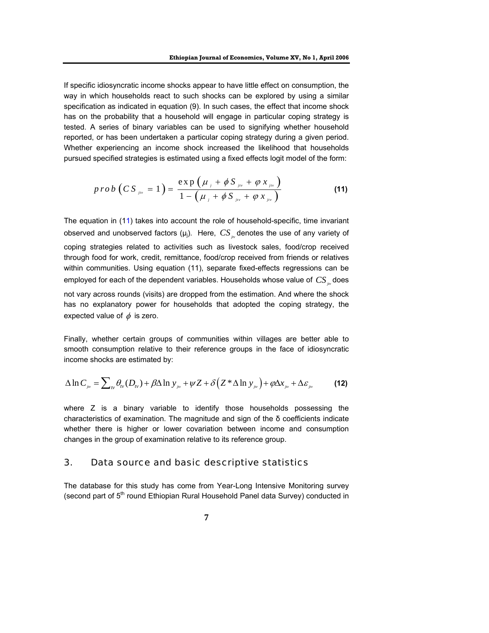If specific idiosyncratic income shocks appear to have little effect on consumption, the way in which households react to such shocks can be explored by using a similar specification as indicated in equation (9). In such cases, the effect that income shock has on the probability that a household will engage in particular coping strategy is tested. A series of binary variables can be used to signifying whether household reported, or has been undertaken a particular coping strategy during a given period. Whether experiencing an income shock increased the likelihood that households pursued specified strategies is estimated using a fixed effects logit model of the form:

$$
prob(CS_{jiv} = 1) = \frac{exp(\mu_j + \phi S_{jiv} + \varphi x_{jiv})}{1 - (\mu_j + \phi S_{jiv} + \varphi x_{jiv})}
$$
(11)

The equation in (11) takes into account the role of household-specific, time invariant observed and unobserved factors  $(\mu_i)$ . Here,  $CS_{\mu}$  denotes the use of any variety of coping strategies related to activities such as livestock sales, food/crop received through food for work, credit, remittance, food/crop received from friends or relatives within communities. Using equation (11), separate fixed-effects regressions can be employed for each of the dependent variables. Households whose value of *CS*<sub>in</sub> does not vary across rounds (visits) are dropped from the estimation. And where the shock

has no explanatory power for households that adopted the coping strategy, the expected value of  $\phi$  is zero.

Finally, whether certain groups of communities within villages are better able to smooth consumption relative to their reference groups in the face of idiosyncratic income shocks are estimated by:

$$
\Delta \ln C_{_{j\nu}} = \sum\nolimits_{\nu} \theta_{\nu} (D_{\nu}) + \beta \Delta \ln y_{_{j\nu}} + \psi Z + \delta \left( Z^* \Delta \ln y_{_{j\nu}} \right) + \varphi \Delta x_{_{j\nu}} + \Delta \varepsilon_{_{j\nu}} \tag{12}
$$

where Z is a binary variable to identify those households possessing the characteristics of examination. The magnitude and sign of the δ coefficients indicate whether there is higher or lower covariation between income and consumption changes in the group of examination relative to its reference group.

#### 3. Data source and basic descriptive statistics

The database for this study has come from Year-Long Intensive Monitoring survey (second part of  $5<sup>th</sup>$  round Ethiopian Rural Household Panel data Survey) conducted in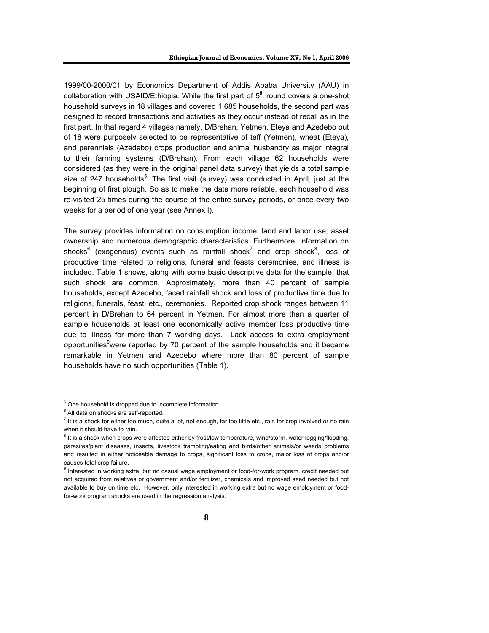1999/00-2000/01 by Economics Department of Addis Ababa University (AAU) in collaboration with USAID/Ethiopia. While the first part of  $5<sup>th</sup>$  round covers a one-shot household surveys in 18 villages and covered 1,685 households, the second part was designed to record transactions and activities as they occur instead of recall as in the first part. In that regard 4 villages namely, D/Brehan, Yetmen, Eteya and Azedebo out of 18 were purposely selected to be representative of teff (Yetmen), wheat (Eteya), and perennials (Azedebo) crops production and animal husbandry as major integral to their farming systems (D/Brehan). From each village 62 households were considered (as they were in the original panel data survey) that yields a total sample size of 247 households<sup>5</sup>. The first visit (survey) was conducted in April, just at the beginning of first plough. So as to make the data more reliable, each household was re-visited 25 times during the course of the entire survey periods, or once every two weeks for a period of one year (see Annex I).

The survey provides information on consumption income, land and labor use, asset ownership and numerous demographic characteristics. Furthermore, information on shocks $^6$  (exogenous) events such as rainfall shock<sup>7</sup> and crop shock<sup>8</sup>, loss of productive time related to religions, funeral and feasts ceremonies, and illness is included. Table 1 shows, along with some basic descriptive data for the sample, that such shock are common. Approximately, more than 40 percent of sample households, except Azedebo, faced rainfall shock and loss of productive time due to religions, funerals, feast, etc., ceremonies. Reported crop shock ranges between 11 percent in D/Brehan to 64 percent in Yetmen. For almost more than a quarter of sample households at least one economically active member loss productive time due to illness for more than 7 working days. Lack access to extra employment opportunities<sup>9</sup>were reported by 70 percent of the sample households and it became remarkable in Yetmen and Azedebo where more than 80 percent of sample households have no such opportunities (Table 1).

 5 One household is dropped due to incomplete information.

<sup>&</sup>lt;sup>6</sup> All data on shocks are self-reported.

<sup>&</sup>lt;sup>7</sup> It is a shock for either too much, quite a lot, not enough, far too little etc., rain for crop involved or no rain when it should have to rain.

<sup>&</sup>lt;sup>8</sup> It is a shock when crops were affected either by frost/low temperature, wind/storm, water logging/flooding, parasites/plant diseases, insects, livestock trampling/eating and birds/other animals/or weeds problems and resulted in either noticeable damage to crops, significant loss to crops, major loss of crops and/or causes total crop failure.

<sup>&</sup>lt;sup>9</sup> Interested in working extra, but no casual wage employment or food-for-work program, credit needed but not acquired from relatives or government and/or fertilizer, chemicals and improved seed needed but not available to buy on time etc. However, only interested in working extra but no wage employment or foodfor-work program shocks are used in the regression analysis.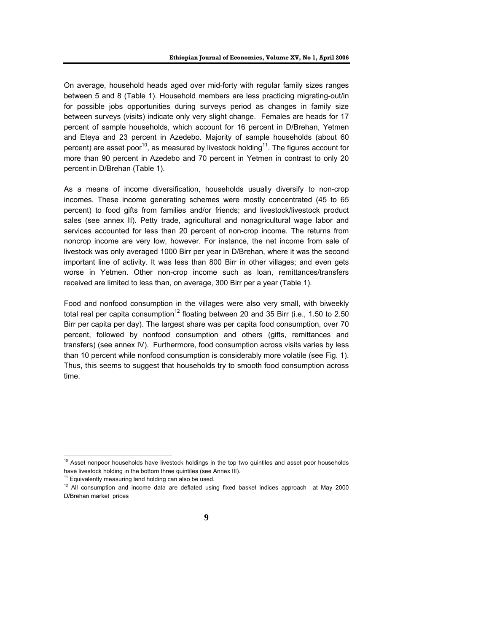On average, household heads aged over mid-forty with regular family sizes ranges between 5 and 8 (Table 1). Household members are less practicing migrating-out/in for possible jobs opportunities during surveys period as changes in family size between surveys (visits) indicate only very slight change. Females are heads for 17 percent of sample households, which account for 16 percent in D/Brehan, Yetmen and Eteya and 23 percent in Azedebo. Majority of sample households (about 60 percent) are asset poor<sup>10</sup>, as measured by livestock holding<sup>11</sup>. The figures account for more than 90 percent in Azedebo and 70 percent in Yetmen in contrast to only 20 percent in D/Brehan (Table 1).

As a means of income diversification, households usually diversify to non-crop incomes. These income generating schemes were mostly concentrated (45 to 65 percent) to food gifts from families and/or friends; and livestock/livestock product sales (see annex II). Petty trade, agricultural and nonagricultural wage labor and services accounted for less than 20 percent of non-crop income. The returns from noncrop income are very low, however. For instance, the net income from sale of livestock was only averaged 1000 Birr per year in D/Brehan, where it was the second important line of activity. It was less than 800 Birr in other villages; and even gets worse in Yetmen. Other non-crop income such as loan, remittances/transfers received are limited to less than, on average, 300 Birr per a year (Table 1).

Food and nonfood consumption in the villages were also very small, with biweekly total real per capita consumption<sup>12</sup> floating between 20 and 35 Birr (i.e., 1.50 to 2.50 Birr per capita per day). The largest share was per capita food consumption, over 70 percent, followed by nonfood consumption and others (gifts, remittances and transfers) (see annex IV). Furthermore, food consumption across visits varies by less than 10 percent while nonfood consumption is considerably more volatile (see Fig. 1). Thus, this seems to suggest that households try to smooth food consumption across time.

 $\overline{a}$ 

 $10$  Asset nonpoor households have livestock holdings in the top two quintiles and asset poor households have livestock holding in the bottom three quintiles (see Annex III).

 $11$  Equivalently measuring land holding can also be used.

 $12$  All consumption and income data are deflated using fixed basket indices approach at May 2000 D/Brehan market prices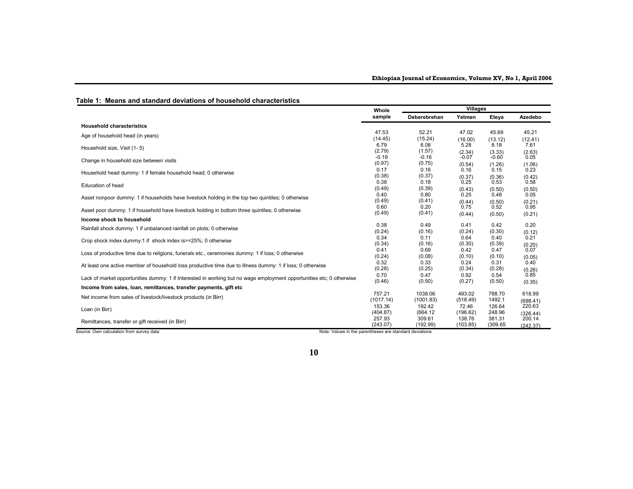|                                                                                                                      | Whole                    | <b>Villages</b>          |                |                |                |
|----------------------------------------------------------------------------------------------------------------------|--------------------------|--------------------------|----------------|----------------|----------------|
|                                                                                                                      | sample                   | Deberebrehan             | Yetmen         | Eteya          | Azedebo        |
| <b>Household characteristics</b>                                                                                     |                          |                          |                |                |                |
| Age of household head (in years)                                                                                     | 47.53                    | 52.21                    | 47.02          | 45.69          | 45.21          |
|                                                                                                                      | (14.45)                  | (15.24)                  | (16.00)        | (13.12)        | (12.41)        |
| Household size, Visit (1-5)                                                                                          | 6.79                     | 6.08                     | 5.28           | 8.18           | 7.61           |
|                                                                                                                      | (2.79)                   | (1.57)                   | (2.34)         | (3.33)         | (2.63)         |
| Change in household size between visits                                                                              | $-0.19$                  | $-0.16$                  | $-0.07$        | $-0.60$        | 0.05           |
|                                                                                                                      | (0.97)                   | (0.75)                   | (0.54)         | (1.26)         | (1.06)         |
| Household head dummy: 1 if female household head; 0 otherwise                                                        | 0.17<br>(0.38)           | 0.16<br>(0.37)           | 0.16           | 0.15           | 0.23           |
| Education of head                                                                                                    | 0.38                     | 0.18                     | (0.37)<br>0.25 | (0.36)<br>0.53 | (0.42)<br>0.58 |
| Asset nonpoor dummy: 1 if households have livestock holding in the top two quintiles; 0 otherwise                    | (0.49)<br>0.40<br>(0.49) | (0.39)<br>0.80<br>(0.41) | (0.43)<br>0.25 | (0.50)<br>0.48 | (0.50)<br>0.05 |
| Asset poor dummy: 1 if household have livestock holding in bottom three quintiles; 0 otherwise                       | 0.60                     | 0.20                     | (0.44)         | (0.50)         | (0.21)         |
|                                                                                                                      | (0.49)                   | (0.41)                   | 0.75           | 0.52           | 0.95           |
| Income shock to household                                                                                            |                          |                          | (0.44)         | (0.50)         | (0.21)         |
| Rainfall shock dummy: 1 if unbalanced rainfall on plots; 0 otherwise                                                 | 0.38                     | 0.49                     | 0.41           | 0.42           | 0.20           |
|                                                                                                                      | (0.24)                   | (0.16)                   | (0.24)         | (0.30)         | (0.12)         |
| Crop shock index dummy:1 if shock index is > = 25%; 0 otherwise                                                      | 0.34                     | 0.11                     | 0.64           | 0.40           | 0.21           |
|                                                                                                                      | (0.34)                   | (0.16)                   | (0.30)         | (0.39)         | (0.20)         |
| Loss of productive time due to religions, funerals etc., ceremonies dummy: 1 if loss; 0 otherwise                    | 0.41                     | 0.69                     | 0.42           | 0.47           | 0.07           |
|                                                                                                                      | (0.24)                   | (0.08)                   | (0.10)         | (0.10)         | (0.05)         |
| At least one active member of household loss productive time due to illness dummy: 1 if loss; 0 otherwise            | 0.32                     | 0.33                     | 0.24           | 0.31           | 0.40           |
|                                                                                                                      | (0.28)                   | (0.25)                   | (0.34)         | (0.28)         | (0.26)         |
| Lack of market opportunities dummy: 1 if Interested in working but no wage employment opportunities etc; 0 otherwise | 0.70                     | 0.47                     | 0.92           | 0.54           | 0.85           |
|                                                                                                                      | (0.46)                   | (0.50)                   | (0.27)         | (0.50)         | (0.35)         |
| Income from sales, loan, remittances, transfer payments, gift etc                                                    |                          |                          |                |                |                |
| Net income from sales of livestock/livestock products (in Birr)                                                      | 757.21                   | 1038.06                  | 493.02         | 788.70         | 618.99         |
|                                                                                                                      | (1017.14)                | (1001.83)                | (518.49)       | 1492.1         | (698.41)       |
| Loan (in Birr)                                                                                                       | 153.36                   | 192.42                   | 72.46          | 126.64         | 220.63         |
|                                                                                                                      | (404.87)                 | (664.12)                 | (196.62)       | 248.96         | (326.44)       |
| Remittances, transfer or gift received (in Birr)                                                                     | 257.93                   | 309.61                   | 138.76         | 381.31         | 200.14         |
|                                                                                                                      | (243.07)                 | (192.99)                 | (103.85)       | (309.65)       | (242.37)       |
| Source: Own calculation from survey data<br>Note: Values in the parentheses are standard deviations                  |                          |                          |                |                |                |

#### **Table 1: Means and standard deviations of household characteristics**

#### **10**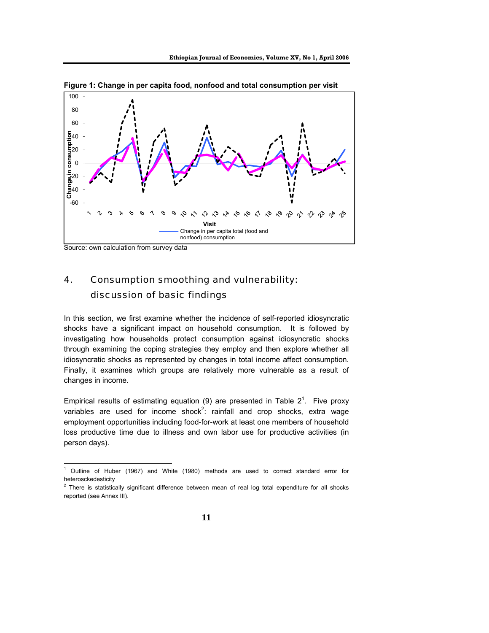

**Figure 1: Change in per capita food, nonfood and total consumption per visit** 

# 4. Consumption smoothing and vulnerability: discussion of basic findings

In this section, we first examine whether the incidence of self-reported idiosyncratic shocks have a significant impact on household consumption. It is followed by investigating how households protect consumption against idiosyncratic shocks through examining the coping strategies they employ and then explore whether all idiosyncratic shocks as represented by changes in total income affect consumption. Finally, it examines which groups are relatively more vulnerable as a result of changes in income.

Empirical results of estimating equation (9) are presented in Table  $2^1$ . Five proxy variables are used for income shock<sup>2</sup>: rainfall and crop shocks, extra wage employment opportunities including food-for-work at least one members of household loss productive time due to illness and own labor use for productive activities (in person days).

Source: own calculation from survey data

 $\frac{1}{1}$  Outline of Huber (1967) and White (1980) methods are used to correct standard error for heterosckedesticity

 $2$  There is statistically significant difference between mean of real log total expenditure for all shocks reported (see Annex III).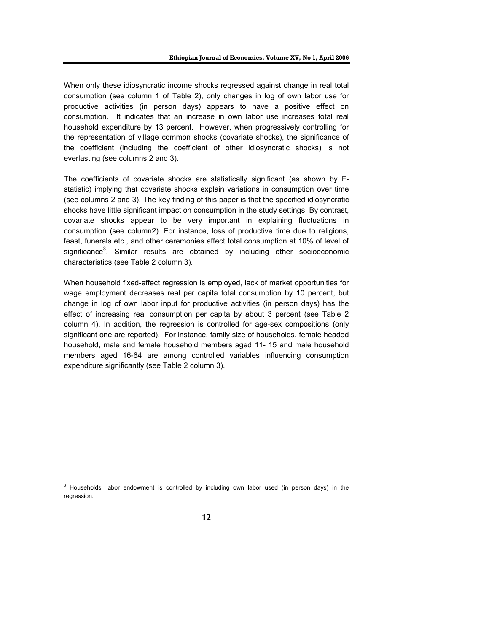When only these idiosyncratic income shocks regressed against change in real total consumption (see column 1 of Table 2), only changes in log of own labor use for productive activities (in person days) appears to have a positive effect on consumption. It indicates that an increase in own labor use increases total real household expenditure by 13 percent. However, when progressively controlling for the representation of village common shocks (covariate shocks), the significance of the coefficient (including the coefficient of other idiosyncratic shocks) is not everlasting (see columns 2 and 3).

The coefficients of covariate shocks are statistically significant (as shown by Fstatistic) implying that covariate shocks explain variations in consumption over time (see columns 2 and 3). The key finding of this paper is that the specified idiosyncratic shocks have little significant impact on consumption in the study settings. By contrast, covariate shocks appear to be very important in explaining fluctuations in consumption (see column2). For instance, loss of productive time due to religions, feast, funerals etc., and other ceremonies affect total consumption at 10% of level of significance<sup>3</sup>. Similar results are obtained by including other socioeconomic characteristics (see Table 2 column 3).

When household fixed-effect regression is employed, lack of market opportunities for wage employment decreases real per capita total consumption by 10 percent, but change in log of own labor input for productive activities (in person days) has the effect of increasing real consumption per capita by about 3 percent (see Table 2 column 4). In addition, the regression is controlled for age-sex compositions (only significant one are reported). For instance, family size of households, female headed household, male and female household members aged 11- 15 and male household members aged 16-64 are among controlled variables influencing consumption expenditure significantly (see Table 2 column 3).

 3 Households' labor endowment is controlled by including own labor used (in person days) in the regression.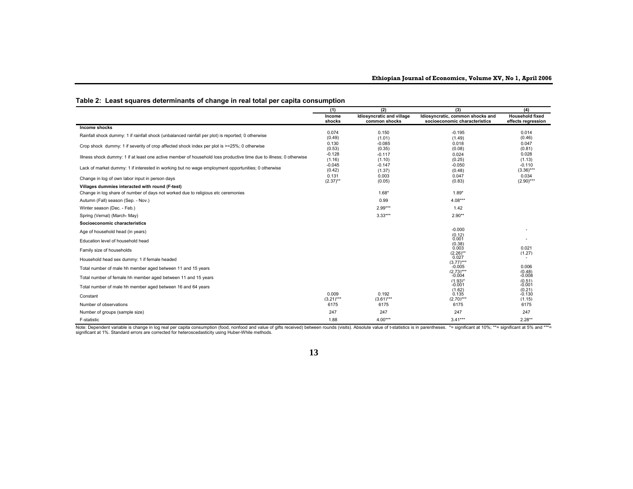#### **Table 2: Least squares determinants of change in real total per capita consumption**

|                                                                                                                    | (1)                  | (2)                                        | (3)                                                               | (4)                                          |
|--------------------------------------------------------------------------------------------------------------------|----------------------|--------------------------------------------|-------------------------------------------------------------------|----------------------------------------------|
|                                                                                                                    | Income<br>shocks     | Idiosyncratic and village<br>common shocks | Idiosyncratic, common shocks and<br>socioeconomic characteristics | <b>Household fixed</b><br>effects regression |
| Income shocks                                                                                                      |                      |                                            |                                                                   |                                              |
| Rainfall shock dummy: 1 if rainfall shock (unbalanced rainfall per plot) is reported; 0 otherwise                  | 0.074<br>(0.49)      | 0.150<br>(1.01)                            | $-0.195$<br>(1.49)                                                | 0.014<br>(0.46)                              |
| Crop shock dummy: 1 if severity of crop affected shock index per plot is >=25%; 0 otherwise                        | 0.130<br>(0.53)      | $-0.085$<br>(0.35)                         | 0.018<br>(0.08)                                                   | 0.047<br>(0.81)                              |
| Illness shock dummy: 1 if at least one active member of household loss productive time due to illness; 0 otherwise | $-0.128$<br>(1.16)   | $-0.117$<br>(1.10)                         | 0.024<br>(0.25)                                                   | 0.028<br>(1.13)                              |
| Lack of market dummy: 1 if interested in working but no wage employment opportunities; 0 otherwise                 | $-0.045$<br>(0.42)   | $-0.147$<br>(1.37)                         | $-0.050$<br>(0.48)                                                | $-0.110$<br>$(3.36)***$                      |
| Change in log of own labor input in person days                                                                    | 0.131<br>$(2.37)$ ** | 0.003<br>(0.05)                            | 0.047<br>(0.83)                                                   | 0.034<br>$(2.90)***$                         |
| Villages dummies interacted with round (F-test)                                                                    |                      |                                            |                                                                   |                                              |
| Change in log share of number of days not worked due to religious etc ceremonies                                   |                      | $1.68*$                                    | $1.89*$                                                           |                                              |
| Autumn (Fall) season (Sep. - Nov.)                                                                                 |                      | 0.99                                       | $4.08***$                                                         |                                              |
| Winter season (Dec. - Feb.)                                                                                        |                      | 2.99***                                    | 1.42                                                              |                                              |
| Spring (Vernal) (March-May)                                                                                        |                      | $3.33***$                                  | $2.90**$                                                          |                                              |
| Socioeconomic characteristics                                                                                      |                      |                                            |                                                                   |                                              |
| Age of household head (in years)                                                                                   |                      |                                            | $-0.000$<br>(0.12)                                                |                                              |
| Education level of household head                                                                                  |                      |                                            | 0.001<br>(0.38)                                                   |                                              |
| Family size of households                                                                                          |                      |                                            | 0.003<br>$(2.26)$ **                                              | 0.021<br>(1.27)                              |
| Household head sex dummy: 1 if female headed                                                                       |                      |                                            | 0.027<br>$(3.77)***$                                              | ٠                                            |
| Total number of male hh member aged between 11 and 15 years                                                        |                      |                                            | $-0.005$<br>$(2.73)***$                                           | 0.006<br>(0.48)                              |
| Total number of female hh member aged between 11 and 15 years                                                      |                      |                                            | $-0.004$<br>$(1.93)^*$                                            | $-0.008$<br>(0.51)                           |
| Total number of male hh member aged between 16 and 64 years                                                        |                      |                                            | $-0.001$<br>(1.62)                                                | $-0.001$<br>(0.21)                           |
| Constant                                                                                                           | 0.009<br>$(3.21***$  | 0.192<br>$(3.61***$                        | 0.135<br>$(2.70)***$                                              | $-0.130$<br>(1.15)                           |
| Number of observations                                                                                             | 6175                 | 6175                                       | 6175                                                              | 6175                                         |
| Number of groups (sample size)                                                                                     | 247                  | 247                                        | 247                                                               | 247                                          |
| F-statistic                                                                                                        | 1.88                 | $4.00***$                                  | $3.41***$                                                         | $2.28**$                                     |

Note: Dependent variable is change in log real per capita consumption (food, nonfood and value of gifts received) between rounds (visits). Absolute value of t-statistics is in parentheses. \*= significant at 10%; \*\*= signif

#### **13**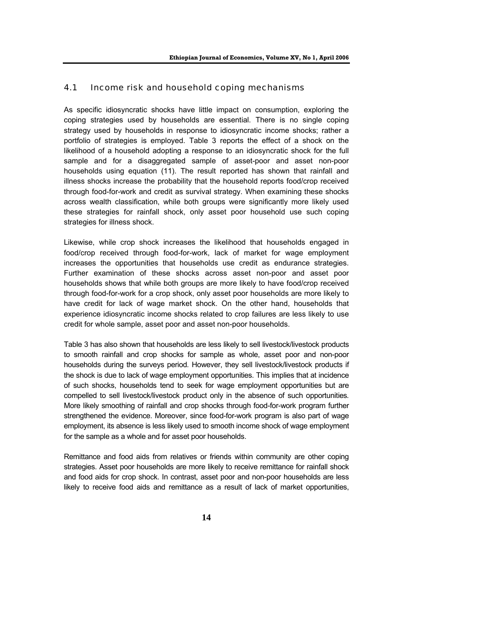#### 4.1 Income risk and household coping mechanisms

As specific idiosyncratic shocks have little impact on consumption, exploring the coping strategies used by households are essential. There is no single coping strategy used by households in response to idiosyncratic income shocks; rather a portfolio of strategies is employed. Table 3 reports the effect of a shock on the likelihood of a household adopting a response to an idiosyncratic shock for the full sample and for a disaggregated sample of asset-poor and asset non-poor households using equation (11). The result reported has shown that rainfall and illness shocks increase the probability that the household reports food/crop received through food-for-work and credit as survival strategy. When examining these shocks across wealth classification, while both groups were significantly more likely used these strategies for rainfall shock, only asset poor household use such coping strategies for illness shock.

Likewise, while crop shock increases the likelihood that households engaged in food/crop received through food-for-work, lack of market for wage employment increases the opportunities that households use credit as endurance strategies. Further examination of these shocks across asset non-poor and asset poor households shows that while both groups are more likely to have food/crop received through food-for-work for a crop shock, only asset poor households are more likely to have credit for lack of wage market shock. On the other hand, households that experience idiosyncratic income shocks related to crop failures are less likely to use credit for whole sample, asset poor and asset non-poor households.

Table 3 has also shown that households are less likely to sell livestock/livestock products to smooth rainfall and crop shocks for sample as whole, asset poor and non-poor households during the surveys period*.* However, they sell livestock/livestock products if the shock is due to lack of wage employment opportunities. This implies that at incidence of such shocks, households tend to seek for wage employment opportunities but are compelled to sell livestock/livestock product only in the absence of such opportunities*.*  More likely smoothing of rainfall and crop shocks through food-for-work program further strengthened the evidence. Moreover, since food-for-work program is also part of wage employment, its absence is less likely used to smooth income shock of wage employment for the sample as a whole and for asset poor households.

Remittance and food aids from relatives or friends within community are other coping strategies. Asset poor households are more likely to receive remittance for rainfall shock and food aids for crop shock. In contrast, asset poor and non-poor households are less likely to receive food aids and remittance as a result of lack of market opportunities,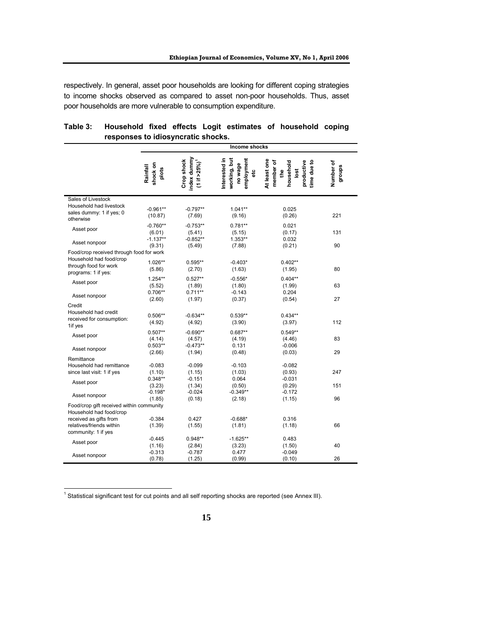respectively. In general, asset poor households are looking for different coping strategies to income shocks observed as compared to asset non-poor households. Thus, asset poor households are more vulnerable to consumption expenditure.

|                                                                                                                     |                                  |                                                                  | <b>Income shocks</b>                                        |                                                                                    |                     |
|---------------------------------------------------------------------------------------------------------------------|----------------------------------|------------------------------------------------------------------|-------------------------------------------------------------|------------------------------------------------------------------------------------|---------------------|
|                                                                                                                     | shock on<br>Rainfall<br>plots    | ndex dummy<br>Crop shock<br>$(1 \text{ if } >25\%)$ <sup>1</sup> | working, but<br>Interested in<br>employment<br>no wage<br>g | At least one<br>member of<br>household<br>productive<br>time due to<br>the<br>İost | Number of<br>groups |
| Sales of Livestock<br>Household had livestock<br>sales dummy: 1 if yes; 0<br>otherwise                              | $-0.961**$<br>(10.87)            | $-0.797**$<br>(7.69)                                             | $1.041**$<br>(9.16)                                         | 0.025<br>(0.26)                                                                    | 221                 |
| Asset poor                                                                                                          | $-0.760**$<br>(6.01)             | $-0.753**$<br>(5.41)                                             | $0.781**$<br>(5.15)                                         | 0.021<br>(0.17)                                                                    | 131                 |
| Asset nonpoor                                                                                                       | $-1.137**$<br>(9.31)             | -0.852**<br>(5.49)                                               | 1.353**<br>(7.88)                                           | 0.032<br>(0.21)                                                                    | 90                  |
| Food/crop received through food for work<br>Household had food/crop<br>through food for work<br>programs: 1 if yes: | 1.026**<br>(5.86)                | $0.595**$<br>(2.70)                                              | $-0.403*$<br>(1.63)                                         | $0.402**$<br>(1.95)                                                                | 80                  |
| Asset poor                                                                                                          | $1.254**$<br>(5.52)<br>$0.706**$ | $0.527**$<br>(1.89)                                              | $-0.556*$<br>(1.80)                                         | $0.404**$<br>(1.99)                                                                | 63                  |
| Asset nonpoor                                                                                                       | (2.60)                           | $0.711**$<br>(1.97)                                              | $-0.143$<br>(0.37)                                          | 0.204<br>(0.54)                                                                    | 27                  |
| Credit<br>Household had credit<br>received for consumption:<br>1if yes                                              | $0.506**$<br>(4.92)              | $-0.634**$<br>(4.92)                                             | $0.539**$<br>(3.90)                                         | $0.434**$<br>(3.97)                                                                | 112                 |
| Asset poor                                                                                                          | $0.507**$<br>(4.14)              | $-0.690**$<br>(4.57)                                             | $0.687**$<br>(4.19)                                         | $0.549**$<br>(4.46)                                                                | 83                  |
| Asset nonpoor                                                                                                       | $0.503**$<br>(2.66)              | $-0.473**$<br>(1.94)                                             | 0.131<br>(0.48)                                             | $-0.006$<br>(0.03)                                                                 | 29                  |
| Remittance<br>Household had remittance<br>since last visit: 1 if yes                                                | $-0.083$<br>(1.10)               | $-0.099$<br>(1.15)                                               | $-0.103$<br>(1.03)                                          | $-0.082$<br>(0.93)                                                                 | 247                 |
| Asset poor                                                                                                          | $0.348**$<br>(3.23)              | $-0.151$<br>(1.34)                                               | 0.064<br>(0.50)                                             | $-0.031$<br>(0.29)                                                                 | 151                 |
| Asset nonpoor                                                                                                       | $-0.198*$<br>(1.85)              | $-0.024$<br>(0.18)                                               | $-0.349**$<br>(2.18)                                        | $-0.172$<br>(1.15)                                                                 | 96                  |
| Food/crop gift received within community<br>Household had food/crop                                                 |                                  |                                                                  |                                                             |                                                                                    |                     |
| received as gifts from<br>relatives/friends within<br>community: 1 if yes                                           | $-0.384$<br>(1.39)               | 0.427<br>(1.55)                                                  | $-0.688*$<br>(1.81)                                         | 0.316<br>(1.18)                                                                    | 66                  |
| Asset poor                                                                                                          | $-0.445$<br>(1.16)               | $0.948**$<br>(2.84)<br>$-0.787$                                  | $-1.625**$<br>(3.23)<br>0.477                               | 0.483<br>(1.50)                                                                    | 40                  |
| Asset nonpoor                                                                                                       | $-0.313$<br>(0.78)               | (1.25)                                                           | (0.99)                                                      | $-0.049$<br>(0.10)                                                                 | 26                  |

#### **Table 3: Household fixed effects Logit estimates of household coping responses to idiosyncratic shocks.**

<sup>1</sup> Statistical significant test for cut points and all self reporting shocks are reported (see Annex III).

 $\overline{a}$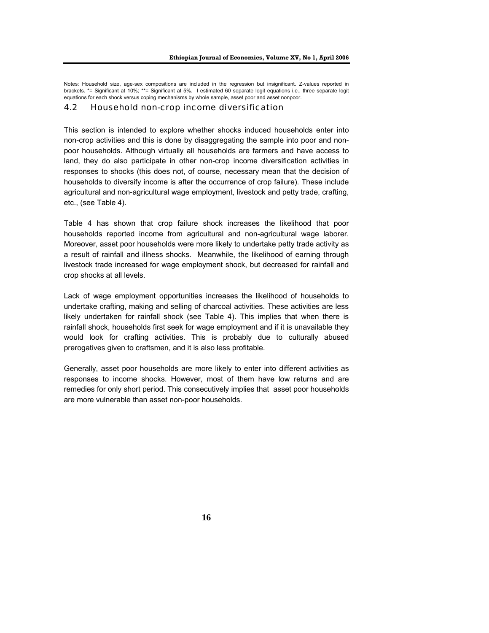Notes: Household size, age-sex compositions are included in the regression but insignificant. Z-values reported in brackets. \*= Significant at 10%; \*\*= Significant at 5%. I estimated 60 separate logit equations i.e., three separate logit equations for each shock versus coping mechanisms by whole sample, asset poor and asset nonpoor.

#### 4.2 Household non-crop income diversification

This section is intended to explore whether shocks induced households enter into non-crop activities and this is done by disaggregating the sample into poor and nonpoor households. Although virtually all households are farmers and have access to land, they do also participate in other non-crop income diversification activities in responses to shocks (this does not, of course, necessary mean that the decision of households to diversify income is after the occurrence of crop failure). These include agricultural and non-agricultural wage employment, livestock and petty trade, crafting, etc., (see Table 4).

Table 4 has shown that crop failure shock increases the likelihood that poor households reported income from agricultural and non-agricultural wage laborer. Moreover, asset poor households were more likely to undertake petty trade activity as a result of rainfall and illness shocks. Meanwhile, the likelihood of earning through livestock trade increased for wage employment shock, but decreased for rainfall and crop shocks at all levels.

Lack of wage employment opportunities increases the likelihood of households to undertake crafting, making and selling of charcoal activities. These activities are less likely undertaken for rainfall shock (see Table 4). This implies that when there is rainfall shock, households first seek for wage employment and if it is unavailable they would look for crafting activities. This is probably due to culturally abused prerogatives given to craftsmen, and it is also less profitable.

Generally, asset poor households are more likely to enter into different activities as responses to income shocks. However, most of them have low returns and are remedies for only short period. This consecutively implies that asset poor households are more vulnerable than asset non-poor households.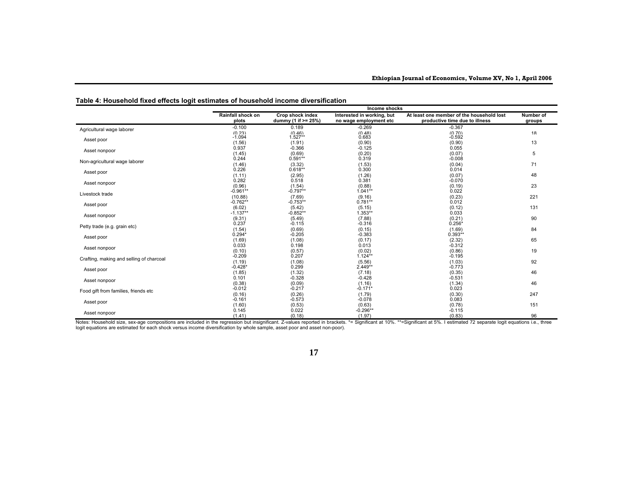|                                          | Income shocks              |                                            |                                                      |                                                                             |                     |  |  |  |  |
|------------------------------------------|----------------------------|--------------------------------------------|------------------------------------------------------|-----------------------------------------------------------------------------|---------------------|--|--|--|--|
|                                          | Rainfall shock on<br>plots | Crop shock index<br>dummy (1 if $>= 25\%)$ | Interested in working, but<br>no wage employment etc | At least one member of the household lost<br>productive time due to illness | Number of<br>groups |  |  |  |  |
| Agricultural wage laborer                | $-0.100$                   | 0.189                                      | $-0.269$                                             | $-0.367$                                                                    |                     |  |  |  |  |
|                                          | $(0.23)$<br>-1.094         | $(0.46)$<br>1.527**                        | $(0.48)$<br>$0.683$                                  | $(0.70)$<br>-0.592                                                          | 18                  |  |  |  |  |
| Asset poor                               | (1.56)                     | (1.91)                                     | (0.90)                                               | (0.90)                                                                      | 13                  |  |  |  |  |
|                                          | 0.937                      | $-0.366$                                   | $-0.125$                                             | 0.055                                                                       |                     |  |  |  |  |
| Asset nonpoor                            | (1.45)                     | (0.69)                                     | (0.20)                                               | (0.07)                                                                      | 5                   |  |  |  |  |
| Non-agricultural wage laborer            | 0.244                      | $0.591**$                                  | 0.319                                                | $-0.008$                                                                    |                     |  |  |  |  |
|                                          | (1.46)                     | (3.32)                                     | (1.53)                                               | (0.04)                                                                      | 71                  |  |  |  |  |
| Asset poor                               | 0.226                      | $0.618**$                                  | 0.300                                                | 0.014                                                                       |                     |  |  |  |  |
|                                          | (1.11)                     | (2.95)                                     | (1.26)                                               | (0.07)                                                                      | 48                  |  |  |  |  |
| Asset nonpoor                            | 0.282                      | 0.518                                      | 0.381                                                | $-0.070$                                                                    |                     |  |  |  |  |
|                                          | (0.96)<br>$-0.961**$       | (1.54)<br>$-0.797**$                       | (0.88)<br>$1.041**$                                  | (0.19)<br>0.022                                                             | 23                  |  |  |  |  |
| Livestock trade                          | (10.88)                    | (7.69)                                     | (9.16)                                               | (0.23)                                                                      | 221                 |  |  |  |  |
|                                          | $-0.762**$                 | $-0.753**$                                 | $0.781**$                                            | 0.012                                                                       |                     |  |  |  |  |
| Asset poor                               | (6.02)                     | (5.42)                                     | (5.15)                                               | (0.12)                                                                      | 131                 |  |  |  |  |
|                                          | $-1.137**$                 | $-0.852**$                                 | $1.353**$                                            | 0.033                                                                       |                     |  |  |  |  |
| Asset nonpoor                            | (9.31)                     | (5.49)                                     | (7.88)                                               | (0.21)                                                                      | 90                  |  |  |  |  |
| Petty trade (e.g. grain etc)             | 0.237                      | $-0.115$                                   | $-0.316$                                             | $0.256*$                                                                    |                     |  |  |  |  |
|                                          | (1.54)                     | (0.69)                                     | (0.15)                                               | (1.69)                                                                      | 84                  |  |  |  |  |
| Asset poor                               | $0.294*$                   | $-0.205$                                   | $-0.383$                                             | $0.393**$                                                                   |                     |  |  |  |  |
|                                          | (1.69)                     | (1.08)                                     | (0.17)                                               | (2.32)                                                                      | 65                  |  |  |  |  |
| Asset nonpoor                            | 0.033                      | 0.198                                      | 0.013                                                | $-0.312$                                                                    |                     |  |  |  |  |
|                                          | (0.10)<br>$-0.209$         | (0.57)<br>0.207                            | (0.02)<br>$1.124**$                                  | (0.86)<br>$-0.195$                                                          | 19                  |  |  |  |  |
| Crafting, making and selling of charcoal | (1.19)                     | (1.08)                                     | (5.56)                                               | (1.03)                                                                      | 92                  |  |  |  |  |
|                                          | $-0.428*$                  | 0.299                                      | $2.449**$                                            | $-0.773$                                                                    |                     |  |  |  |  |
| Asset poor                               | (1.85)                     | (1.32)                                     | (7.18)                                               | (0.35)                                                                      | 46                  |  |  |  |  |
|                                          | 0.101                      | $-0.328$                                   | $-0.428$                                             | $-0.531$                                                                    |                     |  |  |  |  |
| Asset nonpoor                            | (0.38)                     | (0.09)                                     | (1.16)                                               | (1.34)                                                                      | 46                  |  |  |  |  |
| Food gift from families, friends etc     | $-0.012$                   | $-0.217$                                   | $-0.171*$                                            | 0.023                                                                       |                     |  |  |  |  |
|                                          | (0.16)                     | (0.26)                                     | (1.79)                                               | (0.30)                                                                      | 247                 |  |  |  |  |
| Asset poor                               | $-0.161$                   | $-0.573$                                   | $-0.078$                                             | 0.083                                                                       |                     |  |  |  |  |
|                                          | (1.60)<br>0.145            | (0.53)<br>0.022                            | (0.63)<br>$-0.296**$                                 | (0.78)<br>$-0.115$                                                          | 151                 |  |  |  |  |
| Asset nonpoor                            | (1.41)                     | (0.18)                                     | (1.97)                                               | (0.83)                                                                      | 96                  |  |  |  |  |
|                                          |                            |                                            |                                                      |                                                                             |                     |  |  |  |  |

**Table 4: Household fixed effects logit estimates of household income diversification** 

Asset nonpoor Changle State of Changle State of Changle State of Changle State Changle State Changle State Changle State Changle State Changle State Changle State Changle State Changle State Changle State Changle State Cha

#### **17**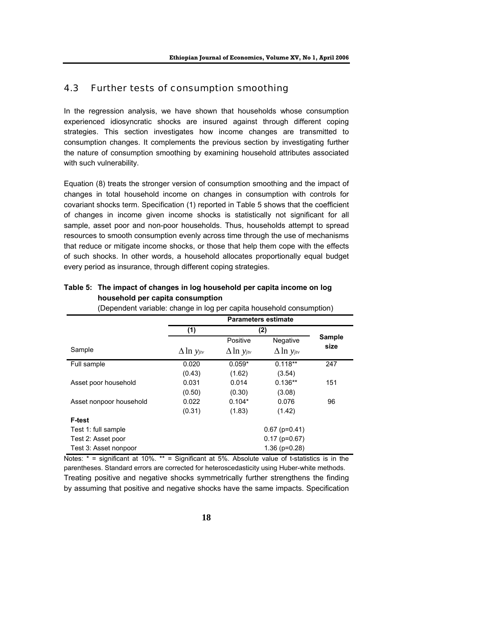### 4.3 Further tests of consumption smoothing

In the regression analysis, we have shown that households whose consumption experienced idiosyncratic shocks are insured against through different coping strategies. This section investigates how income changes are transmitted to consumption changes. It complements the previous section by investigating further the nature of consumption smoothing by examining household attributes associated with such vulnerability.

Equation (8) treats the stronger version of consumption smoothing and the impact of changes in total household income on changes in consumption with controls for covariant shocks term. Specification (1) reported in Table 5 shows that the coefficient of changes in income given income shocks is statistically not significant for all sample, asset poor and non-poor households. Thus, households attempt to spread resources to smooth consumption evenly across time through the use of mechanisms that reduce or mitigate income shocks, or those that help them cope with the effects of such shocks. In other words, a household allocates proportionally equal budget every period as insurance, through different coping strategies.

|                         |                      | <b>Parameters estimate</b>       |                              |                       |  |  |  |  |
|-------------------------|----------------------|----------------------------------|------------------------------|-----------------------|--|--|--|--|
|                         | (1)                  |                                  | (2)                          |                       |  |  |  |  |
| Sample                  | $\Delta \ln y_{jtv}$ | Positive<br>$\Delta \ln y_{jtv}$ | Negative<br>$\Delta$ ln yjtv | <b>Sample</b><br>size |  |  |  |  |
| Full sample             | 0.020<br>(0.43)      | $0.059*$<br>(1.62)               | $0.118**$<br>(3.54)          | 247                   |  |  |  |  |
| Asset poor household    | 0.031<br>(0.50)      | 0.014<br>(0.30)                  | $0.136**$<br>(3.08)          | 151                   |  |  |  |  |
| Asset nonpoor household | 0.022<br>(0.31)      | $0.104*$<br>(1.83)               | 0.076<br>(1.42)              | 96                    |  |  |  |  |
| F-test                  |                      |                                  |                              |                       |  |  |  |  |
| Test 1: full sample     |                      |                                  | $0.67$ (p=0.41)              |                       |  |  |  |  |
| Test 2: Asset poor      |                      |                                  | $0.17$ (p=0.67)              |                       |  |  |  |  |
| Test 3: Asset nonpoor   |                      |                                  | $1.36$ ( $p=0.28$ )          |                       |  |  |  |  |

#### **Table 5: The impact of changes in log household per capita income on log household per capita consumption**

(Dependent variable: change in log per capita household consumption)

Notes: \* = significant at 10%. \*\* = Significant at 5%. Absolute value of t-statistics is in the parentheses. Standard errors are corrected for heteroscedasticity using Huber-white methods. Treating positive and negative shocks symmetrically further strengthens the finding by assuming that positive and negative shocks have the same impacts. Specification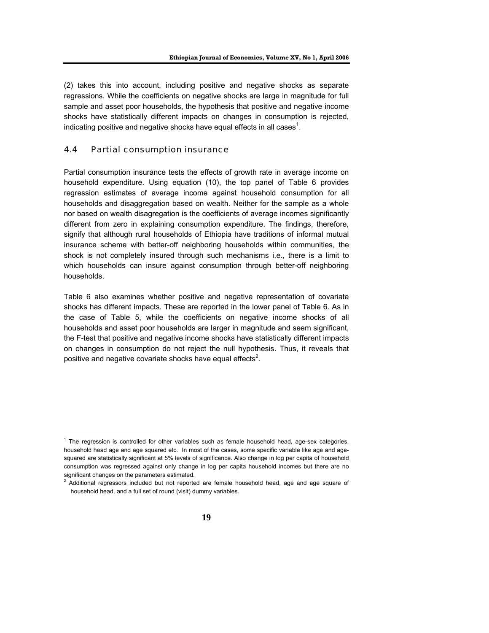(2) takes this into account, including positive and negative shocks as separate regressions. While the coefficients on negative shocks are large in magnitude for full sample and asset poor households, the hypothesis that positive and negative income shocks have statistically different impacts on changes in consumption is rejected, indicating positive and negative shocks have equal effects in all cases<sup>1</sup>.

#### 4.4 Partial consumption insurance

Partial consumption insurance tests the effects of growth rate in average income on household expenditure. Using equation (10), the top panel of Table 6 provides regression estimates of average income against household consumption for all households and disaggregation based on wealth. Neither for the sample as a whole nor based on wealth disagregation is the coefficients of average incomes significantly different from zero in explaining consumption expenditure. The findings, therefore, signify that although rural households of Ethiopia have traditions of informal mutual insurance scheme with better-off neighboring households within communities, the shock is not completely insured through such mechanisms i.e., there is a limit to which households can insure against consumption through better-off neighboring households.

Table 6 also examines whether positive and negative representation of covariate shocks has different impacts. These are reported in the lower panel of Table 6. As in the case of Table 5, while the coefficients on negative income shocks of all households and asset poor households are larger in magnitude and seem significant, the F-test that positive and negative income shocks have statistically different impacts on changes in consumption do not reject the null hypothesis. Thus, it reveals that positive and negative covariate shocks have equal effects<sup>2</sup>.

 1 The regression is controlled for other variables such as female household head, age-sex categories, household head age and age squared etc. In most of the cases, some specific variable like age and agesquared are statistically significant at 5% levels of significance. Also change in log per capita of household consumption was regressed against only change in log per capita household incomes but there are no significant changes on the parameters estimated.

 $2$  Additional regressors included but not reported are female household head, age and age square of household head, and a full set of round (visit) dummy variables.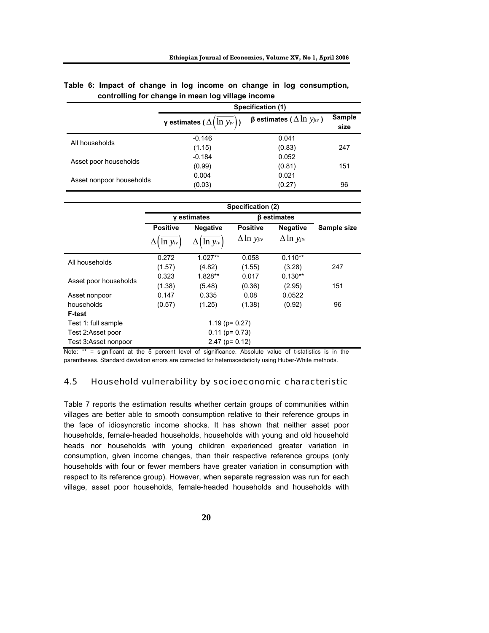|                          | Specification (1)                 |                                        |                |  |  |  |  |  |
|--------------------------|-----------------------------------|----------------------------------------|----------------|--|--|--|--|--|
|                          | γ estimates ( $\Delta(\ln y_w)$ ) | <b>β</b> estimates ( $Δ \ln y_{jtv}$ ) | Sample<br>size |  |  |  |  |  |
| All households           | $-0.146$                          | 0.041                                  |                |  |  |  |  |  |
|                          | (1.15)                            | (0.83)                                 | 247            |  |  |  |  |  |
|                          | $-0.184$                          | 0.052                                  |                |  |  |  |  |  |
| Asset poor households    | (0.99)                            | (0.81)                                 | 151            |  |  |  |  |  |
| Asset nonpoor households | 0.004                             | 0.021                                  |                |  |  |  |  |  |
|                          | (0.03)                            | (0.27)                                 | 96             |  |  |  |  |  |

#### **Table 6: Impact of change in log income on change in log consumption, controlling for change in mean log village income**

|                       |                 | Specification (2) |                  |                           |             |
|-----------------------|-----------------|-------------------|------------------|---------------------------|-------------|
|                       |                 | y estimates       |                  | <b><i>β</i></b> estimates |             |
|                       | <b>Positive</b> | <b>Negative</b>   | <b>Positive</b>  | <b>Negative</b>           | Sample size |
|                       | $\ln y_{tv}$    | $\ln y_w$         | $\Delta$ ln yjtv | $\Delta$ ln yjtv          |             |
| All households        | 0.272           | $1.027**$         | 0.058            | $0.110**$                 |             |
|                       | (1.57)          | (4.82)            | (1.55)           | (3.28)                    | 247         |
|                       | 0.323           | 1.828**           | 0.017            | $0.130**$                 |             |
| Asset poor households | (1.38)          | (5.48)            | (0.36)           | (2.95)                    | 151         |
| Asset nonpoor         | 0.147           | 0.335             | 0.08             | 0.0522                    |             |
| households            | (0.57)          | (1.25)            | (1.38)           | (0.92)                    | 96          |
| F-test                |                 |                   |                  |                           |             |
| Test 1: full sample   |                 | $1.19$ (p= 0.27)  |                  |                           |             |
| Test 2:Asset poor     |                 | $0.11$ (p= 0.73)  |                  |                           |             |
| Test 3:Asset nonpoor  |                 | $2.47$ (p= 0.12)  |                  |                           |             |

Note: \*\* = significant at the 5 percent level of significance. Absolute value of t-statistics is in the parentheses. Standard deviation errors are corrected for heteroscedaticity using Huber-White methods.

#### 4.5 Household vulnerability by socioeconomic characteristic

Table 7 reports the estimation results whether certain groups of communities within villages are better able to smooth consumption relative to their reference groups in the face of idiosyncratic income shocks. It has shown that neither asset poor households, female-headed households, households with young and old household heads nor households with young children experienced greater variation in consumption, given income changes, than their respective reference groups (only households with four or fewer members have greater variation in consumption with respect to its reference group). However, when separate regression was run for each village, asset poor households, female-headed households and households with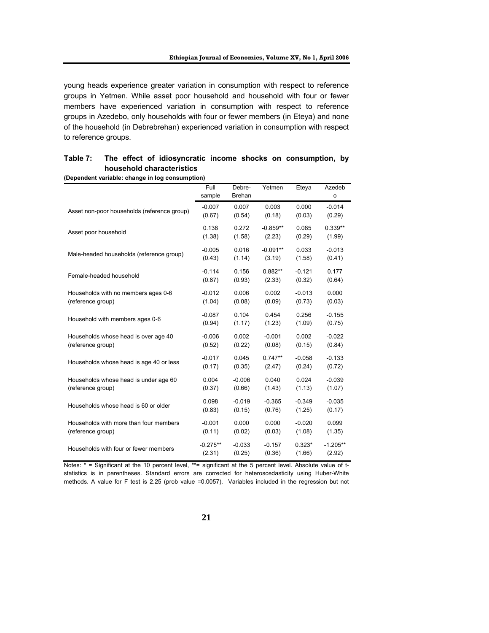young heads experience greater variation in consumption with respect to reference groups in Yetmen. While asset poor household and household with four or fewer members have experienced variation in consumption with respect to reference groups in Azedebo, only households with four or fewer members (in Eteya) and none of the household (in Debrebrehan) experienced variation in consumption with respect to reference groups.

| Dependent vanabie. Change in log consumption, | Full       | Debre-   | Yetmen     | Eteya    | Azedeb       |
|-----------------------------------------------|------------|----------|------------|----------|--------------|
|                                               | sample     | Brehan   |            |          | $\mathsf{o}$ |
| Asset non-poor households (reference group)   | $-0.007$   | 0.007    | 0.003      | 0.000    | $-0.014$     |
|                                               | (0.67)     | (0.54)   | (0.18)     | (0.03)   | (0.29)       |
| Asset poor household                          | 0.138      | 0.272    | $-0.859**$ | 0.085    | $0.339**$    |
|                                               | (1.38)     | (1.58)   | (2.23)     | (0.29)   | (1.99)       |
| Male-headed households (reference group)      | $-0.005$   | 0.016    | $-0.091**$ | 0.033    | $-0.013$     |
|                                               | (0.43)     | (1.14)   | (3.19)     | (1.58)   | (0.41)       |
| Female-headed household                       | $-0.114$   | 0.156    | $0.882**$  | $-0.121$ | 0.177        |
|                                               | (0.87)     | (0.93)   | (2.33)     | (0.32)   | (0.64)       |
| Households with no members ages 0-6           | $-0.012$   | 0.006    | 0.002      | $-0.013$ | 0.000        |
| (reference group)                             | (1.04)     | (0.08)   | (0.09)     | (0.73)   | (0.03)       |
| Household with members ages 0-6               | $-0.087$   | 0.104    | 0.454      | 0.256    | $-0.155$     |
|                                               | (0.94)     | (1.17)   | (1.23)     | (1.09)   | (0.75)       |
| Households whose head is over age 40          | $-0.006$   | 0.002    | $-0.001$   | 0.002    | $-0.022$     |
| (reference group)                             | (0.52)     | (0.22)   | (0.08)     | (0.15)   | (0.84)       |
| Households whose head is age 40 or less       | $-0.017$   | 0.045    | $0.747**$  | $-0.058$ | $-0.133$     |
|                                               | (0.17)     | (0.35)   | (2.47)     | (0.24)   | (0.72)       |
| Households whose head is under age 60         | 0.004      | $-0.006$ | 0.040      | 0.024    | $-0.039$     |
| (reference group)                             | (0.37)     | (0.66)   | (1.43)     | (1.13)   | (1.07)       |
| Households whose head is 60 or older          | 0.098      | $-0.019$ | $-0.365$   | $-0.349$ | $-0.035$     |
|                                               | (0.83)     | (0.15)   | (0.76)     | (1.25)   | (0.17)       |
| Households with more than four members        | $-0.001$   | 0.000    | 0.000      | $-0.020$ | 0.099        |
| (reference group)                             | (0.11)     | (0.02)   | (0.03)     | (1.08)   | (1.35)       |
| Households with four or fewer members         | $-0.275**$ | $-0.033$ | $-0.157$   | $0.323*$ | $-1.205**$   |
|                                               | (2.31)     | (0.25)   | (0.36)     | (1.66)   | (2.92)       |

## **Table 7: The effect of idiosyncratic income shocks on consumption, by household characteristics**

**(Dependent variable: change in log consumption)** 

Notes: \* = Significant at the 10 percent level, \*\*= significant at the 5 percent level. Absolute value of tstatistics is in parentheses. Standard errors are corrected for heteroscedasticity using Huber-White methods. A value for F test is 2.25 (prob value =0.0057). Variables included in the regression but not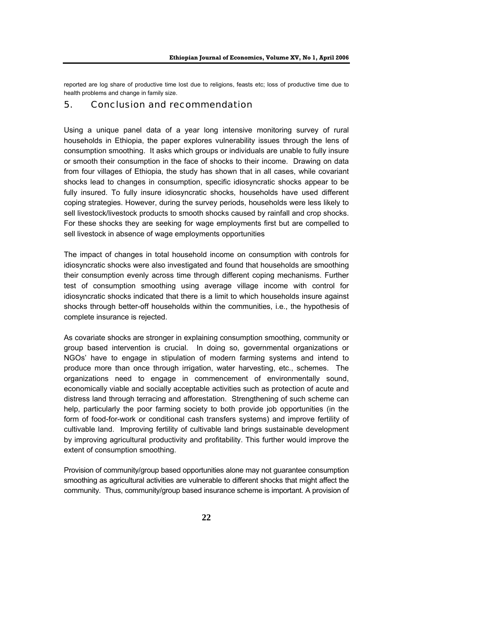reported are log share of productive time lost due to religions, feasts etc; loss of productive time due to health problems and change in family size.

### 5. Conclusion and recommendation

Using a unique panel data of a year long intensive monitoring survey of rural households in Ethiopia, the paper explores vulnerability issues through the lens of consumption smoothing. It asks which groups or individuals are unable to fully insure or smooth their consumption in the face of shocks to their income. Drawing on data from four villages of Ethiopia, the study has shown that in all cases, while covariant shocks lead to changes in consumption, specific idiosyncratic shocks appear to be fully insured. To fully insure idiosyncratic shocks, households have used different coping strategies. However, during the survey periods, households were less likely to sell livestock/livestock products to smooth shocks caused by rainfall and crop shocks. For these shocks they are seeking for wage employments first but are compelled to sell livestock in absence of wage employments opportunities

The impact of changes in total household income on consumption with controls for idiosyncratic shocks were also investigated and found that households are smoothing their consumption evenly across time through different coping mechanisms. Further test of consumption smoothing using average village income with control for idiosyncratic shocks indicated that there is a limit to which households insure against shocks through better-off households within the communities, i.e., the hypothesis of complete insurance is rejected.

As covariate shocks are stronger in explaining consumption smoothing, community or group based intervention is crucial. In doing so, governmental organizations or NGOs' have to engage in stipulation of modern farming systems and intend to produce more than once through irrigation, water harvesting, etc., schemes. The organizations need to engage in commencement of environmentally sound, economically viable and socially acceptable activities such as protection of acute and distress land through terracing and afforestation. Strengthening of such scheme can help, particularly the poor farming society to both provide job opportunities (in the form of food-for-work or conditional cash transfers systems) and improve fertility of cultivable land. Improving fertility of cultivable land brings sustainable development by improving agricultural productivity and profitability. This further would improve the extent of consumption smoothing.

Provision of community/group based opportunities alone may not guarantee consumption smoothing as agricultural activities are vulnerable to different shocks that might affect the community. Thus, community/group based insurance scheme is important. A provision of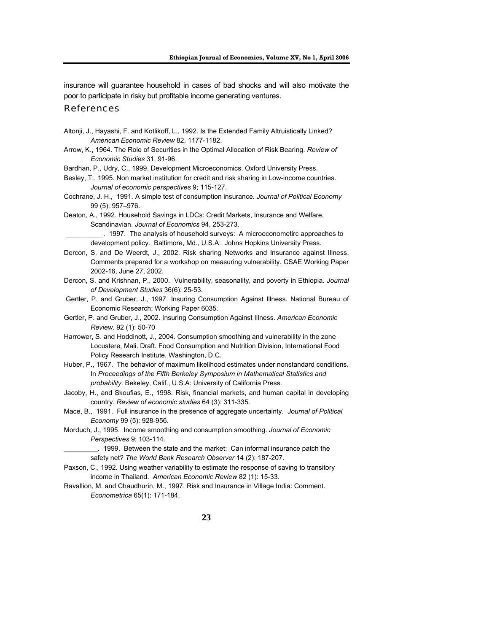insurance will guarantee household in cases of bad shocks and will also motivate the poor to participate in risky but profitable income generating ventures.

#### References

- Altonji, J., Hayashi, F. and Kotlikoff, L., 1992. Is the Extended Family Altruistically Linked? *American Economic Review* 82, 1177-1182.
- Arrow, K., 1964. The Role of Securities in the Optimal Allocation of Risk Bearing. *Review of Economic Studies* 31, 91-96.

Bardhan, P., Udry, C., 1999. Development Microeconomics. Oxford University Press.

- Besley, T., 1995. Non market institution for credit and risk sharing in Low-income countries. *Journal of economic perspectives* 9; 115-127.
- Cochrane, J. H., 1991*.* A simple test of consumption insurance*. Journal of Political Economy* 99 (5): 957–976.
- Deaton, A., 1992. Household Savings in LDCs: Credit Markets, Insurance and Welfare. Scandinavian. *Journal of Economics* 94, 253-273.

 \_\_\_\_\_\_\_\_\_\_. 1997. The analysis of household surveys: A microeconometirc approaches to development policy. Baltimore, Md., U.S.A: Johns Hopkins University Press.

- Dercon, S. and De Weerdt, J., 2002. Risk sharing Networks and Insurance against Illness. Comments prepared for a workshop on measuring vulnerability. CSAE Working Paper 2002-16, June 27, 2002.
- Dercon, S. and Krishnan, P., 2000. Vulnerability, seasonality, and poverty in Ethiopia. *Journal of Development Studies* 36(6): 25-53.
- Gertler, P. and Gruber, J., 1997. Insuring Consumption Against Illness. National Bureau of Economic Research; Working Paper 6035.
- Gertler, P. and Gruber, J., 2002. Insuring Consumption Against Illness. *American Economic Review*. 92 (1): 50-70
- Harrower, S. and Hoddinott, J., 2004. Consumption smoothing and vulnerability in the zone Locustere, Mali. Draft. Food Consumption and Nutrition Division, International Food Policy Research Institute, Washington, D.C.
- Huber, P., 1967. The behavior of maximum likelihood estimates under nonstandard conditions. In *Proceedings of the Fifth Berkeley Symposium in Mathematical Statistics and probability.* Bekeley, Calif., U.S.A: University of California Press.
- Jacoby, H., and Skoufias, E., 1998. Risk, financial markets, and human capital in developing country. *Review of economic studies* 64 (3): 311-335.
- Mace, B., 1991. Full insurance in the presence of aggregate uncertainty. *Journal of Political Economy* 99 (5): 928-956.
- Morduch, J., 1995. Income smoothing and consumption smoothing. *Journal of Economic Perspectives* 9; 103-114.
	- \_\_\_\_\_\_\_\_\_. 1999. Between the state and the market: Can informal insurance patch the safety net? *The World Bank Research Observer* 14 (2): 187-207.
- Paxson, C., 1992. Using weather variability to estimate the response of saving to transitory income in Thailand. *American Economic Review* 82 (1): 15-33.
- Ravallion, M. and Chaudhurin, M., 1997. Risk and Insurance in Village India: Comment. *Econometrica* 65(1): 171-184.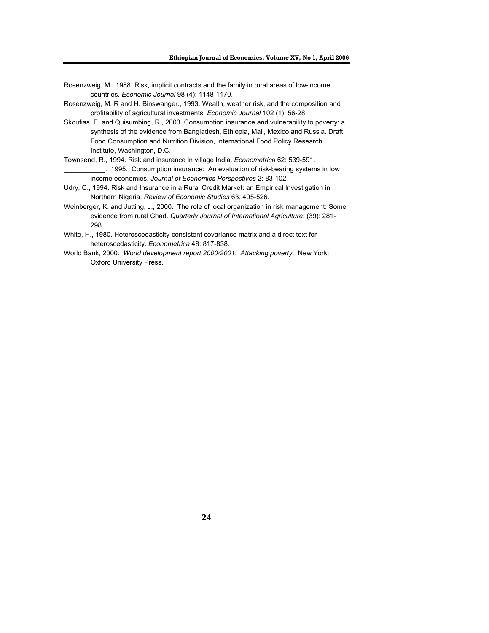- Rosenzweig, M., 1988. Risk, implicit contracts and the family in rural areas of low-income countries. *Economic Journal* 98 (4): 1148-1170.
- Rosenzweig, M. R and H. Binswanger., 1993. Wealth, weather risk, and the composition and profitability of agricultural investments. *Economic Journal* 102 (1): 56-28.
- Skoufias, E. and Quisumbing, R., 2003. Consumption insurance and vulnerability to poverty: a synthesis of the evidence from Bangladesh, Ethiopia, Mail, Mexico and Russia. Draft. Food Consumption and Nutrition Division, International Food Policy Research Institute, Washington, D.C.
- Townsend, R., 1994. Risk and insurance in village India. *Econometrica* 62: 539-591. \_\_\_\_\_\_\_\_\_\_\_. 1995. Consumption insurance: An evaluation of risk-bearing systems in low income economies. *Journal of Economics Perspectives* 2: 83-102.
- Udry, C., 1994. Risk and Insurance in a Rural Credit Market: an Empirical Investigation in Northern Nigeria. *Review of Economic Studies* 63, 495-526.
- Weinberger, K. and Jutting, J., 2000. The role of local organization in risk management: Some evidence from rural Chad. *Quarterly Journal of International Agriculture*; (39): 281- 298.
- White, H., 1980. Heteroscedasticity-consistent covariance matrix and a direct text for heteroscedasticity. *Econometrica* 48: 817-838.
- World Bank, 2000. *World development report 2000/2001*: *Attacking poverty*. New York: Oxford University Press.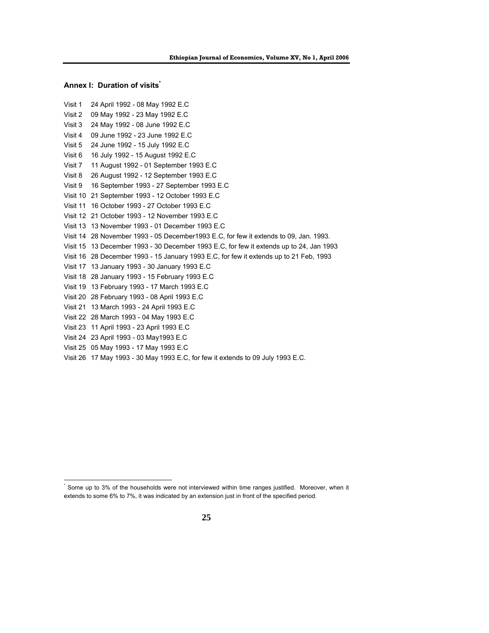#### **Annex I: Duration of visits**

l

```
Visit 1 24 April 1992 - 08 May 1992 E.C 
Visit 2 09 May 1992 - 23 May 1992 E.C 
Visit 3 24 May 1992 - 08 June 1992 E.C 
Visit 4 09 June 1992 - 23 June 1992 E.C 
Visit 5 24 June 1992 - 15 July 1992 E.C 
Visit 6 16 July 1992 - 15 August 1992 E.C 
Visit 7 11 August 1992 - 01 September 1993 E.C 
Visit 8 26 August 1992 - 12 September 1993 E.C 
Visit 9 16 September 1993 - 27 September 1993 E.C 
Visit 10 21 September 1993 - 12 October 1993 E.C 
Visit 11 16 October 1993 - 27 October 1993 E.C 
Visit 12 21 October 1993 - 12 November 1993 E.C 
Visit 13 13 November 1993 - 01 December 1993 E.C 
Visit 14 28 November 1993 - 05 December1993 E.C, for few it extends to 09, Jan. 1993. 
Visit 15 13 December 1993 - 30 December 1993 E.C, for few it extends up to 24, Jan 1993 
Visit 16 28 December 1993 - 15 January 1993 E.C, for few it extends up to 21 Feb, 1993 
Visit 17 13 January 1993 - 30 January 1993 E.C 
Visit 18 28 January 1993 - 15 February 1993 E.C 
Visit 19 13 February 1993 - 17 March 1993 E.C 
Visit 20 28 February 1993 - 08 April 1993 E.C 
Visit 21 13 March 1993 - 24 April 1993 E.C 
Visit 22 28 March 1993 - 04 May 1993 E.C 
Visit 23 11 April 1993 - 23 April 1993 E.C 
Visit 24 23 April 1993 - 03 May1993 E.C 
Visit 25 05 May 1993 - 17 May 1993 E.C
```
Visit 26 17 May 1993 - 30 May 1993 E.C, for few it extends to 09 July 1993 E.C.

<sup>\*</sup> Some up to 3% of the households were not interviewed within time ranges justified. Moreover, when it extends to some 6% to 7%, it was indicated by an extension just in front of the specified period.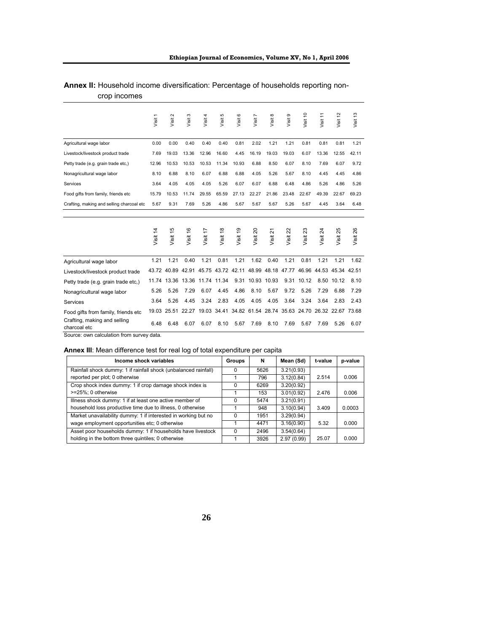|                                                                                           | Visit 1  | $\sim$<br>Visit: | S<br>Visit | Visit 4           | Visit 5  | Visit 6  | Visit 7                                                                       | Visit 8  | Visit 9  | Visit 10                            | Visit 11 | Visit 12          | Visit 13 |
|-------------------------------------------------------------------------------------------|----------|------------------|------------|-------------------|----------|----------|-------------------------------------------------------------------------------|----------|----------|-------------------------------------|----------|-------------------|----------|
| Agricultural wage labor                                                                   | 0.00     | 0.00             | 0.40       | 0.40              | 0.40     | 0.81     | 2.02                                                                          | 1.21     | 1.21     | 0.81                                | 0.81     | 0.81              | 1.21     |
| Livestock/livestock product trade                                                         | 7.69     | 19.03            | 13.36      | 12.96             | 16.60    | 4.45     | 16.19                                                                         | 19.03    | 19.03    | 6.07                                | 13.36    | 12.55             | 42.11    |
| Petty trade (e.g. grain trade etc,)                                                       | 12.96    | 10.53            | 10.53      | 10.53             | 11.34    | 10.93    | 6.88                                                                          | 8.50     | 6.07     | 8.10                                | 7.69     | 6.07              | 9.72     |
| Nonagricultural wage labor                                                                | 8.10     | 6.88             | 8.10       | 6.07              | 6.88     | 6.88     | 4.05                                                                          | 5.26     | 5.67     | 8.10                                | 4.45     | 4.45              | 4.86     |
| Services                                                                                  | 3.64     | 4.05             | 4.05       | 4.05              | 5.26     | 6.07     | 6.07                                                                          | 6.88     | 6.48     | 4.86                                | 5.26     | 4.86              | 5.26     |
| Food gifts from family, friends etc                                                       | 15.79    | 10.53            | 11.74      | 29.55             | 65.59    | 27.13    | 22.27                                                                         | 21.86    | 23.48    | 22.67                               | 49.39    | 22.67             | 69.23    |
| Crafting, making and selling charcoal etc                                                 | 5.67     | 9.31             | 7.69       | 5.26              | 4.86     | 5.67     | 5.67                                                                          | 5.67     | 5.26     | 5.67                                | 4.45     | 3.64              | 6.48     |
|                                                                                           | Visit 14 | Visit 15         | Visit 16   | Visit 17          | Visit 18 | Visit 19 | Visit 20                                                                      | Visit 21 | Visit 22 | $\boldsymbol{\mathcal{Z}}$<br>Visit | Visit 24 | Visit 25          | Visit 26 |
| Agricultural wage labor                                                                   | 1.21     | 1.21             | 0.40       | 1.21              | 0.81     | 1.21     | 1.62                                                                          | 0.40     | 1.21     | 0.81                                | 1.21     | 1.21              | 1.62     |
| Livestock/livestock product trade                                                         |          |                  |            |                   |          |          | 43.72 40.89 42.91 45.75 43.72 42.11 48.99 48.18 47.77 46.96 44.53 45.34 42.51 |          |          |                                     |          |                   |          |
| Petty trade (e.g. grain trade etc,)                                                       | 11.74    | 13.36            |            | 13.36 11.74 11.34 |          | 9.31     | 10.93                                                                         | 10.93    | 9.31     | 10.12                               | 8.50     | 10.12             | 8.10     |
| Nonagricultural wage labor                                                                | 5.26     | 5.26             | 7.29       | 6.07              | 4.45     | 4.86     | 8.10                                                                          | 5.67     | 9.72     | 5.26                                | 7.29     | 6.88              | 7.29     |
| Services                                                                                  | 3.64     | 5.26             | 4.45       | 3.24              | 2.83     | 4.05     | 4.05                                                                          | 4.05     | 3.64     | 3.24                                | 3.64     | 2.83              | 2.43     |
| Food gifts from family, friends etc.                                                      | 19.03    |                  |            |                   |          |          | 25.51 22.27 19.03 34.41 34.82 61.54 28.74 35.63 24.70                         |          |          |                                     |          | 26.32 22.67 73.68 |          |
| Crafting, making and selling<br>charcoal etc<br>Source: own calculation from survey data. | 6.48     | 6.48             | 6.07       | 6.07              | 8.10     | 5.67     | 7.69                                                                          | 8.10     | 7.69     | 5.67                                | 7.69     | 5.26              | 6.07     |

### **Annex II:** Household income diversification: Percentage of households reporting noncrop incomes

**Annex III**: Mean difference test for real log of total expenditure per capita

| Income shock variables                                          | Groups       | N    | Mean (Sd)  | t-value | p-value |
|-----------------------------------------------------------------|--------------|------|------------|---------|---------|
| Rainfall shock dummy: 1 if rainfall shock (unbalanced rainfall) | 0            | 5626 | 3.21(0.93) |         |         |
| reported per plot; 0 otherwise                                  |              | 796  | 3.12(0.84) | 2.514   | 0.006   |
| Crop shock index dummy: 1 if crop damage shock index is         | 0            | 6269 | 3.20(0.92) |         |         |
| >=25%; 0 otherwise                                              |              | 153  | 3.01(0.92) | 2.476   | 0.006   |
| Illness shock dummy: 1 if at least one active member of         | <sup>0</sup> | 5474 | 3.21(0.91) |         |         |
| household loss productive time due to illness, 0 otherwise      |              | 948  | 3.10(0.94) | 3.409   | 0.0003  |
| Market unavailability dummy: 1 if interested in working but no  | <sup>0</sup> | 1951 | 3.29(0.94) |         |         |
| wage employment opportunities etc; 0 otherwise                  |              | 4471 | 3.16(0.90) | 5.32    | 0.000   |
| Asset poor households dummy: 1 if households have livestock     | $\Omega$     | 2496 | 3.54(0.64) |         |         |
| holding in the bottom three quintiles; 0 otherwise              |              | 3926 | 2.97(0.99) | 25.07   | 0.000   |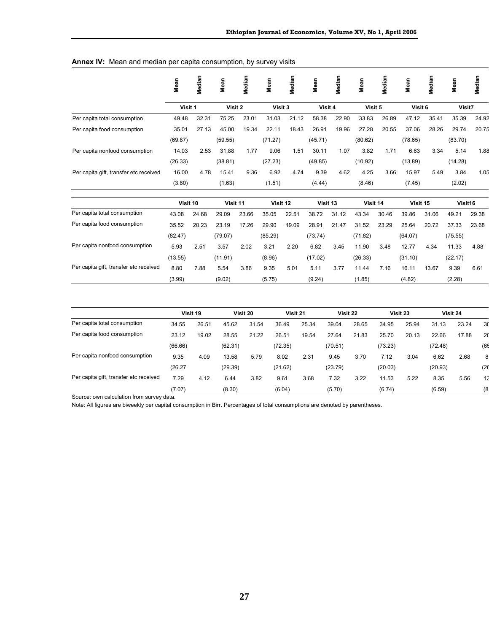#### **Annex IV:** Mean and median per capita consumption, by survey visits

|                                        | Mean    | Median | Mean    | Vledian | Mean    | Median | Mean    | Median | Mean    | Median | Mean    | Median | Mean    | Median |
|----------------------------------------|---------|--------|---------|---------|---------|--------|---------|--------|---------|--------|---------|--------|---------|--------|
|                                        | Visit 1 |        | Visit 2 |         | Visit 3 |        | Visit 4 |        | Visit 5 |        | Visit 6 |        | Visit7  |        |
| Per capita total consumption           | 49.48   | 32.31  | 75.25   | 23.01   | 31.03   | 21.12  | 58.38   | 22.90  | 33.83   | 26.89  | 47.12   | 35.41  | 35.39   | 24.92  |
| Per capita food consumption            | 35.01   | 27.13  | 45.00   | 19.34   | 22.11   | 18.43  | 26.91   | 19.96  | 27.28   | 20.55  | 37.06   | 28.26  | 29.74   | 20.75  |
|                                        | (69.87) |        | (59.55) |         | (71.27) |        | (45.71) |        | (80.62) |        | (78.65) |        | (83.70) |        |
| Per capita nonfood consumption         | 14.03   | 2.53   | 31.88   | 1.77    | 9.06    | 1.51   | 30.11   | 1.07   | 3.82    | 1.71   | 6.63    | 3.34   | 5.14    | 1.88   |
|                                        | (26.33) |        | (38.81) |         | (27.23) |        | (49.85) |        | (10.92) |        | (13.89) |        | (14.28) |        |
| Per capita gift, transfer etc received | 16.00   | 4.78   | 15.41   | 9.36    | 6.92    | 4.74   | 9.39    | 4.62   | 4.25    | 3.66   | 15.97   | 5.49   | 3.84    | 1.05   |
|                                        | (3.80)  |        | (1.63)  |         | (1.51)  |        | (4.44)  |        | (8.46)  |        | (7.45)  |        | (2.02)  |        |
|                                        |         |        |         |         |         |        |         |        |         |        |         |        |         |        |

|                                        | Visit 10 |       | Visit 11 |       | Visit 12 |       | Visit 13 |       | Visit 14 |       | Visit 15 |       | Visit <sub>16</sub> |       |
|----------------------------------------|----------|-------|----------|-------|----------|-------|----------|-------|----------|-------|----------|-------|---------------------|-------|
| Per capita total consumption           | 43.08    | 24.68 | 29.09    | 23.66 | 35.05    | 22.51 | 38.72    | 31.12 | 43.34    | 30.46 | 39.86    | 31.06 | 49.21               | 29.38 |
| Per capita food consumption            | 35.52    | 20.23 | 23.19    | 17.26 | 29.90    | 19.09 | 28.91    | 21.47 | 31.52    | 23.29 | 25.64    | 20.72 | 37.33               | 23.68 |
|                                        | (82.47)  |       | (79.07)  |       | (85.29)  |       | (73.74)  |       | (71.82)  |       | (64.07)  |       | (75.55)             |       |
| Per capita nonfood consumption         | 5.93     | 2.51  | 3.57     | 2.02  | 3.21     | 2.20  | 6.82     | 3.45  | 11.90    | 3.48  | 12.77    | 4.34  | 11.33               | 4.88  |
|                                        | (13.55)  |       | (11.91)  |       | (8.96)   |       | (17.02)  |       | (26.33)  |       | (31.10)  |       | (22.17)             |       |
| Per capita gift, transfer etc received | 8.80     | 7.88  | 5.54     | 3.86  | 9.35     | 5.01  | 5.11     | 3.77  | 11.44    | 7.16  | 16.11    | 13.67 | 9.39                | 6.61  |
|                                        | (3.99)   |       | (9.02)   |       | (5.75)   |       | (9.24)   |       | (1.85)   |       | (4.82)   |       | (2.28)              |       |

| Per capita total consumption           | Visit 19 |       | Visit 20 |       | Visit 21 |       | Visit 22 |       | Visit 23 |       | Visit 24 |       |     |  |
|----------------------------------------|----------|-------|----------|-------|----------|-------|----------|-------|----------|-------|----------|-------|-----|--|
|                                        | 34.55    | 26.51 | 45.62    | 31.54 | 36.49    | 25.34 | 39.04    | 28.65 | 34.95    | 25.94 | 31.13    | 23.24 | 30  |  |
| Per capita food consumption            | 23.12    | 19.02 | 28.55    | 21.22 | 26.51    | 19.54 | 27.64    | 21.83 | 25.70    | 20.13 | 22.66    | 17.88 | 20  |  |
|                                        | (66.66)  |       | (62.31)  |       | (72.35)  |       | (70.51)  |       | (73.23)  |       | (72.48)  |       | (65 |  |
| Per capita nonfood consumption         | 9.35     | 4.09  | 13.58    | 5.79  | 8.02     | 2.31  | 9.45     | 3.70  | 7.12     | 3.04  | 6.62     | 2.68  | 8   |  |
|                                        | (26.27)  |       | (29.39)  |       | (21.62)  |       | (23.79)  |       | (20.03)  |       | (20.93)  |       | (26 |  |
| Per capita gift, transfer etc received | 7.29     | 4.12  | 6.44     | 3.82  | 9.61     | 3.68  | 7.32     | 3.22  | 11.53    | 5.22  | 8.35     | 5.56  | 13  |  |
|                                        | (7.07)   |       | (8.30)   |       | (6.04)   |       | (5.70)   |       | (6.74)   |       | (6.59)   |       | (8  |  |

Source: own calculation from survey data.

Note: All figures are biweekly per capital consumption in Birr. Percentages of total consumptions are denoted by parentheses.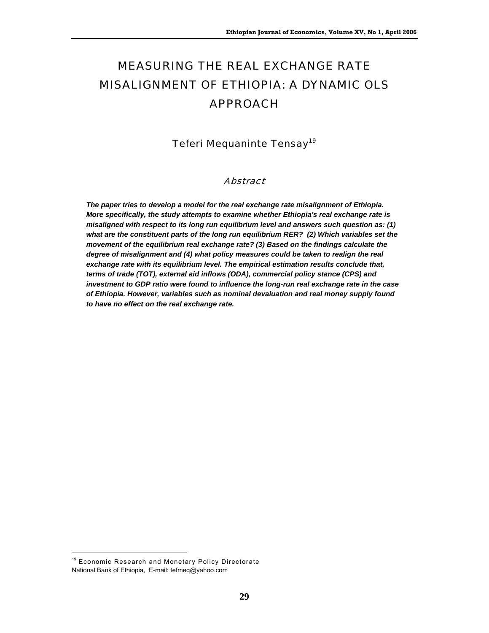# MEASURING THE REAL EXCHANGE RATE MISALIGNMENT OF ETHIOPIA: A DYNAMIC OLS APPROACH

Teferi Mequaninte Tensay<sup>19</sup>

#### Abstract

*The paper tries to develop a model for the real exchange rate misalignment of Ethiopia. More specifically, the study attempts to examine whether Ethiopia's real exchange rate is misaligned with respect to its long run equilibrium level and answers such question as: (1) what are the constituent parts of the long run equilibrium RER? (2) Which variables set the movement of the equilibrium real exchange rate? (3) Based on the findings calculate the degree of misalignment and (4) what policy measures could be taken to realign the real exchange rate with its equilibrium level. The empirical estimation results conclude that, terms of trade (TOT), external aid inflows (ODA), commercial policy stance (CPS) and investment to GDP ratio were found to influence the long-run real exchange rate in the case of Ethiopia. However, variables such as nominal devaluation and real money supply found to have no effect on the real exchange rate.* 

 $\overline{a}$ 

<sup>&</sup>lt;sup>19</sup> Economic Research and Monetary Policy Directorate National Bank of Ethiopia, E-mail: tefmeq@yahoo.com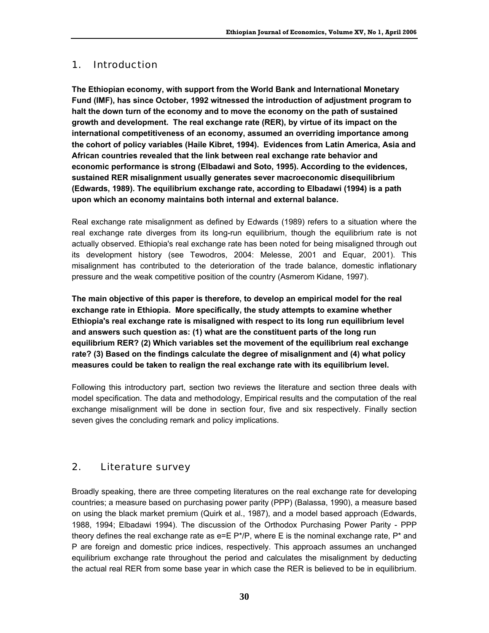## 1. Introduction

**The Ethiopian economy, with support from the World Bank and International Monetary Fund (IMF), has since October, 1992 witnessed the introduction of adjustment program to halt the down turn of the economy and to move the economy on the path of sustained growth and development. The real exchange rate (RER), by virtue of its impact on the international competitiveness of an economy, assumed an overriding importance among the cohort of policy variables (Haile Kibret, 1994). Evidences from Latin America, Asia and African countries revealed that the link between real exchange rate behavior and economic performance is strong (Elbadawi and Soto, 1995). According to the evidences, sustained RER misalignment usually generates sever macroeconomic disequilibrium (Edwards, 1989). The equilibrium exchange rate, according to Elbadawi (1994) is a path upon which an economy maintains both internal and external balance.** 

Real exchange rate misalignment as defined by Edwards (1989) refers to a situation where the real exchange rate diverges from its long-run equilibrium, though the equilibrium rate is not actually observed. Ethiopia's real exchange rate has been noted for being misaligned through out its development history (see Tewodros, 2004: Melesse, 2001 and Equar, 2001). This misalignment has contributed to the deterioration of the trade balance, domestic inflationary pressure and the weak competitive position of the country (Asmerom Kidane, 1997).

**The main objective of this paper is therefore, to develop an empirical model for the real exchange rate in Ethiopia. More specifically, the study attempts to examine whether Ethiopia's real exchange rate is misaligned with respect to its long run equilibrium level and answers such question as: (1) what are the constituent parts of the long run equilibrium RER? (2) Which variables set the movement of the equilibrium real exchange rate? (3) Based on the findings calculate the degree of misalignment and (4) what policy measures could be taken to realign the real exchange rate with its equilibrium level.** 

Following this introductory part, section two reviews the literature and section three deals with model specification. The data and methodology, Empirical results and the computation of the real exchange misalignment will be done in section four, five and six respectively. Finally section seven gives the concluding remark and policy implications.

# 2. Literature survey

Broadly speaking, there are three competing literatures on the real exchange rate for developing countries; a measure based on purchasing power parity (PPP) (Balassa, 1990), a measure based on using the black market premium (Quirk et al., 1987), and a model based approach (Edwards, 1988, 1994; Elbadawi 1994). The discussion of the Orthodox Purchasing Power Parity - PPP theory defines the real exchange rate as  $e=E P^*/P$ , where E is the nominal exchange rate,  $P^*$  and P are foreign and domestic price indices, respectively. This approach assumes an unchanged equilibrium exchange rate throughout the period and calculates the misalignment by deducting the actual real RER from some base year in which case the RER is believed to be in equilibrium.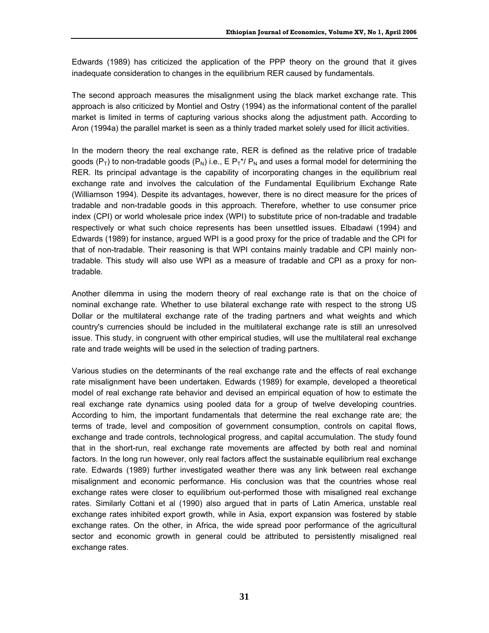Edwards (1989) has criticized the application of the PPP theory on the ground that it gives inadequate consideration to changes in the equilibrium RER caused by fundamentals.

The second approach measures the misalignment using the black market exchange rate. This approach is also criticized by Montiel and Ostry (1994) as the informational content of the parallel market is limited in terms of capturing various shocks along the adjustment path. According to Aron (1994a) the parallel market is seen as a thinly traded market solely used for illicit activities.

In the modern theory the real exchange rate, RER is defined as the relative price of tradable goods ( $P_T$ ) to non-tradable goods ( $P_N$ ) i.e., E  $P_T^{\dagger}$ ,  $P_N$  and uses a formal model for determining the RER. Its principal advantage is the capability of incorporating changes in the equilibrium real exchange rate and involves the calculation of the Fundamental Equilibrium Exchange Rate (Williamson 1994). Despite its advantages, however, there is no direct measure for the prices of tradable and non-tradable goods in this approach. Therefore, whether to use consumer price index (CPI) or world wholesale price index (WPI) to substitute price of non-tradable and tradable respectively or what such choice represents has been unsettled issues. Elbadawi (1994) and Edwards (1989) for instance, argued WPI is a good proxy for the price of tradable and the CPI for that of non-tradable. Their reasoning is that WPI contains mainly tradable and CPI mainly nontradable. This study will also use WPI as a measure of tradable and CPI as a proxy for nontradable.

Another dilemma in using the modern theory of real exchange rate is that on the choice of nominal exchange rate. Whether to use bilateral exchange rate with respect to the strong US Dollar or the multilateral exchange rate of the trading partners and what weights and which country's currencies should be included in the multilateral exchange rate is still an unresolved issue. This study, in congruent with other empirical studies, will use the multilateral real exchange rate and trade weights will be used in the selection of trading partners.

Various studies on the determinants of the real exchange rate and the effects of real exchange rate misalignment have been undertaken. Edwards (1989) for example, developed a theoretical model of real exchange rate behavior and devised an empirical equation of how to estimate the real exchange rate dynamics using pooled data for a group of twelve developing countries. According to him, the important fundamentals that determine the real exchange rate are; the terms of trade, level and composition of government consumption, controls on capital flows, exchange and trade controls, technological progress, and capital accumulation. The study found that in the short-run, real exchange rate movements are affected by both real and nominal factors. In the long run however, only real factors affect the sustainable equilibrium real exchange rate. Edwards (1989) further investigated weather there was any link between real exchange misalignment and economic performance. His conclusion was that the countries whose real exchange rates were closer to equilibrium out-performed those with misaligned real exchange rates. Similarly Cottani et al (1990) also argued that in parts of Latin America, unstable real exchange rates inhibited export growth, while in Asia, export expansion was fostered by stable exchange rates. On the other, in Africa, the wide spread poor performance of the agricultural sector and economic growth in general could be attributed to persistently misaligned real exchange rates.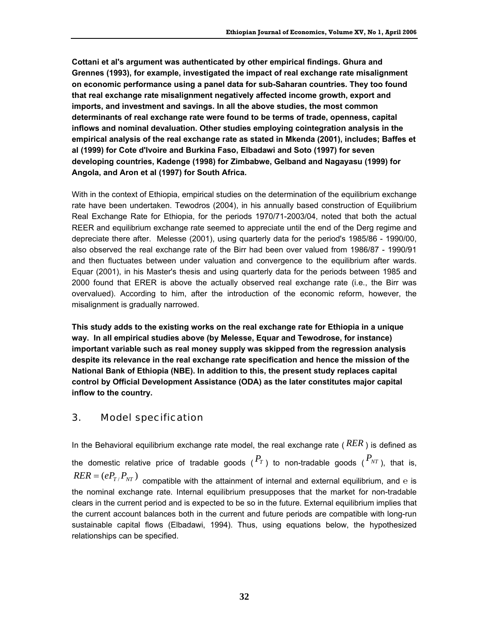**Cottani et al's argument was authenticated by other empirical findings. Ghura and Grennes (1993), for example, investigated the impact of real exchange rate misalignment on economic performance using a panel data for sub-Saharan countries. They too found that real exchange rate misalignment negatively affected income growth, export and imports, and investment and savings. In all the above studies, the most common determinants of real exchange rate were found to be terms of trade, openness, capital inflows and nominal devaluation. Other studies employing cointegration analysis in the empirical analysis of the real exchange rate as stated in Mkenda (2001), includes; Baffes et al (1999) for Cote d'Ivoire and Burkina Faso, Elbadawi and Soto (1997) for seven developing countries, Kadenge (1998) for Zimbabwe, Gelband and Nagayasu (1999) for Angola, and Aron et al (1997) for South Africa.** 

With in the context of Ethiopia, empirical studies on the determination of the equilibrium exchange rate have been undertaken. Tewodros (2004), in his annually based construction of Equilibrium Real Exchange Rate for Ethiopia, for the periods 1970/71-2003/04, noted that both the actual REER and equilibrium exchange rate seemed to appreciate until the end of the Derg regime and depreciate there after. Melesse (2001), using quarterly data for the period's 1985/86 - 1990/00, also observed the real exchange rate of the Birr had been over valued from 1986/87 - 1990/91 and then fluctuates between under valuation and convergence to the equilibrium after wards. Equar (2001), in his Master's thesis and using quarterly data for the periods between 1985 and 2000 found that ERER is above the actually observed real exchange rate (i.e., the Birr was overvalued). According to him, after the introduction of the economic reform, however, the misalignment is gradually narrowed.

**This study adds to the existing works on the real exchange rate for Ethiopia in a unique way. In all empirical studies above (by Melesse, Equar and Tewodrose, for instance) important variable such as real money supply was skipped from the regression analysis despite its relevance in the real exchange rate specification and hence the mission of the National Bank of Ethiopia (NBE). In addition to this, the present study replaces capital control by Official Development Assistance (ODA) as the later constitutes major capital inflow to the country.** 

### 3. Model specification

In the Behavioral equilibrium exchange rate model, the real exchange rate ( *RER* ) is defined as the domestic relative price of tradable goods  $({}^P_T)$  to non-tradable goods  $({}^P{}_{NT})$ , that is,  $RER = (eP_{T}/P_{NT})$  compatible with the attainment of internal and external equilibrium, and e is the nominal exchange rate. Internal equilibrium presupposes that the market for non-tradable clears in the current period and is expected to be so in the future. External equilibrium implies that the current account balances both in the current and future periods are compatible with long-run sustainable capital flows (Elbadawi, 1994). Thus, using equations below, the hypothesized relationships can be specified.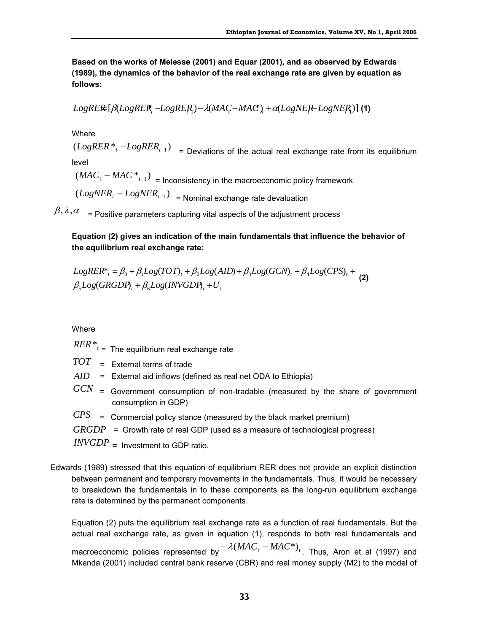**Based on the works of Melesse (2001) and Equar (2001), and as observed by Edwards (1989), the dynamics of the behavior of the real exchange rate are given by equation as follows:** 

$$
LogREE[\beta (LogREF, -LogRE_{A}) - \lambda (MAC - MAC), + \alpha (LogNE + LogNE_{A})]
$$
 (1)

**Where** 

 $(LogRER *_{t} - LogRER_{t-1})$  = Deviations of the actual real exchange rate from its equilibrium level

 $(MAC<sub>t</sub> - MAC *_{t-1})$  = Inconsistency in the macroeconomic policy framework  $(LogNER_t - LogNER_{t-1})$  = Nominal exchange rate devaluation

 $\beta$ ,  $\lambda$ ,  $\alpha$  = Positive parameters capturing vital aspects of the adjustment process

#### **Equation (2) gives an indication of the main fundamentals that influence the behavior of the equilibrium real exchange rate:**

$$
LogRER^*_{t} = \beta_0 + \beta_1 Log(TOT)_t + \beta_2 Log(AID) + \beta_3 Log(GCN)_t + \beta_4 Log(CPS)_t + \beta_5 Log(GRGDP)_t + \beta_6 Log(INVGDP)_t + U_t
$$
\n(2)

**Where** 

- *RER*\**<sup>t</sup>* = The equilibrium real exchange rate
- *TOT* = External terms of trade
- *AID* = External aid inflows (defined as real net ODA to Ethiopia)
- *GCN* <sup>=</sup> Government consumption of non-tradable (measured by the share of government consumption in GDP)
- *CPS* = Commercial policy stance (measured by the black market premium)
- *GRGDP* = Growth rate of real GDP (used as a measure of technological progress)

*INVGDP* **=** Investment to GDP ratio.

Edwards (1989) stressed that this equation of equilibrium RER does not provide an explicit distinction between permanent and temporary movements in the fundamentals. Thus, it would be necessary to breakdown the fundamentals in to these components as the long-run equilibrium exchange rate is determined by the permanent components.

Equation (2) puts the equilibrium real exchange rate as a function of real fundamentals. But the actual real exchange rate, as given in equation (1), responds to both real fundamentals and macroeconomic policies represented by  $-\lambda(MAC_t - MAC^*)_t$ . Thus, Aron et al (1997) and Mkenda (2001) included central bank reserve (CBR) and real money supply (M2) to the model of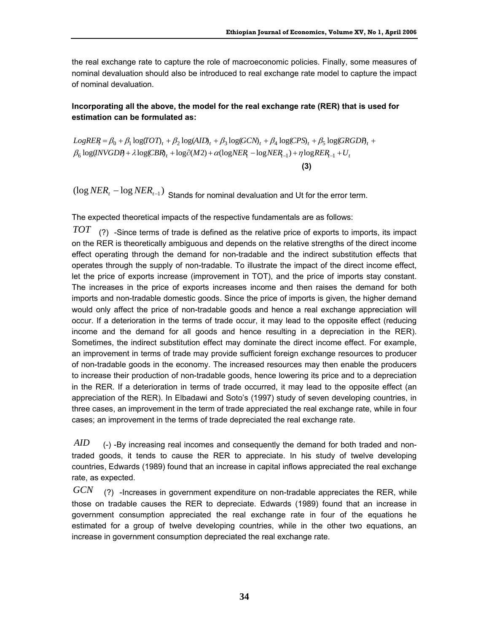the real exchange rate to capture the role of macroeconomic policies. Finally, some measures of nominal devaluation should also be introduced to real exchange rate model to capture the impact of nominal devaluation.

#### **Incorporating all the above, the model for the real exchange rate (RER) that is used for estimation can be formulated as:**

 $\beta_6 \log(\text{INVGDP} + \lambda \log(\text{CBR})_t + \log \partial(M2) + \alpha(\log \text{NER}_t - \log \text{NER}_{t-1}) + \eta \log \text{REN}_{t-1} + U_t$  $LogREF_1 = \beta_0 + \beta_1 log(TOT)_t + \beta_2 log(AID)_t + \beta_3 log(GCN)_t + \beta_4 log(CPS)_t + \beta_5 log(GRGDD)_t + \beta_6 log(TOT)_t + \beta_7 log(TOT)_t + \beta_8 log(TOT)_t + \beta_9 log(TOT)_t + \beta_9 log(TOT)_t + \beta_9 log(TOT)_t + \beta_9 log(TOT)_t + \beta_9 log(TOT)_t + \beta_9 log(TOT)_t + \beta_9 log(TOT)_t + \beta_9 log(TOT)_t + \beta_9 log(TOT)_t + \beta_9 log(TOT)_t + \beta_9 log(TOT)_t + \beta_9 log(TOT)_t + \beta_9 log(TOT)_t$ 

**(3)** 

 $(\log NER_t - \log NER_{t-1})$  Stands for nominal devaluation and Ut for the error term.

The expected theoretical impacts of the respective fundamentals are as follows:

*TOT*(?) -Since terms of trade is defined as the relative price of exports to imports, its impact on the RER is theoretically ambiguous and depends on the relative strengths of the direct income effect operating through the demand for non-tradable and the indirect substitution effects that operates through the supply of non-tradable. To illustrate the impact of the direct income effect, let the price of exports increase (improvement in TOT), and the price of imports stay constant. The increases in the price of exports increases income and then raises the demand for both imports and non-tradable domestic goods. Since the price of imports is given, the higher demand would only affect the price of non-tradable goods and hence a real exchange appreciation will occur. If a deterioration in the terms of trade occur, it may lead to the opposite effect (reducing income and the demand for all goods and hence resulting in a depreciation in the RER). Sometimes, the indirect substitution effect may dominate the direct income effect. For example, an improvement in terms of trade may provide sufficient foreign exchange resources to producer of non-tradable goods in the economy. The increased resources may then enable the producers to increase their production of non-tradable goods, hence lowering its price and to a depreciation in the RER. If a deterioration in terms of trade occurred, it may lead to the opposite effect (an appreciation of the RER). In Elbadawi and Soto's (1997) study of seven developing countries, in three cases, an improvement in the term of trade appreciated the real exchange rate, while in four cases; an improvement in the terms of trade depreciated the real exchange rate.

*AID* (-) -By increasing real incomes and consequently the demand for both traded and nontraded goods, it tends to cause the RER to appreciate. In his study of twelve developing countries, Edwards (1989) found that an increase in capital inflows appreciated the real exchange rate, as expected.

*GCN*(?) -Increases in government expenditure on non-tradable appreciates the RER, while those on tradable causes the RER to depreciate. Edwards (1989) found that an increase in government consumption appreciated the real exchange rate in four of the equations he estimated for a group of twelve developing countries, while in the other two equations, an increase in government consumption depreciated the real exchange rate.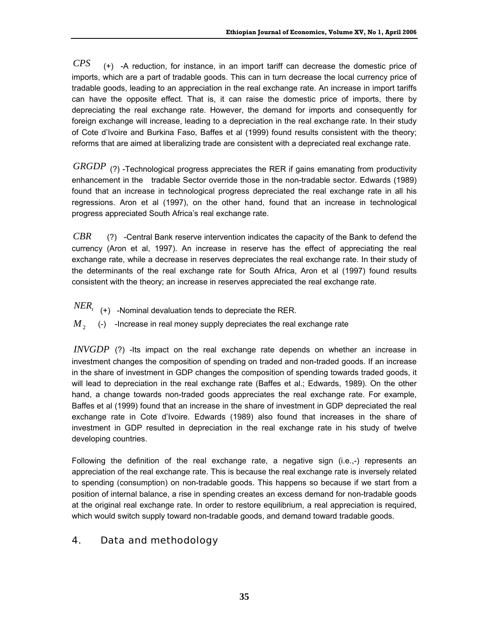*CPS* (+) -A reduction, for instance, in an import tariff can decrease the domestic price of imports, which are a part of tradable goods. This can in turn decrease the local currency price of tradable goods, leading to an appreciation in the real exchange rate. An increase in import tariffs can have the opposite effect. That is, it can raise the domestic price of imports, there by depreciating the real exchange rate. However, the demand for imports and consequently for foreign exchange will increase, leading to a depreciation in the real exchange rate. In their study of Cote d'Ivoire and Burkina Faso, Baffes et al (1999) found results consistent with the theory; reforms that are aimed at liberalizing trade are consistent with a depreciated real exchange rate.

*GRGDP* (?) -Technological progress appreciates the RER if gains emanating from productivity enhancement in the tradable Sector override those in the non-tradable sector. Edwards (1989) found that an increase in technological progress depreciated the real exchange rate in all his regressions. Aron et al (1997), on the other hand, found that an increase in technological progress appreciated South Africa's real exchange rate.

*CBR* (?) -Central Bank reserve intervention indicates the capacity of the Bank to defend the currency (Aron et al, 1997). An increase in reserve has the effect of appreciating the real exchange rate, while a decrease in reserves depreciates the real exchange rate. In their study of the determinants of the real exchange rate for South Africa, Aron et al (1997) found results consistent with the theory; an increase in reserves appreciated the real exchange rate.

- $NER_t$  (+) -Nominal devaluation tends to depreciate the RER.
- $M<sub>2</sub>$  (-) -Increase in real money supply depreciates the real exchange rate

*INVGDP* (?) -Its impact on the real exchange rate depends on whether an increase in investment changes the composition of spending on traded and non-traded goods. If an increase in the share of investment in GDP changes the composition of spending towards traded goods, it will lead to depreciation in the real exchange rate (Baffes et al.; Edwards, 1989). On the other hand, a change towards non-traded goods appreciates the real exchange rate. For example, Baffes et al (1999) found that an increase in the share of investment in GDP depreciated the real exchange rate in Cote d'Ivoire. Edwards (1989) also found that increases in the share of investment in GDP resulted in depreciation in the real exchange rate in his study of twelve developing countries.

Following the definition of the real exchange rate, a negative sign  $(i.e., -)$  represents an appreciation of the real exchange rate. This is because the real exchange rate is inversely related to spending (consumption) on non-tradable goods. This happens so because if we start from a position of internal balance, a rise in spending creates an excess demand for non-tradable goods at the original real exchange rate. In order to restore equilibrium, a real appreciation is required, which would switch supply toward non-tradable goods, and demand toward tradable goods.

### 4. Data and methodology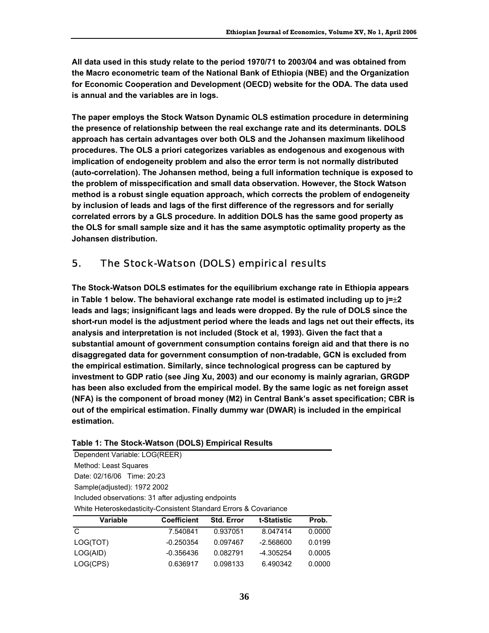**All data used in this study relate to the period 1970/71 to 2003/04 and was obtained from the Macro econometric team of the National Bank of Ethiopia (NBE) and the Organization for Economic Cooperation and Development (OECD) website for the ODA. The data used is annual and the variables are in logs.** 

**The paper employs the Stock Watson Dynamic OLS estimation procedure in determining the presence of relationship between the real exchange rate and its determinants. DOLS approach has certain advantages over both OLS and the Johansen maximum likelihood procedures. The OLS a priori categorizes variables as endogenous and exogenous with implication of endogeneity problem and also the error term is not normally distributed (auto-correlation). The Johansen method, being a full information technique is exposed to the problem of misspecification and small data observation. However, the Stock Watson method is a robust single equation approach, which corrects the problem of endogeneity by inclusion of leads and lags of the first difference of the regressors and for serially correlated errors by a GLS procedure. In addition DOLS has the same good property as the OLS for small sample size and it has the same asymptotic optimality property as the Johansen distribution.** 

### 5. The Stock-Watson (DOLS) empirical results

**The Stock-Watson DOLS estimates for the equilibrium exchange rate in Ethiopia appears in Table 1 below. The behavioral exchange rate model is estimated including up to j=**±**2 leads and lags; insignificant lags and leads were dropped. By the rule of DOLS since the short-run model is the adjustment period where the leads and lags net out their effects, its analysis and interpretation is not included (Stock et al, 1993). Given the fact that a substantial amount of government consumption contains foreign aid and that there is no disaggregated data for government consumption of non-tradable, GCN is excluded from the empirical estimation. Similarly, since technological progress can be captured by investment to GDP ratio (see Jing Xu, 2003) and our economy is mainly agrarian, GRGDP has been also excluded from the empirical model. By the same logic as net foreign asset (NFA) is the component of broad money (M2) in Central Bank's asset specification; CBR is out of the empirical estimation. Finally dummy war (DWAR) is included in the empirical estimation.** 

| Table 1: The Stock-Watson (DOLS) Empirical Results |  |  |
|----------------------------------------------------|--|--|
|----------------------------------------------------|--|--|

Dependent Variable: LOG(REER) Method: Least Squares Date: 02/16/06 Time: 20:23 Sample(adjusted): 1972 2002 Included observations: 31 after adjusting endpoints White Heteroskedasticity-Consistent Standard Errors & Covariance

| Variable | <b>Coefficient</b> | <b>Std. Error</b> | t-Statistic | Prob.  |
|----------|--------------------|-------------------|-------------|--------|
| C        | 7.540841           | 0.937051          | 8.047414    | 0.0000 |
| LOG(TOT) | -0.250354          | 0.097467          | $-2.568600$ | 0.0199 |
| LOG(AID) | $-0.356436$        | 0.082791          | -4.305254   | 0.0005 |
| LOG(CPS) | 0.636917           | 0.098133          | 6.490342    | 0.0000 |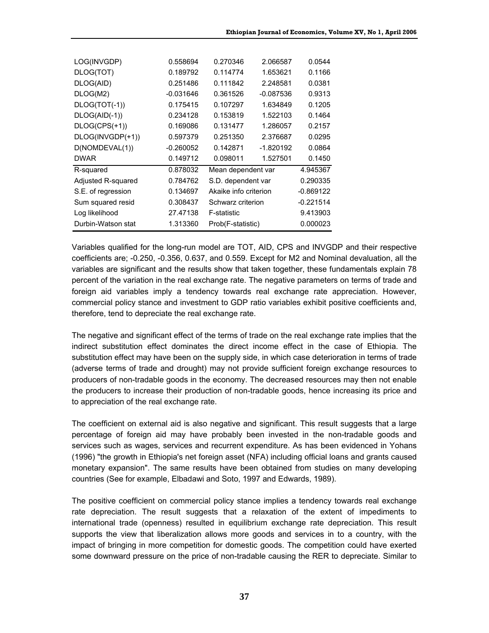| LOG(INVGDP)        | 0.558694    | 0.270346              | 2.066587    | 0.0544      |
|--------------------|-------------|-----------------------|-------------|-------------|
| DLOG(TOT)          | 0.189792    | 0.114774              | 1.653621    | 0.1166      |
| DLOG(AID)          | 0.251486    | 0.111842              | 2.248581    | 0.0381      |
| DLOG(M2)           | $-0.031646$ | 0.361526              | $-0.087536$ | 0.9313      |
| DLOG(TOT(-1))      | 0.175415    | 0.107297              | 1.634849    | 0.1205      |
| DLOG(AID(-1))      | 0.234128    | 0.153819              | 1.522103    | 0.1464      |
| $DLOG(CPS(+1))$    | 0.169086    | 0.131477              | 1.286057    | 0.2157      |
| DLOG(INVGDP(+1))   | 0.597379    | 0.251350              | 2.376687    | 0.0295      |
| D(NOMDEVAL(1))     | $-0.260052$ | 0.142871              | $-1.820192$ | 0.0864      |
| <b>DWAR</b>        | 0.149712    | 0.098011              | 1.527501    | 0.1450      |
| R-squared          | 0.878032    | Mean dependent var    |             | 4.945367    |
| Adjusted R-squared | 0.784762    | S.D. dependent var    |             | 0.290335    |
| S.E. of regression | 0.134697    | Akaike info criterion |             | $-0.869122$ |
| Sum squared resid  | 0.308437    | Schwarz criterion     |             | $-0.221514$ |
| Log likelihood     | 27.47138    | F-statistic           |             | 9.413903    |
| Durbin-Watson stat | 1.313360    | Prob(F-statistic)     |             | 0.000023    |

Variables qualified for the long-run model are TOT, AID, CPS and INVGDP and their respective coefficients are; -0.250, -0.356, 0.637, and 0.559. Except for M2 and Nominal devaluation, all the variables are significant and the results show that taken together, these fundamentals explain 78 percent of the variation in the real exchange rate. The negative parameters on terms of trade and foreign aid variables imply a tendency towards real exchange rate appreciation. However, commercial policy stance and investment to GDP ratio variables exhibit positive coefficients and, therefore, tend to depreciate the real exchange rate.

The negative and significant effect of the terms of trade on the real exchange rate implies that the indirect substitution effect dominates the direct income effect in the case of Ethiopia. The substitution effect may have been on the supply side, in which case deterioration in terms of trade (adverse terms of trade and drought) may not provide sufficient foreign exchange resources to producers of non-tradable goods in the economy. The decreased resources may then not enable the producers to increase their production of non-tradable goods, hence increasing its price and to appreciation of the real exchange rate.

The coefficient on external aid is also negative and significant. This result suggests that a large percentage of foreign aid may have probably been invested in the non-tradable goods and services such as wages, services and recurrent expenditure. As has been evidenced in Yohans (1996) "the growth in Ethiopia's net foreign asset (NFA) including official loans and grants caused monetary expansion". The same results have been obtained from studies on many developing countries (See for example, Elbadawi and Soto, 1997 and Edwards, 1989).

The positive coefficient on commercial policy stance implies a tendency towards real exchange rate depreciation. The result suggests that a relaxation of the extent of impediments to international trade (openness) resulted in equilibrium exchange rate depreciation. This result supports the view that liberalization allows more goods and services in to a country, with the impact of bringing in more competition for domestic goods. The competition could have exerted some downward pressure on the price of non-tradable causing the RER to depreciate. Similar to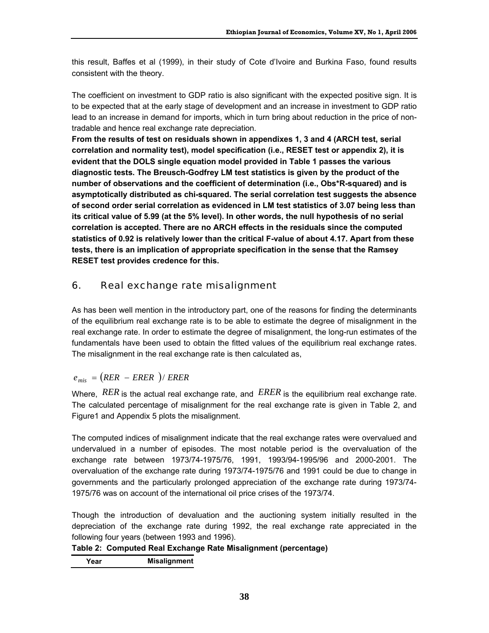this result, Baffes et al (1999), in their study of Cote d'Ivoire and Burkina Faso, found results consistent with the theory.

The coefficient on investment to GDP ratio is also significant with the expected positive sign. It is to be expected that at the early stage of development and an increase in investment to GDP ratio lead to an increase in demand for imports, which in turn bring about reduction in the price of nontradable and hence real exchange rate depreciation.

**From the results of test on residuals shown in appendixes 1, 3 and 4 (ARCH test, serial correlation and normality test), model specification (i.e., RESET test or appendix 2), it is evident that the DOLS single equation model provided in Table 1 passes the various diagnostic tests. The Breusch-Godfrey LM test statistics is given by the product of the number of observations and the coefficient of determination (i.e., Obs\*R-squared) and is asymptotically distributed as chi-squared. The serial correlation test suggests the absence of second order serial correlation as evidenced in LM test statistics of 3.07 being less than its critical value of 5.99 (at the 5% level). In other words, the null hypothesis of no serial correlation is accepted. There are no ARCH effects in the residuals since the computed statistics of 0.92 is relatively lower than the critical F-value of about 4.17. Apart from these tests, there is an implication of appropriate specification in the sense that the Ramsey RESET test provides credence for this.** 

## 6. Real exchange rate misalignment

As has been well mention in the introductory part, one of the reasons for finding the determinants of the equilibrium real exchange rate is to be able to estimate the degree of misalignment in the real exchange rate. In order to estimate the degree of misalignment, the long-run estimates of the fundamentals have been used to obtain the fitted values of the equilibrium real exchange rates. The misalignment in the real exchange rate is then calculated as,

### $e_{mis} = (RER - ERER) / ERER$

Where, *RER* is the actual real exchange rate, and *ERER* is the equilibrium real exchange rate. The calculated percentage of misalignment for the real exchange rate is given in Table 2, and Figure1 and Appendix 5 plots the misalignment.

The computed indices of misalignment indicate that the real exchange rates were overvalued and undervalued in a number of episodes. The most notable period is the overvaluation of the exchange rate between 1973/74-1975/76, 1991, 1993/94-1995/96 and 2000-2001. The overvaluation of the exchange rate during 1973/74-1975/76 and 1991 could be due to change in governments and the particularly prolonged appreciation of the exchange rate during 1973/74- 1975/76 was on account of the international oil price crises of the 1973/74.

Though the introduction of devaluation and the auctioning system initially resulted in the depreciation of the exchange rate during 1992, the real exchange rate appreciated in the following four years (between 1993 and 1996).

#### **Table 2: Computed Real Exchange Rate Misalignment (percentage)**

**Year Misalignment**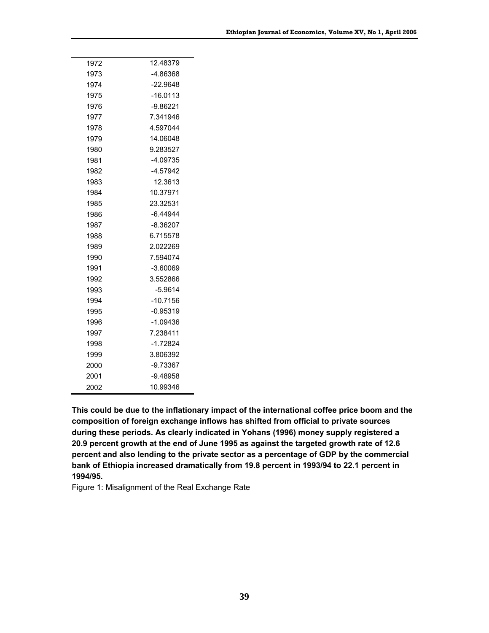| 1972 | 12.48379   |
|------|------------|
| 1973 | -4.86368   |
| 1974 | $-22.9648$ |
| 1975 | $-16.0113$ |
| 1976 | $-9.86221$ |
| 1977 | 7.341946   |
| 1978 | 4.597044   |
| 1979 | 14.06048   |
| 1980 | 9.283527   |
| 1981 | $-4.09735$ |
| 1982 | $-4.57942$ |
| 1983 | 12.3613    |
| 1984 | 10.37971   |
| 1985 | 23.32531   |
| 1986 | -6.44944   |
| 1987 | $-8.36207$ |
| 1988 | 6.715578   |
| 1989 | 2.022269   |
| 1990 | 7.594074   |
| 1991 | $-3.60069$ |
| 1992 | 3.552866   |
| 1993 | $-5.9614$  |
| 1994 | $-10.7156$ |
| 1995 | $-0.95319$ |
| 1996 | $-1.09436$ |
| 1997 | 7.238411   |
| 1998 | $-1.72824$ |
| 1999 | 3.806392   |
| 2000 | $-9.73367$ |
| 2001 | -9.48958   |
| 2002 | 10.99346   |

**This could be due to the inflationary impact of the international coffee price boom and the composition of foreign exchange inflows has shifted from official to private sources during these periods. As clearly indicated in Yohans (1996) money supply registered a 20.9 percent growth at the end of June 1995 as against the targeted growth rate of 12.6 percent and also lending to the private sector as a percentage of GDP by the commercial bank of Ethiopia increased dramatically from 19.8 percent in 1993/94 to 22.1 percent in 1994/95.** 

Figure 1: Misalignment of the Real Exchange Rate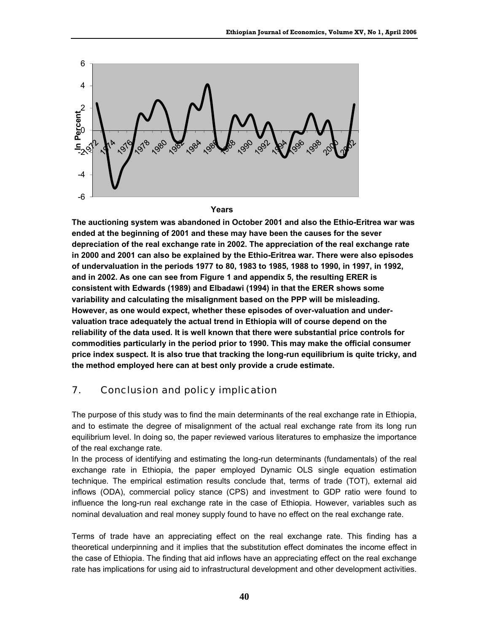

**Years**

**The auctioning system was abandoned in October 2001 and also the Ethio-Eritrea war was ended at the beginning of 2001 and these may have been the causes for the sever depreciation of the real exchange rate in 2002. The appreciation of the real exchange rate in 2000 and 2001 can also be explained by the Ethio-Eritrea war. There were also episodes of undervaluation in the periods 1977 to 80, 1983 to 1985, 1988 to 1990, in 1997, in 1992, and in 2002. As one can see from Figure 1 and appendix 5, the resulting ERER is consistent with Edwards (1989) and Elbadawi (1994) in that the ERER shows some variability and calculating the misalignment based on the PPP will be misleading. However, as one would expect, whether these episodes of over-valuation and undervaluation trace adequately the actual trend in Ethiopia will of course depend on the reliability of the data used. It is well known that there were substantial price controls for commodities particularly in the period prior to 1990. This may make the official consumer price index suspect. It is also true that tracking the long-run equilibrium is quite tricky, and the method employed here can at best only provide a crude estimate.** 

### 7. Conclusion and policy implication

The purpose of this study was to find the main determinants of the real exchange rate in Ethiopia, and to estimate the degree of misalignment of the actual real exchange rate from its long run equilibrium level. In doing so, the paper reviewed various literatures to emphasize the importance of the real exchange rate.

In the process of identifying and estimating the long-run determinants (fundamentals) of the real exchange rate in Ethiopia, the paper employed Dynamic OLS single equation estimation technique. The empirical estimation results conclude that, terms of trade (TOT), external aid inflows (ODA), commercial policy stance (CPS) and investment to GDP ratio were found to influence the long-run real exchange rate in the case of Ethiopia. However, variables such as nominal devaluation and real money supply found to have no effect on the real exchange rate.

Terms of trade have an appreciating effect on the real exchange rate. This finding has a theoretical underpinning and it implies that the substitution effect dominates the income effect in the case of Ethiopia. The finding that aid inflows have an appreciating effect on the real exchange rate has implications for using aid to infrastructural development and other development activities.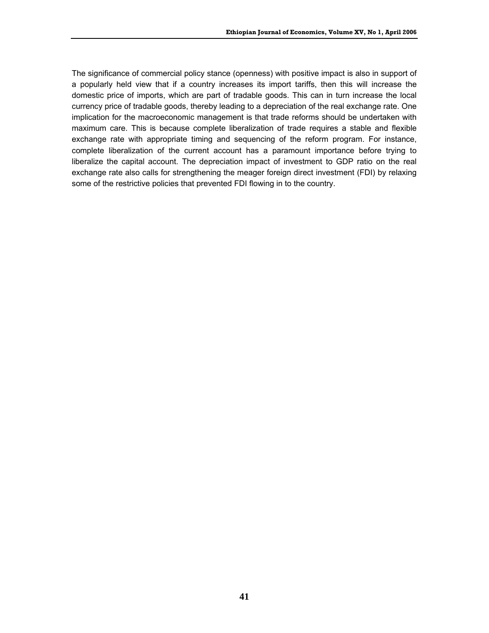The significance of commercial policy stance (openness) with positive impact is also in support of a popularly held view that if a country increases its import tariffs, then this will increase the domestic price of imports, which are part of tradable goods. This can in turn increase the local currency price of tradable goods, thereby leading to a depreciation of the real exchange rate. One implication for the macroeconomic management is that trade reforms should be undertaken with maximum care. This is because complete liberalization of trade requires a stable and flexible exchange rate with appropriate timing and sequencing of the reform program. For instance, complete liberalization of the current account has a paramount importance before trying to liberalize the capital account. The depreciation impact of investment to GDP ratio on the real exchange rate also calls for strengthening the meager foreign direct investment (FDI) by relaxing some of the restrictive policies that prevented FDI flowing in to the country.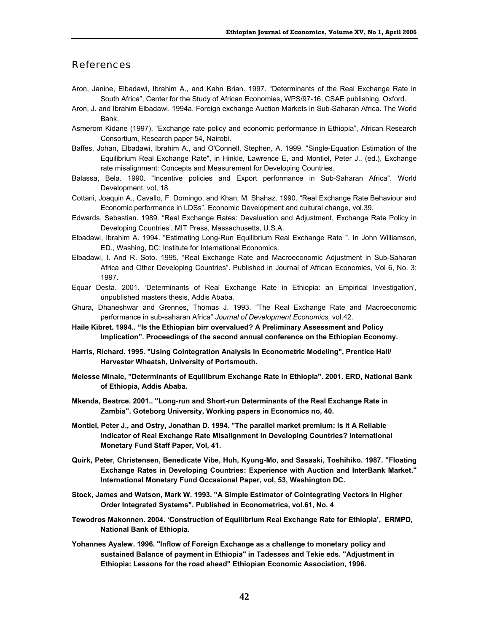#### References

- Aron, Janine, Elbadawi, Ibrahim A., and Kahn Brian. 1997. "Determinants of the Real Exchange Rate in South Africa", Center for the Study of African Economies, WPS/97-16, CSAE publishing, Oxford.
- Aron, J. and Ibrahim Elbadawi. 1994a. Foreign exchange Auction Markets in Sub-Saharan Africa. The World Bank.
- Asmerom Kidane (1997). "Exchange rate policy and economic performance in Ethiopia", African Research Consortium, Research paper 54, Nairobi.
- Baffes, Johan, Elbadawi, Ibrahim A., and O'Connell, Stephen, A. 1999. "Single-Equation Estimation of the Equilibrium Real Exchange Rate", in Hinkle, Lawrence E, and Montiel, Peter J., (ed.), Exchange rate misalignment: Concepts and Measurement for Developing Countries.
- Balassa, Bela. 1990. "Incentive policies and Export performance in Sub-Saharan Africa". World Development, vol, 18.
- Cottani, Joaquin A., Cavallo, F. Domingo, and Khan, M. Shahaz. 1990. "Real Exchange Rate Behaviour and Economic performance in LDSs", Economic Development and cultural change, vol.39.
- Edwards, Sebastian. 1989. "Real Exchange Rates: Devaluation and Adjustment, Exchange Rate Policy in Developing Countries', MIT Press, Massachusetts, U.S.A.
- Elbadawi, Ibrahim A. 1994. "Estimating Long-Run Equilibrium Real Exchange Rate ". In John Williamson, ED., Washing, DC: Institute for International Economics.
- Elbadawi, I. And R. Soto. 1995. "Real Exchange Rate and Macroeconomic Adjustment in Sub-Saharan Africa and Other Developing Countries". Published in Journal of African Economies, Vol 6, No. 3: 1997.
- Equar Desta. 2001. 'Determinants of Real Exchange Rate in Ethiopia: an Empirical Investigation', unpublished masters thesis, Addis Ababa.
- Ghura, Dhaneshwar and Grennes, Thomas J. 1993. "The Real Exchange Rate and Macroeconomic performance in sub-saharan Africa" *Journal of Development Economics,* vol.42.
- **Haile Kibret. 1994.. "Is the Ethiopian birr overvalued? A Preliminary Assessment and Policy Implication". Proceedings of the second annual conference on the Ethiopian Economy.**
- **Harris, Richard. 1995. "Using Cointegration Analysis in Econometric Modeling", Prentice Hall/ Harvester Wheatsh, University of Portsmouth.**
- **Melesse Minale, "Determinants of Equilibrum Exchange Rate in Ethiopia". 2001. ERD, National Bank of Ethiopia, Addis Ababa.**
- **Mkenda, Beatrce. 2001.. "Long-run and Short-run Determinants of the Real Exchange Rate in Zambia". Goteborg University, Working papers in Economics no, 40.**
- **Montiel, Peter J., and Ostry, Jonathan D. 1994. "The parallel market premium: Is it A Reliable Indicator of Real Exchange Rate Misalignment in Developing Countries? International Monetary Fund Staff Paper, Vol, 41.**
- **Quirk, Peter, Christensen, Benedicate Vibe, Huh, Kyung-Mo, and Sasaaki, Toshihiko. 1987. "Floating Exchange Rates in Developing Countries: Experience with Auction and InterBank Market." International Monetary Fund Occasional Paper, vol, 53, Washington DC.**
- **Stock, James and Watson, Mark W. 1993. "A Simple Estimator of Cointegrating Vectors in Higher Order Integrated Systems". Published in Econometrica, vol.61, No. 4**
- **Tewodros Makonnen. 2004. 'Construction of Equilibrium Real Exchange Rate for Ethiopia', ERMPD, National Bank of Ethiopia.**
- **Yohannes Ayalew. 1996. "Inflow of Foreign Exchange as a challenge to monetary policy and sustained Balance of payment in Ethiopia" in Tadesses and Tekie eds. "Adjustment in Ethiopia: Lessons for the road ahead" Ethiopian Economic Association, 1996.**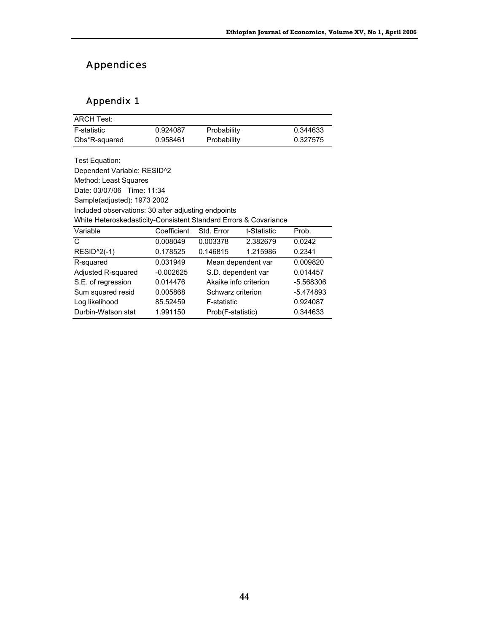# Appendices

### Appendix 1

| <b>ARCH Test:</b>                                                |             |                       |             |           |
|------------------------------------------------------------------|-------------|-----------------------|-------------|-----------|
| <b>F-statistic</b>                                               | 0.924087    | Probability           |             | 0.344633  |
| Obs*R-squared                                                    | 0.958461    | Probability           |             | 0.327575  |
|                                                                  |             |                       |             |           |
| Test Equation:                                                   |             |                       |             |           |
| Dependent Variable: RESID <sup>^2</sup>                          |             |                       |             |           |
| Method: Least Squares                                            |             |                       |             |           |
| Date: 03/07/06 Time: 11:34                                       |             |                       |             |           |
| Sample(adjusted): 1973 2002                                      |             |                       |             |           |
| Included observations: 30 after adjusting endpoints              |             |                       |             |           |
| White Heteroskedasticity-Consistent Standard Errors & Covariance |             |                       |             |           |
| Variable                                                         | Coefficient | Std. Error            | t-Statistic | Prob.     |
| C                                                                | 0.008049    | 0.003378              | 2.382679    | 0.0242    |
| <b>RESID^2(-1)</b>                                               | 0.178525    | 0.146815              | 1.215986    | 0.2341    |
| R-squared                                                        | 0.031949    | Mean dependent var    |             | 0.009820  |
| Adjusted R-squared                                               | $-0.002625$ | S.D. dependent var    |             | 0.014457  |
| S.E. of regression                                               | 0.014476    | Akaike info criterion |             | -5.568306 |
| Sum squared resid                                                | 0.005868    | Schwarz criterion     |             | -5.474893 |
| Log likelihood                                                   | 85.52459    | F-statistic           |             | 0.924087  |
| Durbin-Watson stat                                               | 1.991150    | Prob(F-statistic)     |             | 0.344633  |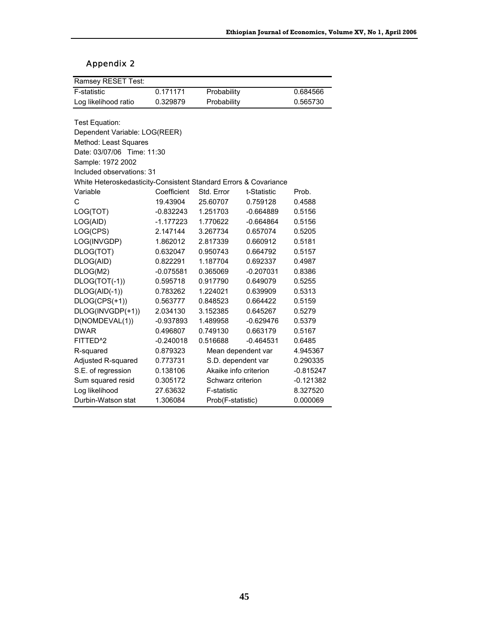### Appendix 2

| Ramsey RESET Test:                                               |             |                       |                               |             |
|------------------------------------------------------------------|-------------|-----------------------|-------------------------------|-------------|
| F-statistic                                                      | 0.171171    | Probability           |                               | 0.684566    |
| Log likelihood ratio                                             | 0.329879    | Probability           |                               | 0.565730    |
|                                                                  |             |                       |                               |             |
| Test Equation:                                                   |             |                       |                               |             |
| Dependent Variable: LOG(REER)                                    |             |                       |                               |             |
| Method: Least Squares                                            |             |                       |                               |             |
| Date: 03/07/06 Time: 11:30                                       |             |                       |                               |             |
| Sample: 1972 2002                                                |             |                       |                               |             |
| Included observations: 31                                        |             |                       |                               |             |
| White Heteroskedasticity-Consistent Standard Errors & Covariance |             |                       |                               |             |
| Variable                                                         | Coefficient | Std. Error            | t-Statistic                   | Prob.       |
| C                                                                | 19.43904    | 25.60707              | 0.759128                      | 0.4588      |
| LOG(TOT)                                                         | $-0.832243$ | 1.251703              | $-0.664889$                   | 0.5156      |
| LOG(AID)                                                         | $-1.177223$ | 1.770622              | $-0.664864$                   | 0.5156      |
| LOG(CPS)                                                         | 2.147144    | 3.267734              | 0.657074                      | 0.5205      |
| LOG(INVGDP)                                                      | 1.862012    | 2.817339              | 0.660912                      | 0.5181      |
| DLOG(TOT)                                                        | 0.632047    | 0.950743              | 0.664792                      | 0.5157      |
| DLOG(AID)                                                        | 0.822291    | 1.187704              | 0.692337                      | 0.4987      |
| DLOG(M2)                                                         | $-0.075581$ | 0.365069              | $-0.207031$                   | 0.8386      |
| DLOG(TOT(-1))                                                    | 0.595718    | 0.917790              | 0.649079                      | 0.5255      |
| DLOG(AID(-1))                                                    | 0.783262    | 1.224021              | 0.639909                      | 0.5313      |
| DLOG(CPS(+1))                                                    | 0.563777    | 0.848523              | 0.664422                      | 0.5159      |
| DLOG(INVGDP(+1))                                                 | 2.034130    | 3.152385              | 0.645267                      | 0.5279      |
| D(NOMDEVAL(1))                                                   | $-0.937893$ | 1.489958              | $-0.629476$                   | 0.5379      |
| <b>DWAR</b>                                                      | 0.496807    | 0.749130              | 0.663179                      | 0.5167      |
| FITTED <sup>^2</sup>                                             | $-0.240018$ | 0.516688              | $-0.464531$                   | 0.6485      |
| R-squared                                                        | 0.879323    | Mean dependent var    |                               | 4.945367    |
| Adjusted R-squared                                               | 0.773731    | S.D. dependent var    |                               | 0.290335    |
| S.E. of regression                                               | 0.138106    | Akaike info criterion |                               | $-0.815247$ |
| Sum squared resid                                                | 0.305172    |                       | Schwarz criterion             |             |
| Log likelihood                                                   | 27.63632    | F-statistic           | 8.327520                      |             |
| Durbin-Watson stat                                               | 1.306084    |                       | 0.000069<br>Prob(F-statistic) |             |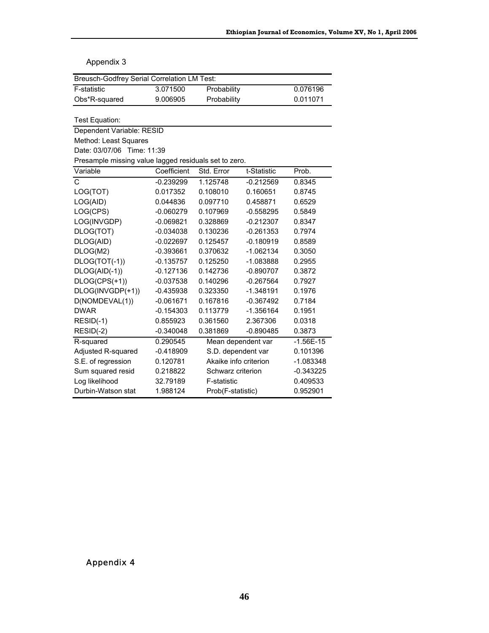#### Appendix 3

| <b>Breusch-Godfrey Serial Correlation LM Test:</b>    |             |                       |             |             |  |  |
|-------------------------------------------------------|-------------|-----------------------|-------------|-------------|--|--|
| F-statistic                                           | 3.071500    | Probability           |             | 0.076196    |  |  |
| Obs*R-squared                                         | 9.006905    | Probability           |             | 0.011071    |  |  |
|                                                       |             |                       |             |             |  |  |
| Test Equation:                                        |             |                       |             |             |  |  |
| Dependent Variable: RESID                             |             |                       |             |             |  |  |
| Method: Least Squares                                 |             |                       |             |             |  |  |
| Date: 03/07/06 Time: 11:39                            |             |                       |             |             |  |  |
| Presample missing value lagged residuals set to zero. |             |                       |             |             |  |  |
| Variable                                              | Coefficient | Std. Error            | t-Statistic | Prob.       |  |  |
| $\mathbf C$                                           | $-0.239299$ | 1.125748              | $-0.212569$ | 0.8345      |  |  |
| LOG(TOT)                                              | 0.017352    | 0.108010              | 0.160651    | 0.8745      |  |  |
| LOG(AID)                                              | 0.044836    | 0.097710              | 0.458871    | 0.6529      |  |  |
| LOG(CPS)                                              | $-0.060279$ | 0.107969              | $-0.558295$ | 0.5849      |  |  |
| LOG(INVGDP)                                           | $-0.069821$ | 0.328869              | $-0.212307$ | 0.8347      |  |  |
| DLOG(TOT)                                             | $-0.034038$ | 0.130236              | $-0.261353$ | 0.7974      |  |  |
| DLOG(AID)                                             | $-0.022697$ | 0.125457              | $-0.180919$ | 0.8589      |  |  |
| DLOG(M2)                                              | $-0.393661$ | 0.370632              | $-1.062134$ | 0.3050      |  |  |
| DLOG(TOT(-1))                                         | $-0.135757$ | 0.125250              | $-1.083888$ | 0.2955      |  |  |
| DLOG(AID(-1))                                         | $-0.127136$ | 0.142736              | $-0.890707$ | 0.3872      |  |  |
| DLOG(CPS(+1))                                         | $-0.037538$ | 0.140296              | $-0.267564$ | 0.7927      |  |  |
| DLOG(INVGDP(+1))                                      | $-0.435938$ | 0.323350              | $-1.348191$ | 0.1976      |  |  |
| D(NOMDEVAL(1))                                        | $-0.061671$ | 0.167816              | $-0.367492$ | 0.7184      |  |  |
| <b>DWAR</b>                                           | $-0.154303$ | 0.113779              | $-1.356164$ | 0.1951      |  |  |
| $RESID(-1)$                                           | 0.855923    | 0.361560              | 2.367306    | 0.0318      |  |  |
| $RESID(-2)$                                           | $-0.340048$ | 0.381869              | $-0.890485$ | 0.3873      |  |  |
| R-squared                                             | 0.290545    | Mean dependent var    |             | $-1.56E-15$ |  |  |
| Adjusted R-squared                                    | $-0.418909$ | S.D. dependent var    |             | 0.101396    |  |  |
| S.E. of regression                                    | 0.120781    | Akaike info criterion |             | $-1.083348$ |  |  |
| Sum squared resid                                     | 0.218822    | Schwarz criterion     |             | $-0.343225$ |  |  |
| Log likelihood                                        | 32.79189    | <b>F-statistic</b>    |             | 0.409533    |  |  |
| Durbin-Watson stat                                    | 1.988124    | Prob(F-statistic)     |             | 0.952901    |  |  |

#### Appendix 4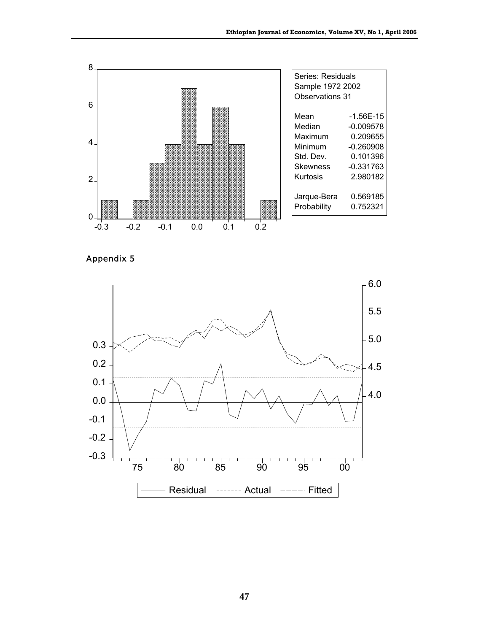

Appendix 5

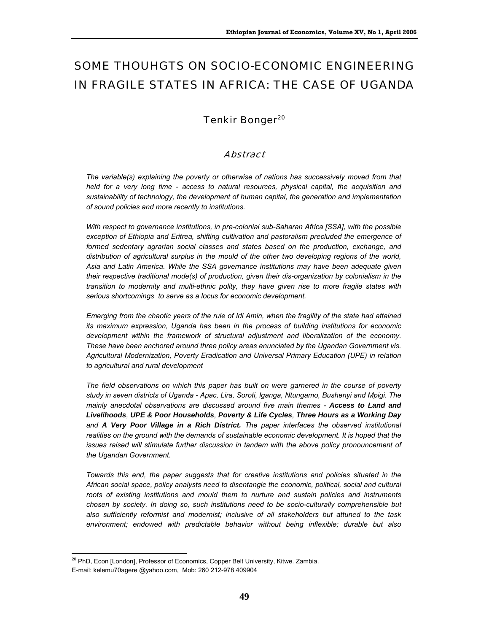# SOME THOUHGTS ON SOCIO-ECONOMIC ENGINEERING IN FRAGILE STATES IN AFRICA: THE CASE OF UGANDA

### Tenkir Bonger<sup>20</sup>

#### **Abstract**

*The variable(s) explaining the poverty or otherwise of nations has successively moved from that held for a very long time - access to natural resources, physical capital, the acquisition and sustainability of technology, the development of human capital, the generation and implementation of sound policies and more recently to institutions.* 

*With respect to governance institutions, in pre-colonial sub-Saharan Africa [SSA], with the possible exception of Ethiopia and Eritrea, shifting cultivation and pastoralism precluded the emergence of*  formed sedentary agrarian social classes and states based on the production, exchange, and *distribution of agricultural surplus in the mould of the other two developing regions of the world, Asia and Latin America. While the SSA governance institutions may have been adequate given their respective traditional mode(s) of production, given their dis-organization by colonialism in the transition to modernity and multi-ethnic polity, they have given rise to more fragile states with serious shortcomings to serve as a locus for economic development.* 

*Emerging from the chaotic years of the rule of Idi Amin, when the fragility of the state had attained its maximum expression, Uganda has been in the process of building institutions for economic development within the framework of structural adjustment and liberalization of the economy. These have been anchored around three policy areas enunciated by the Ugandan Government vis. Agricultural Modernization, Poverty Eradication and Universal Primary Education (UPE) in relation to agricultural and rural development* 

*The field observations on which this paper has built on were garnered in the course of poverty study in seven districts of Uganda - Apac, Lira, Soroti, lganga, Ntungamo, Bushenyi and Mpigi. The mainly anecdotal observations are discussed around five main themes - Access to Land and Livelihoods, UPE & Poor Households, Poverty & Life Cycles, Three Hours as a Working Day and A Very Poor Village in a Rich District. The paper interfaces the observed institutional*  realities on the ground with the demands of sustainable economic development. It is hoped that the issues raised will stimulate further discussion in tandem with the above policy pronouncement of *the Ugandan Government.* 

*Towards this end, the paper suggests that for creative institutions and policies situated in the African social space, policy analysts need to disentangle the economic, political, social and cultural roots of existing institutions and mould them to nurture and sustain policies and instruments chosen by society. In doing so, such institutions need to be socio-culturally comprehensible but also sufficiently reformist and modernist; inclusive of all stakeholders but attuned to the task environment; endowed with predictable behavior without being inflexible; durable but also* 

 $\overline{a}$ <sup>20</sup> PhD, Econ [London], Professor of Economics, Copper Belt University, Kitwe. Zambia. E-mail: kelemu70agere @yahoo.com, Mob: 260 212-978 409904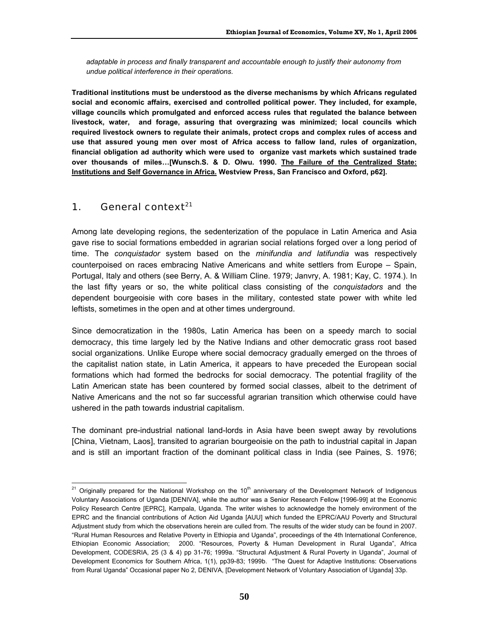*adaptable in process and finally transparent and accountable enough to justify their autonomy from undue political interference in their operations.* 

**Traditional institutions must be understood as the diverse mechanisms by which Africans regulated social and economic affairs, exercised and controlled political power. They included, for example, village councils which promulgated and enforced access rules that regulated the balance between livestock, water, and forage, assuring that overgrazing was minimized; local councils which required livestock owners to regulate their animals, protect crops and complex rules of access and use that assured young men over most of Africa access to fallow land, rules of organization, financial obligation ad authority which were used to organize vast markets which sustained trade over thousands of miles…[Wunsch.S. & D. Olwu. 1990. The Failure of the Centralized State: Institutions and Self Governance in Africa. Westview Press, San Francisco and Oxford, p62].** 

### 1. General context $^{21}$

Among late developing regions, the sedenterization of the populace in Latin America and Asia gave rise to social formations embedded in agrarian social relations forged over a long period of time. The *conquistador* system based on the *minifundia and latifundia* was respectively counterpoised on races embracing Native Americans and white settlers from Europe – Spain, Portugal, Italy and others (see Berry, A. & William Cline. 1979; Janvry, A. 1981; Kay, C. 1974.). In the last fifty years or so, the white political class consisting of the *conquistadors* and the dependent bourgeoisie with core bases in the military, contested state power with white led leftists, sometimes in the open and at other times underground.

Since democratization in the 1980s, Latin America has been on a speedy march to social democracy, this time largely led by the Native Indians and other democratic grass root based social organizations. Unlike Europe where social democracy gradually emerged on the throes of the capitalist nation state, in Latin America, it appears to have preceded the European social formations which had formed the bedrocks for social democracy. The potential fragility of the Latin American state has been countered by formed social classes, albeit to the detriment of Native Americans and the not so far successful agrarian transition which otherwise could have ushered in the path towards industrial capitalism.

The dominant pre-industrial national land-lords in Asia have been swept away by revolutions [China, Vietnam, Laos], transited to agrarian bourgeoisie on the path to industrial capital in Japan and is still an important fraction of the dominant political class in India (see Paines, S. 1976;

 $\overline{a}$ <sup>21</sup> Originally prepared for the National Workshop on the 10<sup>th</sup> anniversary of the Development Network of Indigenous Voluntary Associations of Uganda [DENIVA], while the author was a Senior Research Fellow [1996-99] at the Economic Policy Research Centre [EPRC], Kampala, Uganda. The writer wishes to acknowledge the homely environment of the EPRC and the financial contributions of Action Aid Uganda [AUU] which funded the EPRC/AAU Poverty and Structural Adjustment study from which the observations herein are culled from. The results of the wider study can be found in 2007. "Rural Human Resources and Relative Poverty in Ethiopia and Uganda", proceedings of the 4th International Conference, Ethiopian Economic Association; 2000. "Resources, Poverty & Human Development in Rural Uganda", Africa Development, CODESRIA, 25 (3 & 4) pp 31-76; 1999a. "Structural Adjustment & Rural Poverty in Uganda", Journal of Development Economics for Southern Africa, 1(1), pp39-83; 1999b. "The Quest for Adaptive Institutions: Observations from Rural Uganda" Occasional paper No 2, DENIVA, [Development Network of Voluntary Association of Uganda] 33p.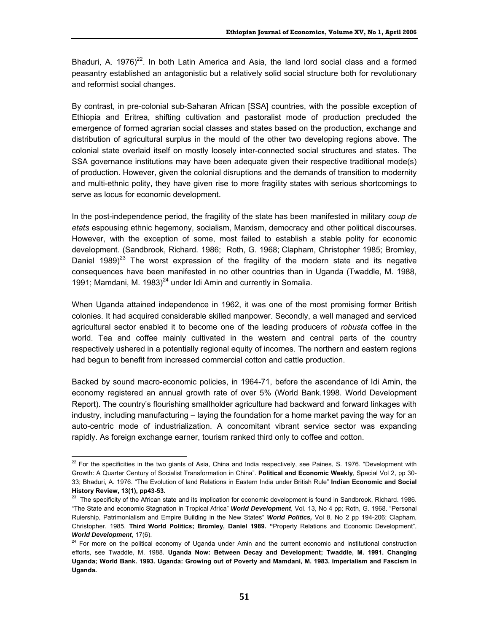Bhaduri, A. 1976)<sup>22</sup>. In both Latin America and Asia, the land lord social class and a formed peasantry established an antagonistic but a relatively solid social structure both for revolutionary and reformist social changes.

By contrast, in pre-colonial sub-Saharan African [SSA] countries, with the possible exception of Ethiopia and Eritrea, shifting cultivation and pastoralist mode of production precluded the emergence of formed agrarian social classes and states based on the production, exchange and distribution of agricultural surplus in the mould of the other two developing regions above. The colonial state overlaid itself on mostly loosely inter-connected social structures and states. The SSA governance institutions may have been adequate given their respective traditional mode(s) of production. However, given the colonial disruptions and the demands of transition to modernity and multi-ethnic polity, they have given rise to more fragility states with serious shortcomings to serve as locus for economic development.

In the post-independence period, the fragility of the state has been manifested in military *coup de etats* espousing ethnic hegemony, socialism, Marxism, democracy and other political discourses. However, with the exception of some, most failed to establish a stable polity for economic development. (Sandbrook, Richard. 1986; Roth, G. 1968; Clapham, Christopher 1985; Bromley, Daniel 1989)<sup>23</sup> The worst expression of the fragility of the modern state and its negative consequences have been manifested in no other countries than in Uganda (Twaddle, M. 1988, 1991; Mamdani, M. 1983)<sup>24</sup> under Idi Amin and currently in Somalia.

When Uganda attained independence in 1962, it was one of the most promising former British colonies. It had acquired considerable skilled manpower. Secondly, a well managed and serviced agricultural sector enabled it to become one of the leading producers of *robusta* coffee in the world. Tea and coffee mainly cultivated in the western and central parts of the country respectively ushered in a potentially regional equity of incomes. The northern and eastern regions had begun to benefit from increased commercial cotton and cattle production.

Backed by sound macro-economic policies, in 1964-71, before the ascendance of Idi Amin, the economy registered an annual growth rate of over 5% (World Bank.1998. World Development Report). The country's flourishing smallholder agriculture had backward and forward linkages with industry, including manufacturing – laying the foundation for a home market paving the way for an auto-centric mode of industrialization. A concomitant vibrant service sector was expanding rapidly. As foreign exchange earner, tourism ranked third only to coffee and cotton.

 $\overline{a}$  $^{22}$  For the specificities in the two giants of Asia, China and India respectively, see Paines, S. 1976. "Development with Growth: A Quarter Century of Socialist Transformation in China". **Political and Economic Weekly**, Special Vol 2, pp 30- 33; Bhaduri, A. 1976. "The Evolution of land Relations in Eastern India under British Rule" **Indian Economic and Social History Review, 13(1), pp43-53.** 

<sup>&</sup>lt;sup>23</sup> The specificity of the African state and its implication for economic development is found in Sandbrook, Richard. 1986. "The State and economic Stagnation in Tropical Africa" *World Development*, Vol. 13, No 4 pp; Roth, G. 1968. "Personal Rulership, Patrimonialism and Empire Building in the New States" *World Politics,* Vol 8, No 2 pp 194-206; Clapham, Christopher. 1985. **Third World Politics; Bromley, Daniel 1989. "**Property Relations and Economic Development", *World Development*, 17(6).

<sup>&</sup>lt;sup>24</sup> For more on the political economy of Uganda under Amin and the current economic and institutional construction efforts, see Twaddle, M. 1988. **Uganda Now: Between Decay and Development; Twaddle, M. 1991. Changing Uganda; World Bank. 1993. Uganda: Growing out of Poverty and Mamdani, M. 1983. Imperialism and Fascism in Uganda.**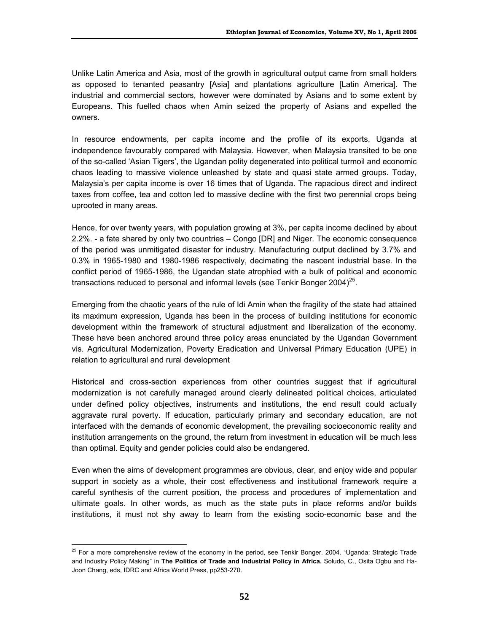Unlike Latin America and Asia, most of the growth in agricultural output came from small holders as opposed to tenanted peasantry [Asia] and plantations agriculture [Latin America]. The industrial and commercial sectors, however were dominated by Asians and to some extent by Europeans. This fuelled chaos when Amin seized the property of Asians and expelled the owners.

In resource endowments, per capita income and the profile of its exports, Uganda at independence favourably compared with Malaysia. However, when Malaysia transited to be one of the so-called 'Asian Tigers', the Ugandan polity degenerated into political turmoil and economic chaos leading to massive violence unleashed by state and quasi state armed groups. Today, Malaysia's per capita income is over 16 times that of Uganda. The rapacious direct and indirect taxes from coffee, tea and cotton led to massive decline with the first two perennial crops being uprooted in many areas.

Hence, for over twenty years, with population growing at 3%, per capita income declined by about 2.2%. - a fate shared by only two countries – Congo [DR] and Niger. The economic consequence of the period was unmitigated disaster for industry. Manufacturing output declined by 3.7% and 0.3% in 1965-1980 and 1980-1986 respectively, decimating the nascent industrial base. In the conflict period of 1965-1986, the Ugandan state atrophied with a bulk of political and economic transactions reduced to personal and informal levels (see Tenkir Bonger 2004)<sup>25</sup>.

Emerging from the chaotic years of the rule of Idi Amin when the fragility of the state had attained its maximum expression, Uganda has been in the process of building institutions for economic development within the framework of structural adjustment and liberalization of the economy. These have been anchored around three policy areas enunciated by the Ugandan Government vis. Agricultural Modernization, Poverty Eradication and Universal Primary Education (UPE) in relation to agricultural and rural development

Historical and cross-section experiences from other countries suggest that if agricultural modernization is not carefully managed around clearly delineated political choices, articulated under defined policy objectives, instruments and institutions, the end result could actually aggravate rural poverty. If education, particularly primary and secondary education, are not interfaced with the demands of economic development, the prevailing socioeconomic reality and institution arrangements on the ground, the return from investment in education will be much less than optimal. Equity and gender policies could also be endangered.

Even when the aims of development programmes are obvious, clear, and enjoy wide and popular support in society as a whole, their cost effectiveness and institutional framework require a careful synthesis of the current position, the process and procedures of implementation and ultimate goals. In other words, as much as the state puts in place reforms and/or builds institutions, it must not shy away to learn from the existing socio-economic base and the

 $\overline{a}$ 

<sup>&</sup>lt;sup>25</sup> For a more comprehensive review of the economy in the period, see Tenkir Bonger. 2004. "Uganda: Strategic Trade and Industry Policy Making" in **The Politics of Trade and Industrial Policy in Africa.** Soludo, C., Osita Ogbu and Ha-Joon Chang, eds, IDRC and Africa World Press, pp253-270.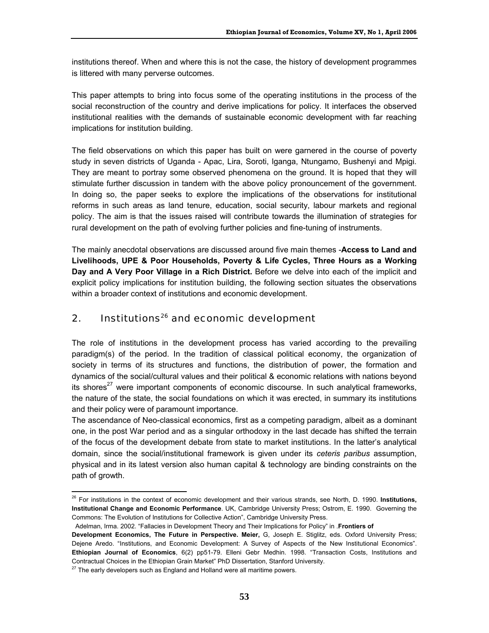institutions thereof. When and where this is not the case, the history of development programmes is littered with many perverse outcomes.

This paper attempts to bring into focus some of the operating institutions in the process of the social reconstruction of the country and derive implications for policy. It interfaces the observed institutional realities with the demands of sustainable economic development with far reaching implications for institution building.

The field observations on which this paper has built on were garnered in the course of poverty study in seven districts of Uganda - Apac, Lira, Soroti, lganga, Ntungamo, Bushenyi and Mpigi. They are meant to portray some observed phenomena on the ground. It is hoped that they will stimulate further discussion in tandem with the above policy pronouncement of the government. In doing so, the paper seeks to explore the implications of the observations for institutional reforms in such areas as land tenure, education, social security, labour markets and regional policy. The aim is that the issues raised will contribute towards the illumination of strategies for rural development on the path of evolving further policies and fine-tuning of instruments.

The mainly anecdotal observations are discussed around five main themes -**Access to Land and Livelihoods, UPE & Poor Households, Poverty & Life Cycles, Three Hours as a Working Day and A Very Poor Village in a Rich District.** Before we delve into each of the implicit and explicit policy implications for institution building, the following section situates the observations within a broader context of institutions and economic development.

### 2. Institutions<sup>26</sup> and economic development

The role of institutions in the development process has varied according to the prevailing paradigm(s) of the period. In the tradition of classical political economy, the organization of society in terms of its structures and functions, the distribution of power, the formation and dynamics of the social/cultural values and their political & economic relations with nations beyond its shores $^{27}$  were important components of economic discourse. In such analytical frameworks, the nature of the state, the social foundations on which it was erected, in summary its institutions and their policy were of paramount importance.

The ascendance of Neo-classical economics, first as a competing paradigm, albeit as a dominant one, in the post War period and as a singular orthodoxy in the last decade has shifted the terrain of the focus of the development debate from state to market institutions. In the latter's analytical domain, since the social/institutional framework is given under its *ceteris paribus* assumption, physical and in its latest version also human capital & technology are binding constraints on the path of growth.

 $\overline{a}$ 

<sup>26</sup> For institutions in the context of economic development and their various strands, see North, D. 1990. **Institutions, Institutional Change and Economic Performance**. UK, Cambridge University Press; Ostrom, E. 1990. Governing the Commons: The Evolution of Institutions for Collective Action", Cambridge University Press.

Adelman, Irma. 2002. "Fallacies in Development Theory and Their Implications for Policy" in .**Frontiers of** 

**Development Economics, The Future in Perspective. Meier,** G, Joseph E. Stiglitz, eds. Oxford University Press; Dejene Aredo. "Institutions, and Economic Development: A Survey of Aspects of the New Institutional Economics". **Ethiopian Journal of Economics**, 6(2) pp51-79. Elleni Gebr Medhin. 1998. "Transaction Costs, Institutions and Contractual Choices in the Ethiopian Grain Market" PhD Dissertation, Stanford University.

 $27$  The early developers such as England and Holland were all maritime powers.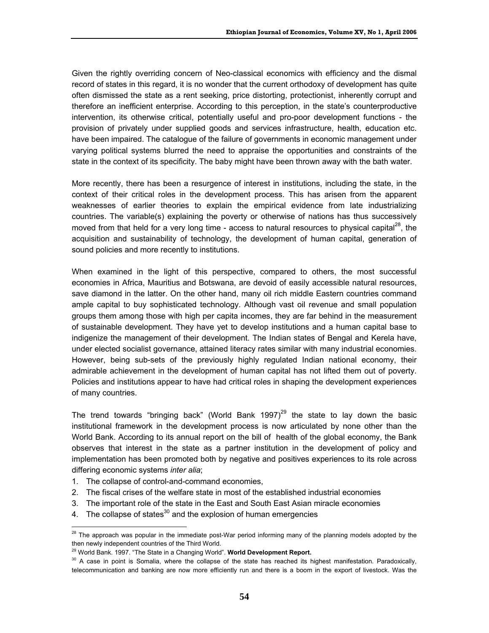Given the rightly overriding concern of Neo-classical economics with efficiency and the dismal record of states in this regard, it is no wonder that the current orthodoxy of development has quite often dismissed the state as a rent seeking, price distorting, protectionist, inherently corrupt and therefore an inefficient enterprise. According to this perception, in the state's counterproductive intervention, its otherwise critical, potentially useful and pro-poor development functions - the provision of privately under supplied goods and services infrastructure, health, education etc. have been impaired. The catalogue of the failure of governments in economic management under varying political systems blurred the need to appraise the opportunities and constraints of the state in the context of its specificity. The baby might have been thrown away with the bath water.

More recently, there has been a resurgence of interest in institutions, including the state, in the context of their critical roles in the development process. This has arisen from the apparent weaknesses of earlier theories to explain the empirical evidence from late industrializing countries. The variable(s) explaining the poverty or otherwise of nations has thus successively moved from that held for a very long time - access to natural resources to physical capital<sup>28</sup>, the acquisition and sustainability of technology, the development of human capital, generation of sound policies and more recently to institutions.

When examined in the light of this perspective, compared to others, the most successful economies in Africa, Mauritius and Botswana, are devoid of easily accessible natural resources, save diamond in the latter. On the other hand, many oil rich middle Eastern countries command ample capital to buy sophisticated technology. Although vast oil revenue and small population groups them among those with high per capita incomes, they are far behind in the measurement of sustainable development. They have yet to develop institutions and a human capital base to indigenize the management of their development. The Indian states of Bengal and Kerela have, under elected socialist governance, attained literacy rates similar with many industrial economies. However, being sub-sets of the previously highly regulated Indian national economy, their admirable achievement in the development of human capital has not lifted them out of poverty. Policies and institutions appear to have had critical roles in shaping the development experiences of many countries.

The trend towards "bringing back" (World Bank 1997)<sup>29</sup> the state to lay down the basic institutional framework in the development process is now articulated by none other than the World Bank. According to its annual report on the bill of health of the global economy, the Bank observes that interest in the state as a partner institution in the development of policy and implementation has been promoted both by negative and positives experiences to its role across differing economic systems *inter alia*;

- 1. The collapse of control-and-command economies,
- 2. The fiscal crises of the welfare state in most of the established industrial economies
- 3. The important role of the state in the East and South East Asian miracle economies
- 4. The collapse of states<sup>30</sup> and the explosion of human emergencies

 $\overline{a}$ <sup>28</sup> The approach was popular in the immediate post-War period informing many of the planning models adopted by the then newly independent countries of the Third World.

<sup>29</sup> World Bank. 1997. "The State in a Changing World". **World Development Report.**

<sup>&</sup>lt;sup>30</sup> A case in point is Somalia, where the collapse of the state has reached its highest manifestation. Paradoxically, telecommunication and banking are now more efficiently run and there is a boom in the export of livestock. Was the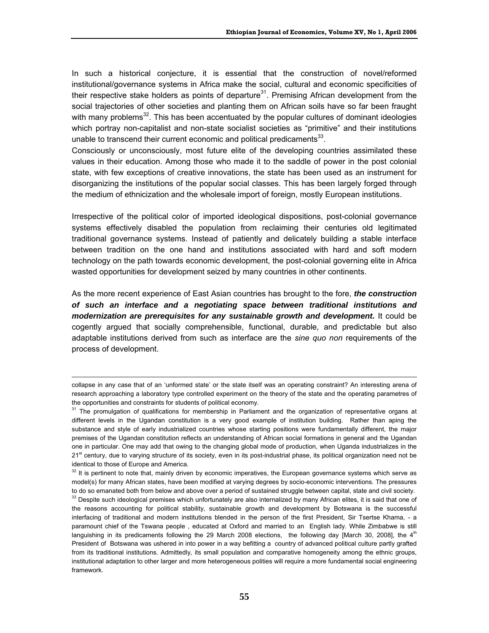In such a historical conjecture, it is essential that the construction of novel/reformed institutional/governance systems in Africa make the social, cultural and economic specificities of their respective stake holders as points of departure $31$ . Premising African development from the social trajectories of other societies and planting them on African soils have so far been fraught with many problems<sup>32</sup>. This has been accentuated by the popular cultures of dominant ideologies which portray non-capitalist and non-state socialist societies as "primitive" and their institutions unable to transcend their current economic and political predicaments $^{33}$ .

Consciously or unconsciously, most future elite of the developing countries assimilated these values in their education. Among those who made it to the saddle of power in the post colonial state, with few exceptions of creative innovations, the state has been used as an instrument for disorganizing the institutions of the popular social classes. This has been largely forged through the medium of ethnicization and the wholesale import of foreign, mostly European institutions.

Irrespective of the political color of imported ideological dispositions, post-colonial governance systems effectively disabled the population from reclaiming their centuries old legitimated traditional governance systems. Instead of patiently and delicately building a stable interface between tradition on the one hand and institutions associated with hard and soft modern technology on the path towards economic development, the post-colonial governing elite in Africa wasted opportunities for development seized by many countries in other continents.

As the more recent experience of East Asian countries has brought to the fore, *the construction of such an interface and a negotiating space between traditional institutions and modernization are prerequisites for any sustainable growth and development.* It could be cogently argued that socially comprehensible, functional, durable, and predictable but also adaptable institutions derived from such as interface are the *sine quo non* requirements of the process of development.

 $\overline{a}$ 

collapse in any case that of an 'unformed state' or the state itself was an operating constraint? An interesting arena of research approaching a laboratory type controlled experiment on the theory of the state and the operating parametres of the opportunities and constraints for students of political economy.<br><sup>31</sup> The promulgation of qualifications for membership in Parliament and the organization of representative organs at

different levels in the Ugandan constitution is a very good example of institution building. Rather than aping the substance and style of early industrialized countries whose starting positions were fundamentally different, the major premises of the Ugandan constitution reflects an understanding of African social formations in general and the Ugandan one in particular. One may add that owing to the changing global mode of production, when Uganda industrializes in the 21<sup>st</sup> century, due to varying structure of its society, even in its post-industrial phase, its political organization need not be identical to those of Europe and America.

 $32$  It is pertinent to note that, mainly driven by economic imperatives, the European governance systems which serve as model(s) for many African states, have been modified at varying degrees by socio-economic interventions. The pressures to do so emanated both from below and above over a period of sustained struggle between capital, state and civil society.

<sup>&</sup>lt;sup>33</sup> Despite such ideological premises which unfortunately are also internalized by many African elites, it is said that one of the reasons accounting for political stability, sustainable growth and development by Botswana is the successful interfacing of traditional and modern institutions blended in the person of the first President, Sir Tsertse Khama, - a paramount chief of the Tswana people , educated at Oxford and married to an English lady. While Zimbabwe is still languishing in its predicaments following the 29 March 2008 elections, the following day [March 30, 2008], the 4<sup>th</sup> President of Botswana was ushered in into power in a way befitting a country of advanced political culture partly grafted from its traditional institutions. Admittedly, its small population and comparative homogeneity among the ethnic groups, institutional adaptation to other larger and more heterogeneous polities will require a more fundamental social engineering framework.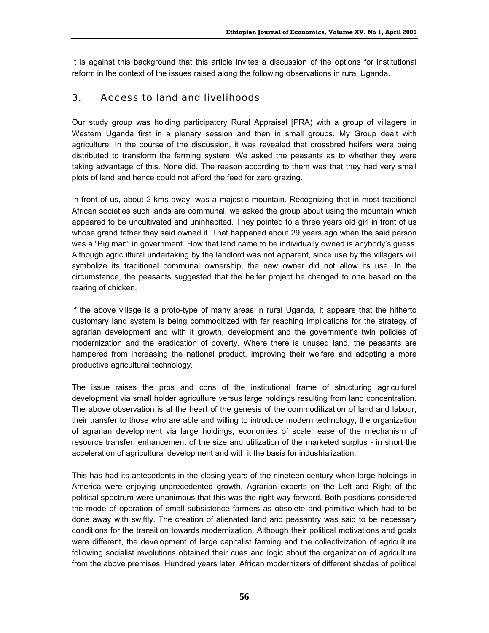It is against this background that this article invites a discussion of the options for institutional reform in the context of the issues raised along the following observations in rural Uganda.

### 3. Access to land and livelihoods

Our study group was holding participatory Rural Appraisal [PRA) with a group of villagers in Western Uganda first in a plenary session and then in small groups. My Group dealt with agriculture. In the course of the discussion, it was revealed that crossbred heifers were being distributed to transform the farming system. We asked the peasants as to whether they were taking advantage of this. None did. The reason according to them was that they had very small plots of land and hence could not afford the feed for zero grazing.

In front of us, about 2 kms away, was a majestic mountain. Recognizing that in most traditional African societies such lands are communal, we asked the group about using the mountain which appeared to be uncultivated and uninhabited. They pointed to a three years old girl in front of us whose grand father they said owned it. That happened about 29 years ago when the said person was a "Big man" in government. How that land came to be individually owned is anybody's guess. Although agricultural undertaking by the landlord was not apparent, since use by the villagers will symbolize its traditional communal ownership, the new owner did not allow its use. In the circumstance, the peasants suggested that the heifer project be changed to one based on the rearing of chicken.

If the above village is a proto-type of many areas in rural Uganda, it appears that the hitherto customary land system is being commoditized with far reaching implications for the strategy of agrarian development and with it growth, development and the government's twin policies of modernization and the eradication of poverty. Where there is unused land, the peasants are hampered from increasing the national product, improving their welfare and adopting a more productive agricultural technology.

The issue raises the pros and cons of the institutional frame of structuring agricultural development via small holder agriculture versus large holdings resulting from land concentration. The above observation is at the heart of the genesis of the commoditization of land and labour, their transfer to those who are able and willing to introduce modern technology, the organization of agrarian development via large holdings, economies of scale, ease of the mechanism of resource transfer, enhancement of the size and utilization of the marketed surplus - in short the acceleration of agricultural development and with it the basis for industrialization.

This has had its antecedents in the closing years of the nineteen century when large holdings in America were enjoying unprecedented growth. Agrarian experts on the Left and Right of the political spectrum were unanimous that this was the right way forward. Both positions considered the mode of operation of small subsistence farmers as obsolete and primitive which had to be done away with swiftly. The creation of alienated land and peasantry was said to be necessary conditions for the transition towards modernization. Although their political motivations and goals were different, the development of large capitalist farming and the collectivization of agriculture following socialist revolutions obtained their cues and logic about the organization of agriculture from the above premises. Hundred years later, African modernizers of different shades of political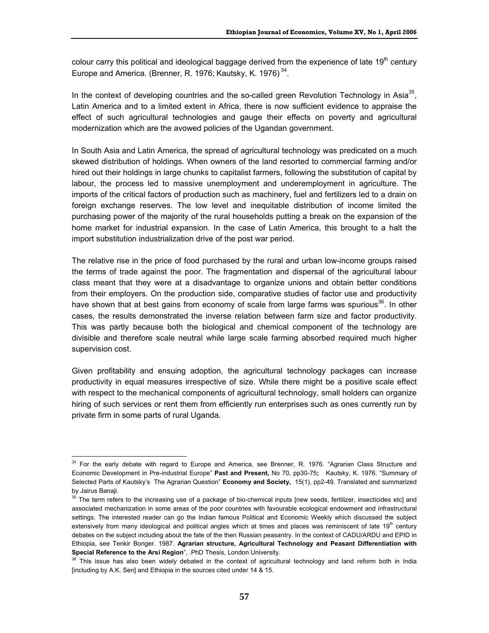colour carry this political and ideological baggage derived from the experience of late  $19<sup>th</sup>$  century Europe and America. (Brenner, R. 1976; Kautsky, K. 1976)<sup>34</sup>.

In the context of developing countries and the so-called green Revolution Technology in Asia<sup>35</sup>, Latin America and to a limited extent in Africa, there is now sufficient evidence to appraise the effect of such agricultural technologies and gauge their effects on poverty and agricultural modernization which are the avowed policies of the Ugandan government.

In South Asia and Latin America, the spread of agricultural technology was predicated on a much skewed distribution of holdings. When owners of the land resorted to commercial farming and/or hired out their holdings in large chunks to capitalist farmers, following the substitution of capital by labour, the process led to massive unemployment and underemployment in agriculture. The imports of the critical factors of production such as machinery, fuel and fertilizers led to a drain on foreign exchange reserves. The low level and inequitable distribution of income limited the purchasing power of the majority of the rural households putting a break on the expansion of the home market for industrial expansion. In the case of Latin America, this brought to a halt the import substitution industrialization drive of the post war period.

The relative rise in the price of food purchased by the rural and urban low-income groups raised the terms of trade against the poor. The fragmentation and dispersal of the agricultural labour class meant that they were at a disadvantage to organize unions and obtain better conditions from their employers. On the production side, comparative studies of factor use and productivity have shown that at best gains from economy of scale from large farms was spurious<sup>36</sup>. In other cases, the results demonstrated the inverse relation between farm size and factor productivity. This was partly because both the biological and chemical component of the technology are divisible and therefore scale neutral while large scale farming absorbed required much higher supervision cost.

Given profitability and ensuing adoption, the agricultural technology packages can increase productivity in equal measures irrespective of size. While there might be a positive scale effect with respect to the mechanical components of agricultural technology, small holders can organize hiring of such services or rent them from efficiently run enterprises such as ones currently run by private firm in some parts of rural Uganda.

 $\overline{a}$  $34$  For the early debate with regard to Europe and America, see Brenner, R. 1976. "Agrarian Class Structure and Economic Development in Pre-industrial Europe" **Past and Present,** No 70, pp30-75**;** Kautsky, K. 1976. "Summary of Selected Parts of Kautsky's The Agrarian Question" **Economy and Society,** 15(1), pp2-49. Translated and summarized by Jairus Banaji.

<sup>&</sup>lt;sup>35</sup> The term refers to the increasing use of a package of bio-chemical inputs [new seeds, fertilizer, insecticides etc] and associated mechanization in some areas of the poor countries with favourable ecological endowment and infrastructural settings. The interested reader can go the Indian famous Political and Economic Weekly which discussed the subject extensively from many ideological and political angles which at times and places was reminiscent of late  $19<sup>th</sup>$  century debates on the subject including about the fate of the then Russian peasantry. In the context of CADU/ARDU and EPID in Ethiopia, see Tenkir Bonger. 1987. **Agrarian structure, Agricultural Technology and Peasant Differentiation with** 

**Special Reference to the Arsi Region**", .PhD Thesis, London University.<br><sup>36</sup> This issue has also been widely debated in the context of agricultural technology and land reform both in India [including by A.K. Sen] and Ethiopia in the sources cited under 14 & 15.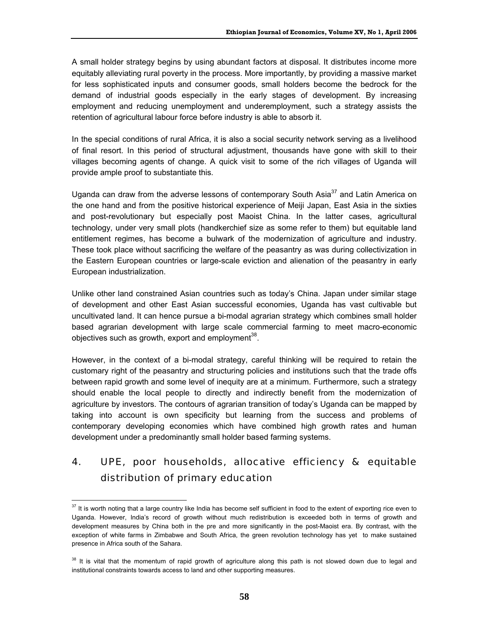A small holder strategy begins by using abundant factors at disposal. It distributes income more equitably alleviating rural poverty in the process. More importantly, by providing a massive market for less sophisticated inputs and consumer goods, small holders become the bedrock for the demand of industrial goods especially in the early stages of development. By increasing employment and reducing unemployment and underemployment, such a strategy assists the retention of agricultural labour force before industry is able to absorb it.

In the special conditions of rural Africa, it is also a social security network serving as a livelihood of final resort. In this period of structural adjustment, thousands have gone with skill to their villages becoming agents of change. A quick visit to some of the rich villages of Uganda will provide ample proof to substantiate this.

Uganda can draw from the adverse lessons of contemporary South Asia<sup>37</sup> and Latin America on the one hand and from the positive historical experience of Meiji Japan, East Asia in the sixties and post-revolutionary but especially post Maoist China. In the latter cases, agricultural technology, under very small plots (handkerchief size as some refer to them) but equitable land entitlement regimes, has become a bulwark of the modernization of agriculture and industry. These took place without sacrificing the welfare of the peasantry as was during collectivization in the Eastern European countries or large-scale eviction and alienation of the peasantry in early European industrialization.

Unlike other land constrained Asian countries such as today's China. Japan under similar stage of development and other East Asian successful economies, Uganda has vast cultivable but uncultivated land. It can hence pursue a bi-modal agrarian strategy which combines small holder based agrarian development with large scale commercial farming to meet macro-economic objectives such as growth, export and employment<sup>38</sup>.

However, in the context of a bi-modal strategy, careful thinking will be required to retain the customary right of the peasantry and structuring policies and institutions such that the trade offs between rapid growth and some level of inequity are at a minimum. Furthermore, such a strategy should enable the local people to directly and indirectly benefit from the modernization of agriculture by investors. The contours of agrarian transition of today's Uganda can be mapped by taking into account is own specificity but learning from the success and problems of contemporary developing economies which have combined high growth rates and human development under a predominantly small holder based farming systems.

# 4. UPE, poor households, allocative efficiency & equitable distribution of primary education

 $\overline{a}$ 

 $37$  It is worth noting that a large country like India has become self sufficient in food to the extent of exporting rice even to Uganda. However, India's record of growth without much redistribution is exceeded both in terms of growth and development measures by China both in the pre and more significantly in the post-Maoist era. By contrast, with the exception of white farms in Zimbabwe and South Africa, the green revolution technology has yet to make sustained presence in Africa south of the Sahara.

<sup>&</sup>lt;sup>38</sup> It is vital that the momentum of rapid growth of agriculture along this path is not slowed down due to legal and institutional constraints towards access to land and other supporting measures.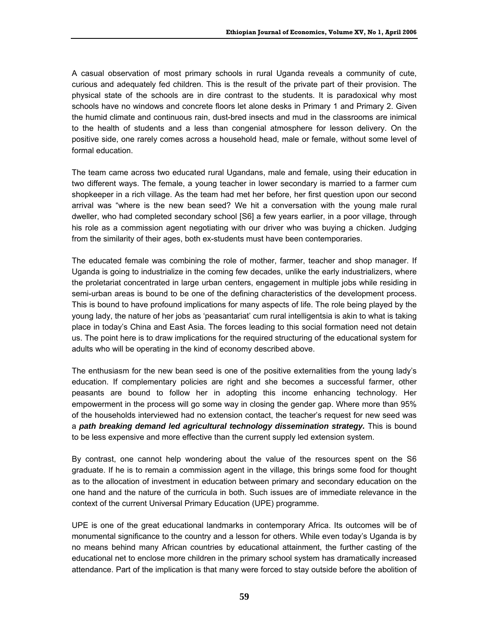A casual observation of most primary schools in rural Uganda reveals a community of cute, curious and adequately fed children. This is the result of the private part of their provision. The physical state of the schools are in dire contrast to the students. It is paradoxical why most schools have no windows and concrete floors let alone desks in Primary 1 and Primary 2. Given the humid climate and continuous rain, dust-bred insects and mud in the classrooms are inimical to the health of students and a less than congenial atmosphere for lesson delivery. On the positive side, one rarely comes across a household head, male or female, without some level of formal education.

The team came across two educated rural Ugandans, male and female, using their education in two different ways. The female, a young teacher in lower secondary is married to a farmer cum shopkeeper in a rich village. As the team had met her before, her first question upon our second arrival was "where is the new bean seed? We hit a conversation with the young male rural dweller, who had completed secondary school [S6] a few years earlier, in a poor village, through his role as a commission agent negotiating with our driver who was buying a chicken. Judging from the similarity of their ages, both ex-students must have been contemporaries.

The educated female was combining the role of mother, farmer, teacher and shop manager. If Uganda is going to industrialize in the coming few decades, unlike the early industrializers, where the proletariat concentrated in large urban centers, engagement in multiple jobs while residing in semi-urban areas is bound to be one of the defining characteristics of the development process. This is bound to have profound implications for many aspects of life. The role being played by the young lady, the nature of her jobs as 'peasantariat' cum rural intelligentsia is akin to what is taking place in today's China and East Asia. The forces leading to this social formation need not detain us. The point here is to draw implications for the required structuring of the educational system for adults who will be operating in the kind of economy described above.

The enthusiasm for the new bean seed is one of the positive externalities from the young lady's education. If complementary policies are right and she becomes a successful farmer, other peasants are bound to follow her in adopting this income enhancing technology. Her empowerment in the process will go some way in closing the gender gap. Where more than 95% of the households interviewed had no extension contact, the teacher's request for new seed was a *path breaking demand led agricultural technology dissemination strategy.* This is bound to be less expensive and more effective than the current supply led extension system.

By contrast, one cannot help wondering about the value of the resources spent on the S6 graduate. If he is to remain a commission agent in the village, this brings some food for thought as to the allocation of investment in education between primary and secondary education on the one hand and the nature of the curricula in both. Such issues are of immediate relevance in the context of the current Universal Primary Education (UPE) programme.

UPE is one of the great educational landmarks in contemporary Africa. Its outcomes will be of monumental significance to the country and a lesson for others. While even today's Uganda is by no means behind many African countries by educational attainment, the further casting of the educational net to enclose more children in the primary school system has dramatically increased attendance. Part of the implication is that many were forced to stay outside before the abolition of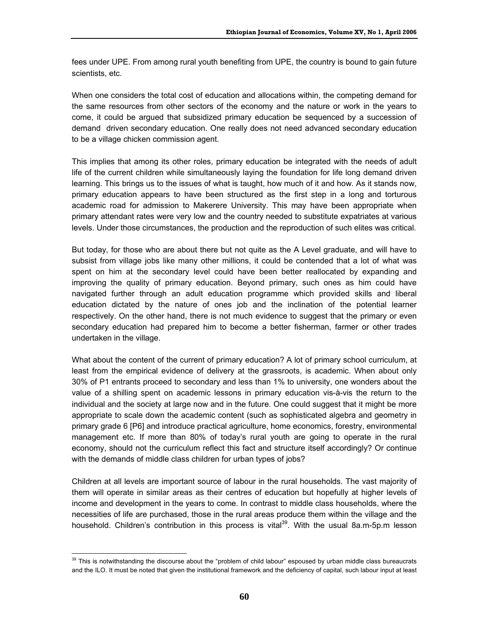fees under UPE. From among rural youth benefiting from UPE, the country is bound to gain future scientists, etc.

When one considers the total cost of education and allocations within, the competing demand for the same resources from other sectors of the economy and the nature or work in the years to come, it could be argued that subsidized primary education be sequenced by a succession of demand driven secondary education. One really does not need advanced secondary education to be a village chicken commission agent.

This implies that among its other roles, primary education be integrated with the needs of adult life of the current children while simultaneously laying the foundation for life long demand driven learning. This brings us to the issues of what is taught, how much of it and how. As it stands now, primary education appears to have been structured as the first step in a long and torturous academic road for admission to Makerere University. This may have been appropriate when primary attendant rates were very low and the country needed to substitute expatriates at various levels. Under those circumstances, the production and the reproduction of such elites was critical.

But today, for those who are about there but not quite as the A Level graduate, and will have to subsist from village jobs like many other millions, it could be contended that a lot of what was spent on him at the secondary level could have been better reallocated by expanding and improving the quality of primary education. Beyond primary, such ones as him could have navigated further through an adult education programme which provided skills and liberal education dictated by the nature of ones job and the inclination of the potential learner respectively. On the other hand, there is not much evidence to suggest that the primary or even secondary education had prepared him to become a better fisherman, farmer or other trades undertaken in the village.

What about the content of the current of primary education? A lot of primary school curriculum, at least from the empirical evidence of delivery at the grassroots, is academic. When about only 30% of P1 entrants proceed to secondary and less than 1% to university, one wonders about the value of a shilling spent on academic lessons in primary education vis-à-vis the return to the individual and the society at large now and in the future. One could suggest that it might be more appropriate to scale down the academic content (such as sophisticated algebra and geometry in primary grade 6 [P6] and introduce practical agriculture, home economics, forestry, environmental management etc. If more than 80% of today's rural youth are going to operate in the rural economy, should not the curriculum reflect this fact and structure itself accordingly? Or continue with the demands of middle class children for urban types of jobs?

Children at all levels are important source of labour in the rural households. The vast majority of them will operate in similar areas as their centres of education but hopefully at higher levels of income and development in the years to come. In contrast to middle class households, where the necessities of life are purchased, those in the rural areas produce them within the village and the household. Children's contribution in this process is vital<sup>39</sup>. With the usual 8a.m-5p.m lesson

 $\overline{a}$  $39$  This is notwithstanding the discourse about the "problem of child labour" espoused by urban middle class bureaucrats and the ILO. It must be noted that given the institutional framework and the deficiency of capital, such labour input at least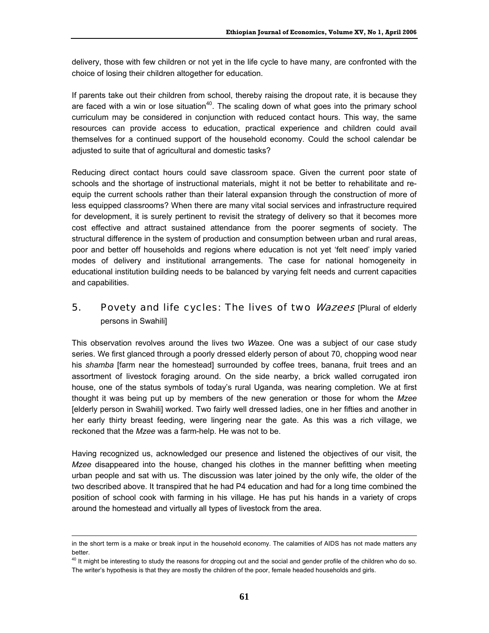delivery, those with few children or not yet in the life cycle to have many, are confronted with the choice of losing their children altogether for education.

If parents take out their children from school, thereby raising the dropout rate, it is because they are faced with a win or lose situation<sup>40</sup>. The scaling down of what goes into the primary school curriculum may be considered in conjunction with reduced contact hours. This way, the same resources can provide access to education, practical experience and children could avail themselves for a continued support of the household economy. Could the school calendar be adjusted to suite that of agricultural and domestic tasks?

Reducing direct contact hours could save classroom space. Given the current poor state of schools and the shortage of instructional materials, might it not be better to rehabilitate and reequip the current schools rather than their lateral expansion through the construction of more of less equipped classrooms? When there are many vital social services and infrastructure required for development, it is surely pertinent to revisit the strategy of delivery so that it becomes more cost effective and attract sustained attendance from the poorer segments of society. The structural difference in the system of production and consumption between urban and rural areas, poor and better off households and regions where education is not yet 'felt need' imply varied modes of delivery and institutional arrangements. The case for national homogeneity in educational institution building needs to be balanced by varying felt needs and current capacities and capabilities.

### 5. Povety and life cycles: The lives of two *Wazees* [Plural of elderly persons in Swahili]

This observation revolves around the lives two *W*azee. One was a subject of our case study series. We first glanced through a poorly dressed elderly person of about 70, chopping wood near his *shamba* [farm near the homestead] surrounded by coffee trees, banana, fruit trees and an assortment of livestock foraging around. On the side nearby, a brick walled corrugated iron house, one of the status symbols of today's rural Uganda, was nearing completion. We at first thought it was being put up by members of the new generation or those for whom the *Mzee* [elderly person in Swahili] worked. Two fairly well dressed ladies, one in her fifties and another in her early thirty breast feeding, were lingering near the gate. As this was a rich village, we reckoned that the *Mzee* was a farm-help. He was not to be.

Having recognized us, acknowledged our presence and listened the objectives of our visit, the *Mzee* disappeared into the house, changed his clothes in the manner befitting when meeting urban people and sat with us. The discussion was later joined by the only wife, the older of the two described above. It transpired that he had P4 education and had for a long time combined the position of school cook with farming in his village. He has put his hands in a variety of crops around the homestead and virtually all types of livestock from the area.

 $\overline{a}$ 

in the short term is a make or break input in the household economy. The calamities of AIDS has not made matters any better.

<sup>&</sup>lt;sup>40</sup> It might be interesting to study the reasons for dropping out and the social and gender profile of the children who do so. The writer's hypothesis is that they are mostly the children of the poor, female headed households and girls.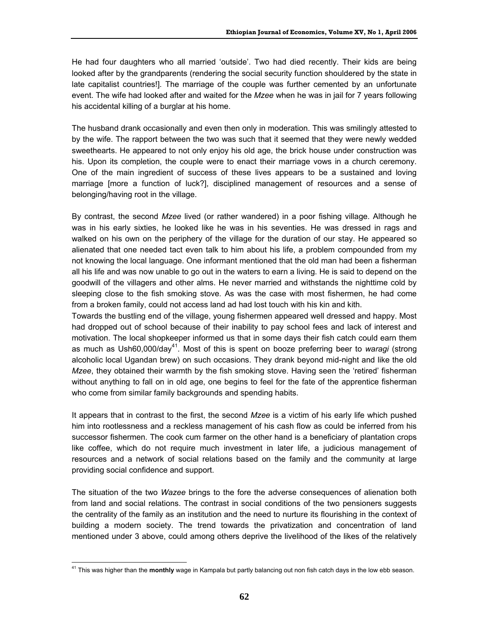He had four daughters who all married 'outside'. Two had died recently. Their kids are being looked after by the grandparents (rendering the social security function shouldered by the state in late capitalist countries!]. The marriage of the couple was further cemented by an unfortunate event. The wife had looked after and waited for the *Mzee* when he was in jail for 7 years following his accidental killing of a burglar at his home.

The husband drank occasionally and even then only in moderation. This was smilingly attested to by the wife. The rapport between the two was such that it seemed that they were newly wedded sweethearts. He appeared to not only enjoy his old age, the brick house under construction was his. Upon its completion, the couple were to enact their marriage vows in a church ceremony. One of the main ingredient of success of these lives appears to be a sustained and loving marriage [more a function of luck?], disciplined management of resources and a sense of belonging/having root in the village.

By contrast, the second *Mzee* lived (or rather wandered) in a poor fishing village. Although he was in his early sixties, he looked like he was in his seventies. He was dressed in rags and walked on his own on the periphery of the village for the duration of our stay. He appeared so alienated that one needed tact even talk to him about his life, a problem compounded from my not knowing the local language. One informant mentioned that the old man had been a fisherman all his life and was now unable to go out in the waters to earn a living. He is said to depend on the goodwill of the villagers and other alms. He never married and withstands the nighttime cold by sleeping close to the fish smoking stove. As was the case with most fishermen, he had come from a broken family, could not access land ad had lost touch with his kin and kith.

Towards the bustling end of the village, young fishermen appeared well dressed and happy. Most had dropped out of school because of their inability to pay school fees and lack of interest and motivation. The local shopkeeper informed us that in some days their fish catch could earn them as much as Ush60,000/day<sup>41</sup>. Most of this is spent on booze preferring beer to *waragi* (strong alcoholic local Ugandan brew) on such occasions. They drank beyond mid-night and like the old *Mzee*, they obtained their warmth by the fish smoking stove. Having seen the 'retired' fisherman without anything to fall on in old age, one begins to feel for the fate of the apprentice fisherman who come from similar family backgrounds and spending habits.

It appears that in contrast to the first, the second *Mzee* is a victim of his early life which pushed him into rootlessness and a reckless management of his cash flow as could be inferred from his successor fishermen. The cook cum farmer on the other hand is a beneficiary of plantation crops like coffee, which do not require much investment in later life, a judicious management of resources and a network of social relations based on the family and the community at large providing social confidence and support.

The situation of the two *Wazee* brings to the fore the adverse consequences of alienation both from land and social relations. The contrast in social conditions of the two pensioners suggests the centrality of the family as an institution and the need to nurture its flourishing in the context of building a modern society. The trend towards the privatization and concentration of land mentioned under 3 above, could among others deprive the livelihood of the likes of the relatively

 $\overline{a}$ 41 This was higher than the **monthly** wage in Kampala but partly balancing out non fish catch days in the low ebb season.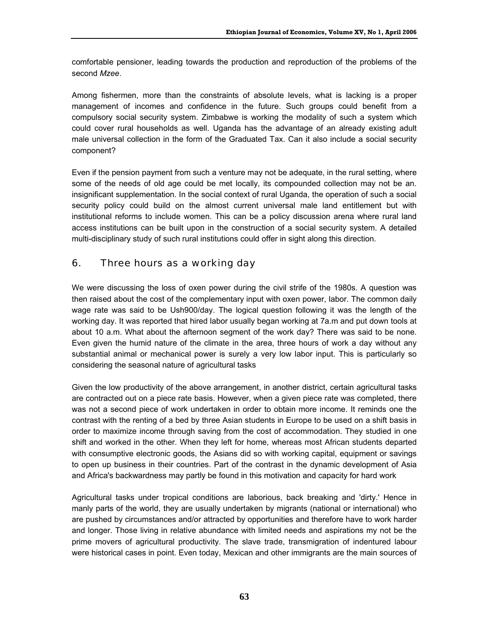comfortable pensioner, leading towards the production and reproduction of the problems of the second *Mzee*.

Among fishermen, more than the constraints of absolute levels, what is lacking is a proper management of incomes and confidence in the future. Such groups could benefit from a compulsory social security system. Zimbabwe is working the modality of such a system which could cover rural households as well. Uganda has the advantage of an already existing adult male universal collection in the form of the Graduated Tax. Can it also include a social security component?

Even if the pension payment from such a venture may not be adequate, in the rural setting, where some of the needs of old age could be met locally, its compounded collection may not be an. insignificant supplementation. In the social context of rural Uganda, the operation of such a social security policy could build on the almost current universal male land entitlement but with institutional reforms to include women. This can be a policy discussion arena where rural land access institutions can be built upon in the construction of a social security system. A detailed multi-disciplinary study of such rural institutions could offer in sight along this direction.

### 6. Three hours as a working day

We were discussing the loss of oxen power during the civil strife of the 1980s. A question was then raised about the cost of the complementary input with oxen power, labor. The common daily wage rate was said to be Ush900/day. The logical question following it was the length of the working day. It was reported that hired labor usually began working at 7a.m and put down tools at about 10 a.m. What about the afternoon segment of the work day? There was said to be none. Even given the humid nature of the climate in the area, three hours of work a day without any substantial animal or mechanical power is surely a very low labor input. This is particularly so considering the seasonal nature of agricultural tasks

Given the low productivity of the above arrangement, in another district, certain agricultural tasks are contracted out on a piece rate basis. However, when a given piece rate was completed, there was not a second piece of work undertaken in order to obtain more income. It reminds one the contrast with the renting of a bed by three Asian students in Europe to be used on a shift basis in order to maximize income through saving from the cost of accommodation. They studied in one shift and worked in the other. When they left for home, whereas most African students departed with consumptive electronic goods, the Asians did so with working capital, equipment or savings to open up business in their countries. Part of the contrast in the dynamic development of Asia and Africa's backwardness may partly be found in this motivation and capacity for hard work

Agricultural tasks under tropical conditions are laborious, back breaking and 'dirty.' Hence in manly parts of the world, they are usually undertaken by migrants (national or international) who are pushed by circumstances and/or attracted by opportunities and therefore have to work harder and longer. Those living in relative abundance with limited needs and aspirations my not be the prime movers of agricultural productivity. The slave trade, transmigration of indentured labour were historical cases in point. Even today, Mexican and other immigrants are the main sources of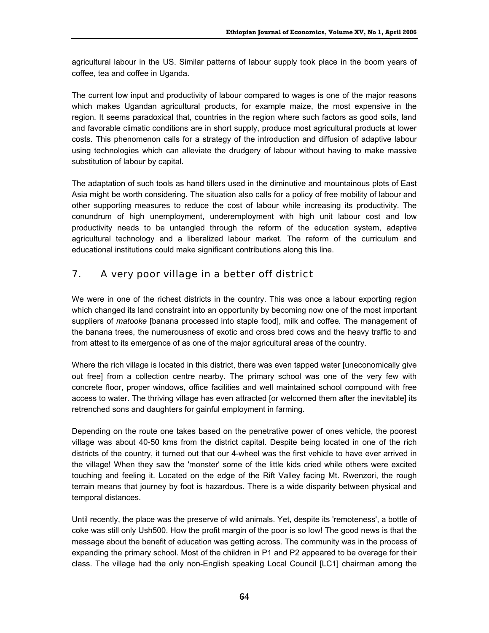agricultural labour in the US. Similar patterns of labour supply took place in the boom years of coffee, tea and coffee in Uganda.

The current low input and productivity of labour compared to wages is one of the major reasons which makes Ugandan agricultural products, for example maize, the most expensive in the region. It seems paradoxical that, countries in the region where such factors as good soils, land and favorable climatic conditions are in short supply, produce most agricultural products at lower costs. This phenomenon calls for a strategy of the introduction and diffusion of adaptive labour using technologies which can alleviate the drudgery of labour without having to make massive substitution of labour by capital.

The adaptation of such tools as hand tillers used in the diminutive and mountainous plots of East Asia might be worth considering. The situation also calls for a policy of free mobility of labour and other supporting measures to reduce the cost of labour while increasing its productivity. The conundrum of high unemployment, underemployment with high unit labour cost and low productivity needs to be untangled through the reform of the education system, adaptive agricultural technology and a liberalized labour market. The reform of the curriculum and educational institutions could make significant contributions along this line.

### 7. A very poor village in a better off district

We were in one of the richest districts in the country. This was once a labour exporting region which changed its land constraint into an opportunity by becoming now one of the most important suppliers of *matooke* [banana processed into staple food], milk and coffee*.* The management of the banana trees, the numerousness of exotic and cross bred cows and the heavy traffic to and from attest to its emergence of as one of the major agricultural areas of the country.

Where the rich village is located in this district, there was even tapped water [uneconomically give out free] from a collection centre nearby. The primary school was one of the very few with concrete floor, proper windows, office facilities and well maintained school compound with free access to water. The thriving village has even attracted [or welcomed them after the inevitable] its retrenched sons and daughters for gainful employment in farming.

Depending on the route one takes based on the penetrative power of ones vehicle, the poorest village was about 40-50 kms from the district capital. Despite being located in one of the rich districts of the country, it turned out that our 4-wheel was the first vehicle to have ever arrived in the village! When they saw the 'monster' some of the little kids cried while others were excited touching and feeling it. Located on the edge of the Rift Valley facing Mt. Rwenzori, the rough terrain means that journey by foot is hazardous. There is a wide disparity between physical and temporal distances.

Until recently, the place was the preserve of wild animals. Yet, despite its 'remoteness', a bottle of coke was still only Ush500. How the profit margin of the poor is so low! The good news is that the message about the benefit of education was getting across. The community was in the process of expanding the primary school. Most of the children in P1 and P2 appeared to be overage for their class. The village had the only non-English speaking Local Council [LC1] chairman among the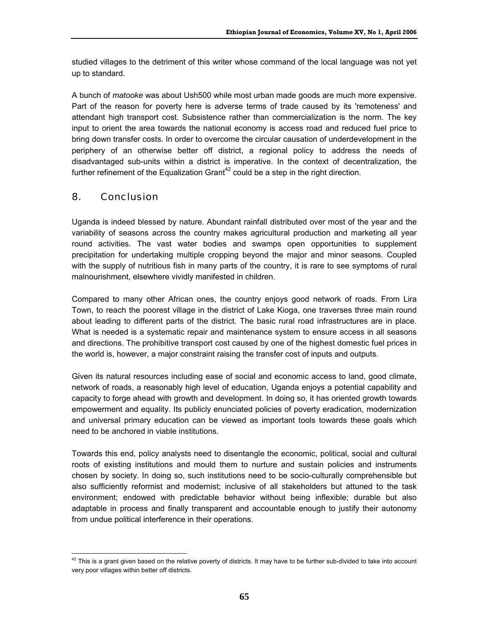studied villages to the detriment of this writer whose command of the local language was not yet up to standard.

A bunch of *matooke* was about Ush500 while most urban made goods are much more expensive. Part of the reason for poverty here is adverse terms of trade caused by its 'remoteness' and attendant high transport cost. Subsistence rather than commercialization is the norm. The key input to orient the area towards the national economy is access road and reduced fuel price to bring down transfer costs. In order to overcome the circular causation of underdevelopment in the periphery of an otherwise better off district, a regional policy to address the needs of disadvantaged sub-units within a district is imperative. In the context of decentralization, the further refinement of the Equalization Grant<sup>42</sup> could be a step in the right direction.

### 8. Conclusion

Uganda is indeed blessed by nature. Abundant rainfall distributed over most of the year and the variability of seasons across the country makes agricultural production and marketing all year round activities. The vast water bodies and swamps open opportunities to supplement precipitation for undertaking multiple cropping beyond the major and minor seasons. Coupled with the supply of nutritious fish in many parts of the country, it is rare to see symptoms of rural malnourishment, elsewhere vividly manifested in children.

Compared to many other African ones, the country enjoys good network of roads. From Lira Town, to reach the poorest village in the district of Lake Kioga, one traverses three main round about leading to different parts of the district. The basic rural road infrastructures are in place. What is needed is a systematic repair and maintenance system to ensure access in all seasons and directions. The prohibitive transport cost caused by one of the highest domestic fuel prices in the world is, however, a major constraint raising the transfer cost of inputs and outputs.

Given its natural resources including ease of social and economic access to land, good climate, network of roads, a reasonably high level of education, Uganda enjoys a potential capability and capacity to forge ahead with growth and development. In doing so, it has oriented growth towards empowerment and equality. Its publicly enunciated policies of poverty eradication, modernization and universal primary education can be viewed as important tools towards these goals which need to be anchored in viable institutions.

Towards this end, policy analysts need to disentangle the economic, political, social and cultural roots of existing institutions and mould them to nurture and sustain policies and instruments chosen by society. In doing so, such institutions need to be socio-culturally comprehensible but also sufficiently reformist and modernist; inclusive of all stakeholders but attuned to the task environment; endowed with predictable behavior without being inflexible; durable but also adaptable in process and finally transparent and accountable enough to justify their autonomy from undue political interference in their operations.

 $\overline{a}$  $^{42}$  This is a grant given based on the relative poverty of districts. It may have to be further sub-divided to take into account very poor villages within better off districts.